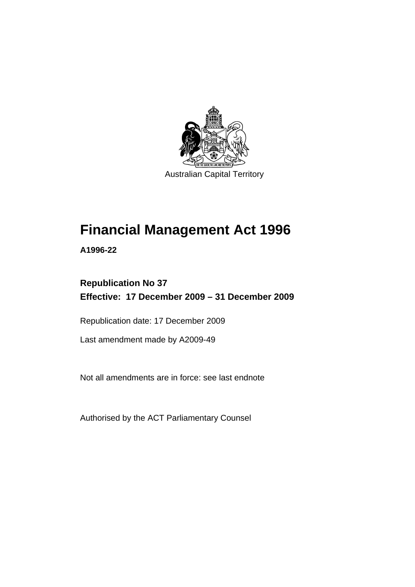

Australian Capital Territory

# **[Financial Management Act 1996](#page-10-0)**

**A1996-22** 

# **Republication No 37 Effective: 17 December 2009 – 31 December 2009**

Republication date: 17 December 2009

Last amendment made by A2009-49

Not all amendments are in force: see last endnote

Authorised by the ACT Parliamentary Counsel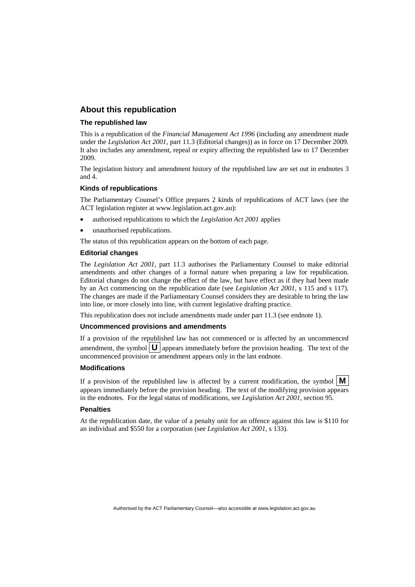#### **About this republication**

#### **The republished law**

This is a republication of the *Financial Management Act 1996* (including any amendment made under the *Legislation Act 2001*, part 11.3 (Editorial changes)) as in force on 17 December 2009*.*  It also includes any amendment, repeal or expiry affecting the republished law to 17 December 2009.

The legislation history and amendment history of the republished law are set out in endnotes 3 and 4.

#### **Kinds of republications**

The Parliamentary Counsel's Office prepares 2 kinds of republications of ACT laws (see the ACT legislation register at www.legislation.act.gov.au):

- authorised republications to which the *Legislation Act 2001* applies
- unauthorised republications.

The status of this republication appears on the bottom of each page.

#### **Editorial changes**

The *Legislation Act 2001*, part 11.3 authorises the Parliamentary Counsel to make editorial amendments and other changes of a formal nature when preparing a law for republication. Editorial changes do not change the effect of the law, but have effect as if they had been made by an Act commencing on the republication date (see *Legislation Act 2001*, s 115 and s 117). The changes are made if the Parliamentary Counsel considers they are desirable to bring the law into line, or more closely into line, with current legislative drafting practice.

This republication does not include amendments made under part 11.3 (see endnote 1).

#### **Uncommenced provisions and amendments**

If a provision of the republished law has not commenced or is affected by an uncommenced amendment, the symbol  $\mathbf{U}$  appears immediately before the provision heading. The text of the uncommenced provision  $\overline{or}$  amendment appears only in the last endnote.

#### **Modifications**

If a provision of the republished law is affected by a current modification, the symbol  $\mathbf{M}$ appears immediately before the provision heading. The text of the modifying provision appears in the endnotes. For the legal status of modifications, see *Legislation Act 2001*, section 95.

#### **Penalties**

At the republication date, the value of a penalty unit for an offence against this law is \$110 for an individual and \$550 for a corporation (see *Legislation Act 2001*, s 133).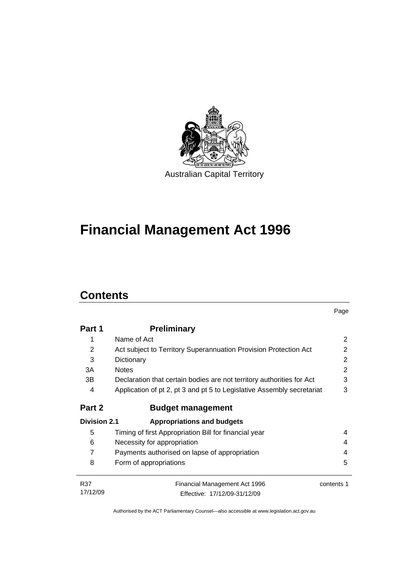

# **[Financial Management Act 1996](#page-10-0)**

# **Contents**

|                     |                                                                        | Page       |
|---------------------|------------------------------------------------------------------------|------------|
| Part 1              | <b>Preliminary</b>                                                     |            |
| 1                   | Name of Act                                                            | 2          |
| 2                   | Act subject to Territory Superannuation Provision Protection Act       | 2          |
| 3                   | Dictionary                                                             | 2          |
| 3A                  | <b>Notes</b>                                                           | 2          |
| 3B                  | Declaration that certain bodies are not territory authorities for Act  | 3          |
| 4                   | Application of pt 2, pt 3 and pt 5 to Legislative Assembly secretariat | 3          |
| Part 2              | <b>Budget management</b>                                               |            |
| <b>Division 2.1</b> | <b>Appropriations and budgets</b>                                      |            |
| 5                   | Timing of first Appropriation Bill for financial year                  | 4          |
| 6                   | Necessity for appropriation                                            | 4          |
| $\overline{7}$      | Payments authorised on lapse of appropriation                          | 4          |
| 8                   | Form of appropriations                                                 | 5          |
| R37                 | Financial Management Act 1996                                          | contents 1 |
| 17/12/09            | Effective: 17/12/09-31/12/09                                           |            |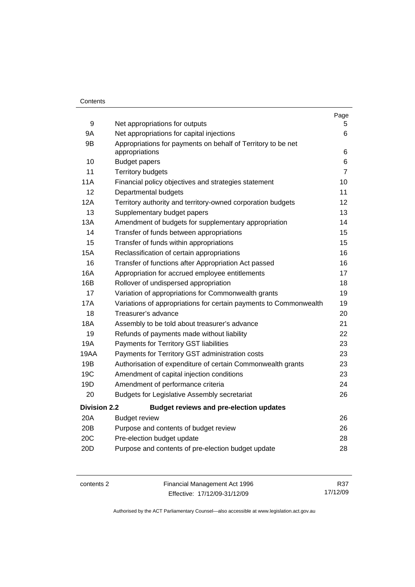#### **Contents**

|                                                                   | Page                                                                                                                                                               |
|-------------------------------------------------------------------|--------------------------------------------------------------------------------------------------------------------------------------------------------------------|
|                                                                   | 5.                                                                                                                                                                 |
|                                                                   | 6                                                                                                                                                                  |
| appropriations                                                    | 6                                                                                                                                                                  |
| <b>Budget papers</b>                                              | 6                                                                                                                                                                  |
| <b>Territory budgets</b>                                          | $\overline{7}$                                                                                                                                                     |
| Financial policy objectives and strategies statement              | 10                                                                                                                                                                 |
| Departmental budgets                                              | 11                                                                                                                                                                 |
| Territory authority and territory-owned corporation budgets       | 12                                                                                                                                                                 |
| Supplementary budget papers                                       | 13                                                                                                                                                                 |
| Amendment of budgets for supplementary appropriation              | 14                                                                                                                                                                 |
| Transfer of funds between appropriations                          | 15                                                                                                                                                                 |
| Transfer of funds within appropriations                           | 15                                                                                                                                                                 |
| Reclassification of certain appropriations                        | 16                                                                                                                                                                 |
| Transfer of functions after Appropriation Act passed              | 16                                                                                                                                                                 |
| Appropriation for accrued employee entitlements                   | 17                                                                                                                                                                 |
| Rollover of undispersed appropriation                             | 18                                                                                                                                                                 |
| Variation of appropriations for Commonwealth grants               | 19                                                                                                                                                                 |
| Variations of appropriations for certain payments to Commonwealth | 19                                                                                                                                                                 |
| Treasurer's advance                                               | 20                                                                                                                                                                 |
| Assembly to be told about treasurer's advance                     | 21                                                                                                                                                                 |
| Refunds of payments made without liability                        | 22                                                                                                                                                                 |
| Payments for Territory GST liabilities                            | 23                                                                                                                                                                 |
| Payments for Territory GST administration costs                   | 23                                                                                                                                                                 |
| Authorisation of expenditure of certain Commonwealth grants       | 23                                                                                                                                                                 |
| Amendment of capital injection conditions                         | 23                                                                                                                                                                 |
| Amendment of performance criteria                                 | 24                                                                                                                                                                 |
| <b>Budgets for Legislative Assembly secretariat</b>               | 26                                                                                                                                                                 |
| <b>Budget reviews and pre-election updates</b>                    |                                                                                                                                                                    |
| <b>Budget review</b>                                              | 26                                                                                                                                                                 |
| Purpose and contents of budget review                             | 26                                                                                                                                                                 |
| Pre-election budget update                                        | 28                                                                                                                                                                 |
| Purpose and contents of pre-election budget update                | 28                                                                                                                                                                 |
|                                                                   | Net appropriations for outputs<br>Net appropriations for capital injections<br>Appropriations for payments on behalf of Territory to be net<br><b>Division 2.2</b> |

| contents 2 | Financial Management Act 1996 | R37      |
|------------|-------------------------------|----------|
|            | Effective: 17/12/09-31/12/09  | 17/12/09 |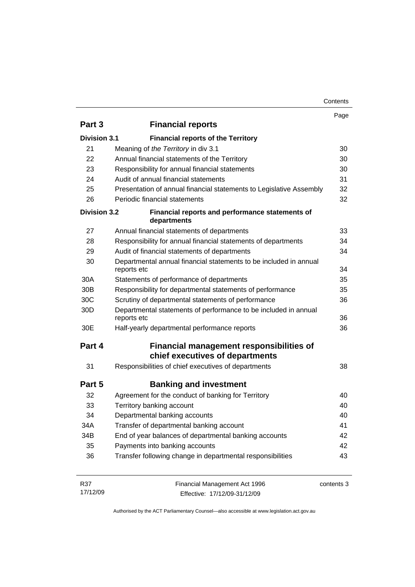| Contents |
|----------|
|----------|

|                     |                                                                                    | Page       |
|---------------------|------------------------------------------------------------------------------------|------------|
| Part 3              | <b>Financial reports</b>                                                           |            |
| <b>Division 3.1</b> | <b>Financial reports of the Territory</b>                                          |            |
| 21                  | Meaning of the Territory in div 3.1                                                | 30         |
| 22                  | Annual financial statements of the Territory                                       | 30         |
| 23                  | Responsibility for annual financial statements                                     | 30         |
| 24                  | Audit of annual financial statements                                               | 31         |
| 25                  | Presentation of annual financial statements to Legislative Assembly                | 32         |
| 26                  | Periodic financial statements                                                      | 32         |
| <b>Division 3.2</b> | Financial reports and performance statements of<br>departments                     |            |
| 27                  | Annual financial statements of departments                                         | 33         |
| 28                  | Responsibility for annual financial statements of departments                      | 34         |
| 29                  | Audit of financial statements of departments                                       | 34         |
| 30                  | Departmental annual financial statements to be included in annual<br>reports etc   | 34         |
| 30A                 | Statements of performance of departments                                           | 35         |
| 30 <sub>B</sub>     | Responsibility for departmental statements of performance                          | 35         |
| 30 <sub>C</sub>     | Scrutiny of departmental statements of performance                                 | 36         |
| 30 <sub>D</sub>     | Departmental statements of performance to be included in annual<br>reports etc     | 36         |
| 30E                 | Half-yearly departmental performance reports                                       | 36         |
| Part 4              | <b>Financial management responsibilities of</b><br>chief executives of departments |            |
| 31                  | Responsibilities of chief executives of departments                                | 38         |
| Part 5              | <b>Banking and investment</b>                                                      |            |
| 32                  | Agreement for the conduct of banking for Territory                                 | 40         |
| 33                  | Territory banking account                                                          | 40         |
| 34                  | Departmental banking accounts                                                      | 40         |
| 34A                 | Transfer of departmental banking account                                           | 41         |
| 34B                 | End of year balances of departmental banking accounts                              | 42         |
| 35                  | Payments into banking accounts                                                     | 42         |
| 36                  | Transfer following change in departmental responsibilities                         | 43         |
| R37<br>17/12/09     | Financial Management Act 1996<br>Effective: 17/12/09-31/12/09                      | contents 3 |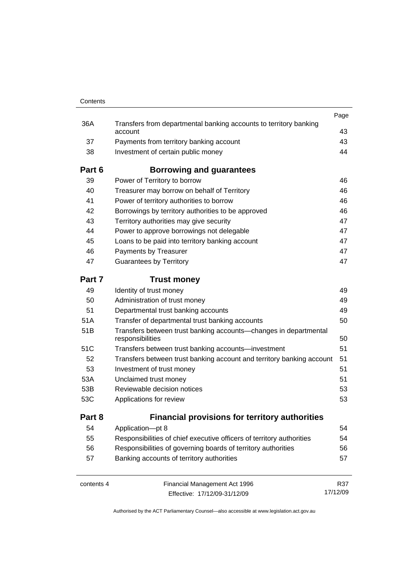| Contents        |                                                                                      |          |
|-----------------|--------------------------------------------------------------------------------------|----------|
|                 |                                                                                      | Page     |
| 36A             | Transfers from departmental banking accounts to territory banking<br>account         | 43       |
| 37              | Payments from territory banking account                                              | 43       |
| 38              | Investment of certain public money                                                   | 44       |
| Part 6          | Borrowing and guarantees                                                             |          |
| 39              | Power of Territory to borrow                                                         | 46       |
| 40              | Treasurer may borrow on behalf of Territory                                          | 46       |
| 41              | Power of territory authorities to borrow                                             | 46       |
| 42              | Borrowings by territory authorities to be approved                                   | 46       |
| 43              | Territory authorities may give security                                              | 47       |
| 44              | Power to approve borrowings not delegable                                            | 47       |
| 45              | Loans to be paid into territory banking account                                      | 47       |
| 46              | Payments by Treasurer                                                                | 47       |
| 47              | <b>Guarantees by Territory</b>                                                       | 47       |
| Part 7          | <b>Trust money</b>                                                                   |          |
| 49              | Identity of trust money                                                              | 49       |
| 50              | Administration of trust money                                                        | 49       |
| 51              | Departmental trust banking accounts                                                  | 49       |
| 51A             | Transfer of departmental trust banking accounts                                      | 50       |
| 51 <sub>B</sub> | Transfers between trust banking accounts-changes in departmental<br>responsibilities | 50       |
| 51C             | Transfers between trust banking accounts-investment                                  | 51       |
| 52              | Transfers between trust banking account and territory banking account                | 51       |
| 53              | Investment of trust money                                                            | 51       |
| 53A             | Unclaimed trust money                                                                | 51       |
| 53B             | Reviewable decision notices                                                          | 53       |
| 53C             | Applications for review                                                              | 53       |
| Part 8          | <b>Financial provisions for territory authorities</b>                                |          |
| 54              | Application-pt 8                                                                     | 54       |
| 55              | Responsibilities of chief executive officers of territory authorities                | 54       |
| 56              | Responsibilities of governing boards of territory authorities                        | 56       |
| 57              | Banking accounts of territory authorities                                            | 57       |
| contents 4      | Financial Management Act 1996                                                        | R37      |
|                 | Effective: 17/12/09-31/12/09                                                         | 17/12/09 |

Effective: 17/12/09-31/12/09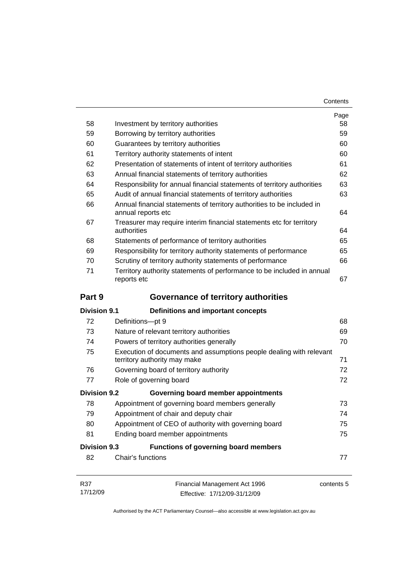| Contents |
|----------|
|----------|

| 58                  | Investment by territory authorities                                                                 | Page<br>58 |  |
|---------------------|-----------------------------------------------------------------------------------------------------|------------|--|
| 59                  | Borrowing by territory authorities                                                                  | 59         |  |
| 60                  | Guarantees by territory authorities                                                                 |            |  |
| 61                  | Territory authority statements of intent                                                            | 60<br>60   |  |
| 62                  | Presentation of statements of intent of territory authorities                                       | 61         |  |
| 63                  | Annual financial statements of territory authorities                                                | 62         |  |
| 64                  | Responsibility for annual financial statements of territory authorities                             | 63         |  |
| 65                  | Audit of annual financial statements of territory authorities                                       | 63         |  |
| 66                  | Annual financial statements of territory authorities to be included in<br>annual reports etc        |            |  |
| 67                  | Treasurer may require interim financial statements etc for territory<br>authorities                 | 64         |  |
| 68                  | Statements of performance of territory authorities                                                  | 65         |  |
| 69                  | Responsibility for territory authority statements of performance                                    | 65         |  |
| 70                  | Scrutiny of territory authority statements of performance                                           | 66         |  |
| 71                  | Territory authority statements of performance to be included in annual<br>reports etc               | 67         |  |
| Part 9              | <b>Governance of territory authorities</b>                                                          |            |  |
| <b>Division 9.1</b> | <b>Definitions and important concepts</b>                                                           |            |  |
| 72                  | Definitions-pt 9                                                                                    | 68         |  |
| 73                  | Nature of relevant territory authorities                                                            | 69         |  |
| 74                  | Powers of territory authorities generally                                                           | 70         |  |
| 75                  | Execution of documents and assumptions people dealing with relevant<br>territory authority may make | 71         |  |
| 76                  | Governing board of territory authority                                                              | 72         |  |
| 77                  | Role of governing board                                                                             | 72         |  |
| <b>Division 9.2</b> | Governing board member appointments                                                                 |            |  |
| 78                  | Appointment of governing board members generally                                                    | 73         |  |
| 79                  | Appointment of chair and deputy chair                                                               | 74         |  |
| 80                  | Appointment of CEO of authority with governing board                                                | 75         |  |
| 81                  | Ending board member appointments                                                                    | 75         |  |
| <b>Division 9.3</b> |                                                                                                     |            |  |
|                     | <b>Functions of governing board members</b>                                                         |            |  |
| 82                  | Chair's functions                                                                                   | 77         |  |

Effective: 17/12/09-31/12/09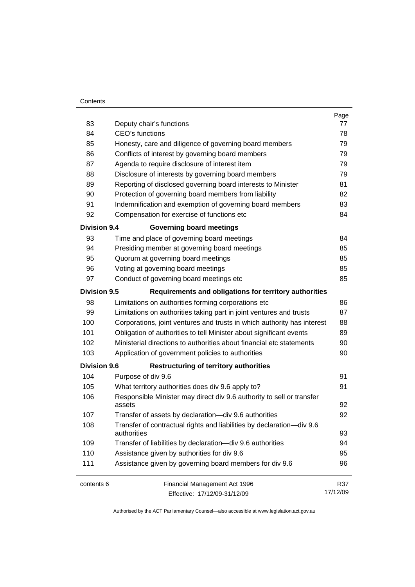#### **Contents**

|                     |                                                                                      | Page     |  |  |
|---------------------|--------------------------------------------------------------------------------------|----------|--|--|
| 83                  | Deputy chair's functions                                                             |          |  |  |
| 84                  | <b>CEO's functions</b>                                                               |          |  |  |
| 85                  | Honesty, care and diligence of governing board members                               |          |  |  |
| 86                  | Conflicts of interest by governing board members                                     |          |  |  |
| 87                  | Agenda to require disclosure of interest item                                        | 79       |  |  |
| 88                  | Disclosure of interests by governing board members                                   | 79       |  |  |
| 89                  | Reporting of disclosed governing board interests to Minister                         | 81       |  |  |
| 90                  | Protection of governing board members from liability                                 | 82       |  |  |
| 91                  | Indemnification and exemption of governing board members                             | 83       |  |  |
| 92                  | Compensation for exercise of functions etc                                           | 84       |  |  |
| <b>Division 9.4</b> | <b>Governing board meetings</b>                                                      |          |  |  |
| 93                  | Time and place of governing board meetings                                           | 84       |  |  |
| 94                  | Presiding member at governing board meetings                                         | 85       |  |  |
| 95                  | Quorum at governing board meetings                                                   | 85       |  |  |
| 96                  | Voting at governing board meetings                                                   | 85       |  |  |
| 97                  | Conduct of governing board meetings etc                                              | 85       |  |  |
| <b>Division 9.5</b> | Requirements and obligations for territory authorities                               |          |  |  |
| 98                  | Limitations on authorities forming corporations etc                                  | 86       |  |  |
| 99                  | Limitations on authorities taking part in joint ventures and trusts                  | 87       |  |  |
| 100                 | Corporations, joint ventures and trusts in which authority has interest              | 88       |  |  |
| 101                 | Obligation of authorities to tell Minister about significant events                  | 89       |  |  |
| 102                 | Ministerial directions to authorities about financial etc statements                 | 90       |  |  |
| 103                 | Application of government policies to authorities                                    | 90       |  |  |
| <b>Division 9.6</b> | <b>Restructuring of territory authorities</b>                                        |          |  |  |
| 104                 | Purpose of div 9.6                                                                   | 91       |  |  |
| 105                 | What territory authorities does div 9.6 apply to?                                    | 91       |  |  |
| 106                 | Responsible Minister may direct div 9.6 authority to sell or transfer<br>assets      | 92       |  |  |
| 107                 | Transfer of assets by declaration-div 9.6 authorities                                | 92       |  |  |
| 108                 | Transfer of contractual rights and liabilities by declaration-div 9.6<br>authorities |          |  |  |
| 109                 | Transfer of liabilities by declaration-div 9.6 authorities                           | 94       |  |  |
| 110                 | Assistance given by authorities for div 9.6                                          | 95       |  |  |
| 111                 | Assistance given by governing board members for div 9.6                              |          |  |  |
| contents 6          | Financial Management Act 1996                                                        | R37      |  |  |
|                     | Effective: 17/12/09-31/12/09                                                         | 17/12/09 |  |  |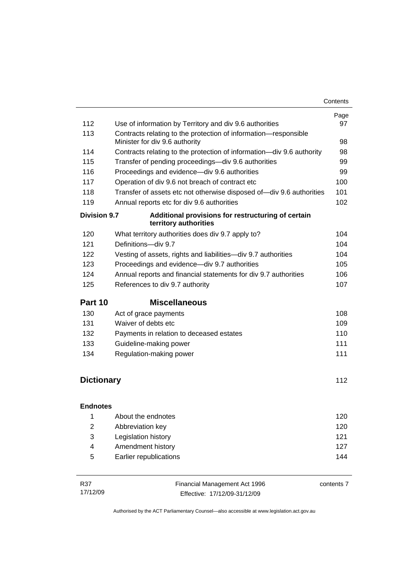|                     |                                                                                                   | Page |  |
|---------------------|---------------------------------------------------------------------------------------------------|------|--|
| 112                 | Use of information by Territory and div 9.6 authorities                                           | 97   |  |
| 113                 | Contracts relating to the protection of information-responsible<br>Minister for div 9.6 authority |      |  |
| 114                 | Contracts relating to the protection of information-div 9.6 authority                             |      |  |
| 115                 | Transfer of pending proceedings-div 9.6 authorities                                               | 99   |  |
| 116                 | Proceedings and evidence-div 9.6 authorities                                                      | 99   |  |
| 117                 | Operation of div 9.6 not breach of contract etc                                                   | 100  |  |
| 118                 | Transfer of assets etc not otherwise disposed of-div 9.6 authorities                              | 101  |  |
| 119                 | Annual reports etc for div 9.6 authorities                                                        | 102  |  |
| <b>Division 9.7</b> | Additional provisions for restructuring of certain<br>territory authorities                       |      |  |
| 120                 | What territory authorities does div 9.7 apply to?                                                 | 104  |  |
| 121                 | Definitions-div 9.7                                                                               | 104  |  |
| 122                 | Vesting of assets, rights and liabilities-div 9.7 authorities                                     | 104  |  |
| 123                 | Proceedings and evidence-div 9.7 authorities                                                      | 105  |  |
| 124                 | Annual reports and financial statements for div 9.7 authorities                                   | 106  |  |
| 125                 | References to div 9.7 authority                                                                   | 107  |  |
| Part 10             | <b>Miscellaneous</b>                                                                              |      |  |
| 130                 | Act of grace payments                                                                             | 108  |  |
| 131                 | Waiver of debts etc                                                                               | 109  |  |
| 132                 | Payments in relation to deceased estates                                                          | 110  |  |
| 133                 | Guideline-making power                                                                            | 111  |  |
| 134                 | Regulation-making power                                                                           | 111  |  |
|                     |                                                                                                   |      |  |
| <b>Dictionary</b>   |                                                                                                   | 112  |  |
| <b>Endnotes</b>     |                                                                                                   |      |  |
| 1                   | About the endnotes                                                                                | 120  |  |
| $\overline{2}$      | Abbreviation key                                                                                  | 120  |  |
| 3                   | Legislation history                                                                               | 121  |  |
| 4                   | Amendment history                                                                                 | 127  |  |
| 5                   | Earlier republications                                                                            | 144  |  |

| R37      | Financial Management Act 1996 | contents 7 |
|----------|-------------------------------|------------|
| 17/12/09 | Effective: 17/12/09-31/12/09  |            |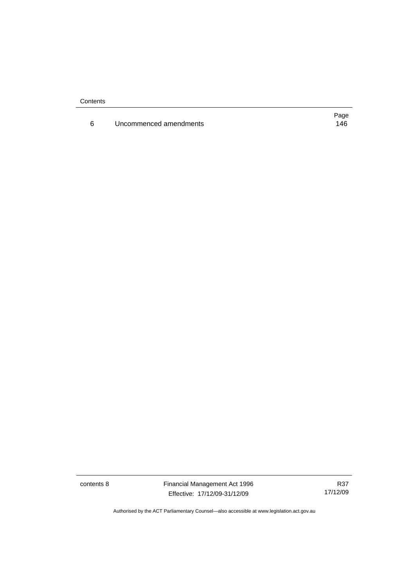**Contents** 

6 Uncommenced amendments [146](#page-155-0)

Page

contents 8 Financial Management Act 1996 Effective: 17/12/09-31/12/09

R37 17/12/09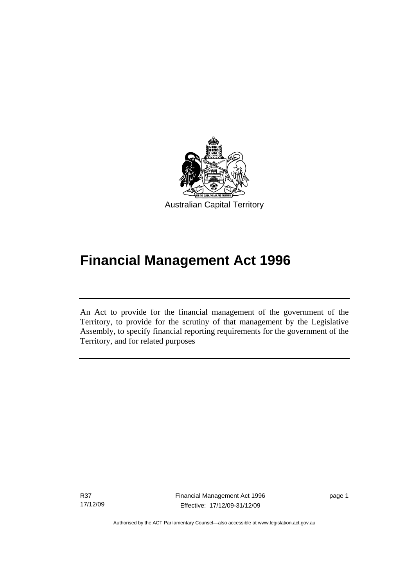<span id="page-10-0"></span>

# **Financial Management Act 1996**

An Act to provide for the financial management of the government of the Territory, to provide for the scrutiny of that management by the Legislative Assembly, to specify financial reporting requirements for the government of the Territory, and for related purposes

R37 17/12/09

l

page 1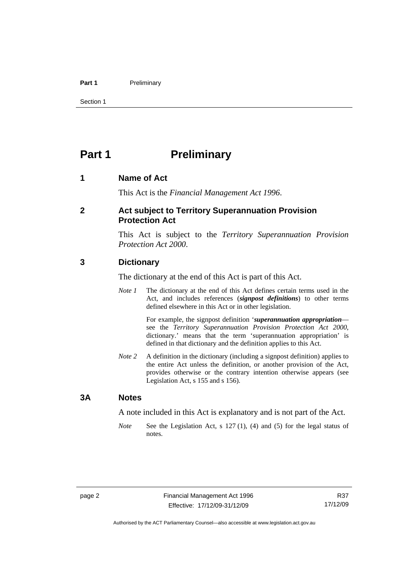#### <span id="page-11-0"></span>Part 1 **Preliminary**

Section 1

# **Part 1** Preliminary

#### **1 Name of Act**

This Act is the *Financial Management Act 1996*.

#### **2 Act subject to Territory Superannuation Provision Protection Act**

This Act is subject to the *Territory Superannuation Provision Protection Act 2000*.

#### **3 Dictionary**

The dictionary at the end of this Act is part of this Act.

*Note 1* The dictionary at the end of this Act defines certain terms used in the Act, and includes references (*signpost definitions*) to other terms defined elsewhere in this Act or in other legislation.

> For example, the signpost definition '*superannuation appropriation* see the *Territory Superannuation Provision Protection Act 2000*, dictionary.' means that the term 'superannuation appropriation' is defined in that dictionary and the definition applies to this Act.

*Note 2* A definition in the dictionary (including a signpost definition) applies to the entire Act unless the definition, or another provision of the Act, provides otherwise or the contrary intention otherwise appears (see Legislation Act, s 155 and s 156).

#### **3A Notes**

A note included in this Act is explanatory and is not part of the Act.

*Note* See the Legislation Act, s 127 (1), (4) and (5) for the legal status of notes.

R37 17/12/09

Authorised by the ACT Parliamentary Counsel—also accessible at www.legislation.act.gov.au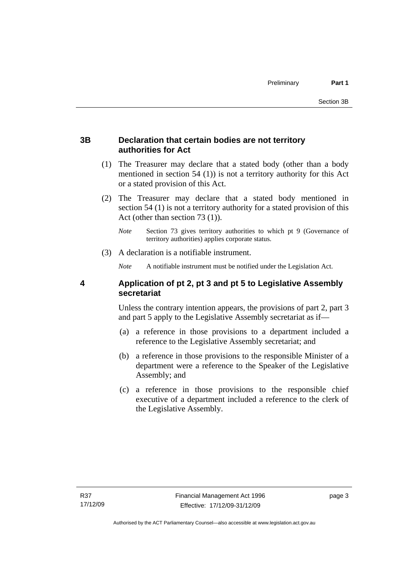#### <span id="page-12-0"></span>**3B Declaration that certain bodies are not territory authorities for Act**

- (1) The Treasurer may declare that a stated body (other than a body mentioned in section 54 (1)) is not a territory authority for this Act or a stated provision of this Act.
- (2) The Treasurer may declare that a stated body mentioned in section 54 (1) is not a territory authority for a stated provision of this Act (other than section 73 (1)).
	- *Note* Section 73 gives territory authorities to which pt 9 (Governance of territory authorities) applies corporate status.
- (3) A declaration is a notifiable instrument.

*Note* A notifiable instrument must be notified under the Legislation Act.

#### **4 Application of pt 2, pt 3 and pt 5 to Legislative Assembly secretariat**

Unless the contrary intention appears, the provisions of part 2, part 3 and part 5 apply to the Legislative Assembly secretariat as if—

- (a) a reference in those provisions to a department included a reference to the Legislative Assembly secretariat; and
- (b) a reference in those provisions to the responsible Minister of a department were a reference to the Speaker of the Legislative Assembly; and
- (c) a reference in those provisions to the responsible chief executive of a department included a reference to the clerk of the Legislative Assembly.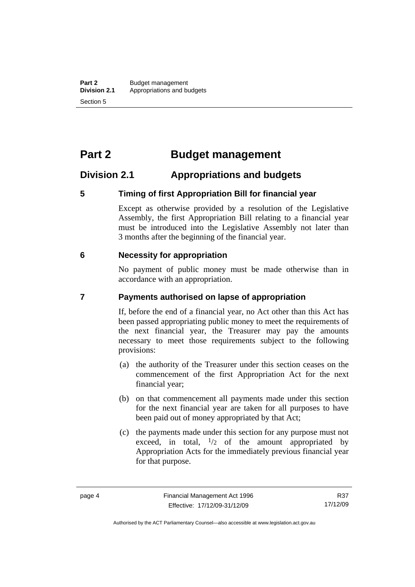# <span id="page-13-0"></span>**Part 2 Budget management**

# **Division 2.1 Appropriations and budgets**

#### **5 Timing of first Appropriation Bill for financial year**

Except as otherwise provided by a resolution of the Legislative Assembly, the first Appropriation Bill relating to a financial year must be introduced into the Legislative Assembly not later than 3 months after the beginning of the financial year.

#### **6 Necessity for appropriation**

No payment of public money must be made otherwise than in accordance with an appropriation.

#### **7 Payments authorised on lapse of appropriation**

If, before the end of a financial year, no Act other than this Act has been passed appropriating public money to meet the requirements of the next financial year, the Treasurer may pay the amounts necessary to meet those requirements subject to the following provisions:

- (a) the authority of the Treasurer under this section ceases on the commencement of the first Appropriation Act for the next financial year;
- (b) on that commencement all payments made under this section for the next financial year are taken for all purposes to have been paid out of money appropriated by that Act;
- (c) the payments made under this section for any purpose must not exceed, in total,  $\frac{1}{2}$  of the amount appropriated by Appropriation Acts for the immediately previous financial year for that purpose.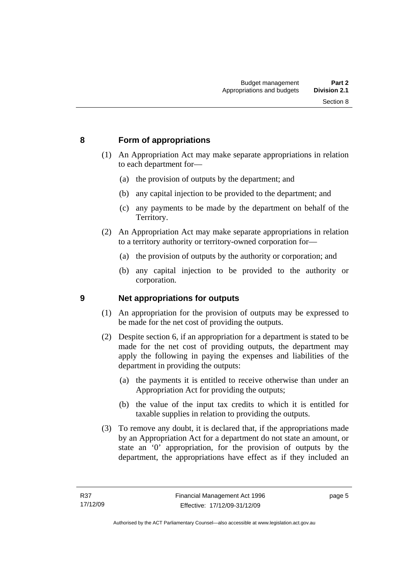#### <span id="page-14-0"></span>**8 Form of appropriations**

- (1) An Appropriation Act may make separate appropriations in relation to each department for—
	- (a) the provision of outputs by the department; and
	- (b) any capital injection to be provided to the department; and
	- (c) any payments to be made by the department on behalf of the Territory.
- (2) An Appropriation Act may make separate appropriations in relation to a territory authority or territory-owned corporation for—
	- (a) the provision of outputs by the authority or corporation; and
	- (b) any capital injection to be provided to the authority or corporation.

#### **9 Net appropriations for outputs**

- (1) An appropriation for the provision of outputs may be expressed to be made for the net cost of providing the outputs.
- (2) Despite section 6, if an appropriation for a department is stated to be made for the net cost of providing outputs, the department may apply the following in paying the expenses and liabilities of the department in providing the outputs:
	- (a) the payments it is entitled to receive otherwise than under an Appropriation Act for providing the outputs;
	- (b) the value of the input tax credits to which it is entitled for taxable supplies in relation to providing the outputs.
- (3) To remove any doubt, it is declared that, if the appropriations made by an Appropriation Act for a department do not state an amount, or state an '0' appropriation, for the provision of outputs by the department, the appropriations have effect as if they included an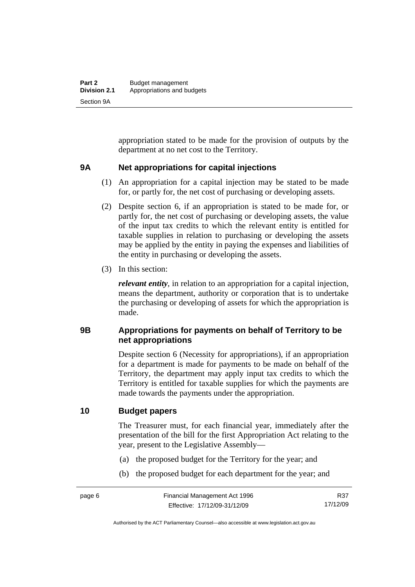<span id="page-15-0"></span>appropriation stated to be made for the provision of outputs by the department at no net cost to the Territory.

#### **9A Net appropriations for capital injections**

- (1) An appropriation for a capital injection may be stated to be made for, or partly for, the net cost of purchasing or developing assets.
- (2) Despite section 6, if an appropriation is stated to be made for, or partly for, the net cost of purchasing or developing assets, the value of the input tax credits to which the relevant entity is entitled for taxable supplies in relation to purchasing or developing the assets may be applied by the entity in paying the expenses and liabilities of the entity in purchasing or developing the assets.
- (3) In this section:

*relevant entity*, in relation to an appropriation for a capital injection, means the department, authority or corporation that is to undertake the purchasing or developing of assets for which the appropriation is made.

#### **9B Appropriations for payments on behalf of Territory to be net appropriations**

Despite section 6 (Necessity for appropriations), if an appropriation for a department is made for payments to be made on behalf of the Territory, the department may apply input tax credits to which the Territory is entitled for taxable supplies for which the payments are made towards the payments under the appropriation.

#### **10 Budget papers**

The Treasurer must, for each financial year, immediately after the presentation of the bill for the first Appropriation Act relating to the year, present to the Legislative Assembly—

- (a) the proposed budget for the Territory for the year; and
- (b) the proposed budget for each department for the year; and

R37 17/12/09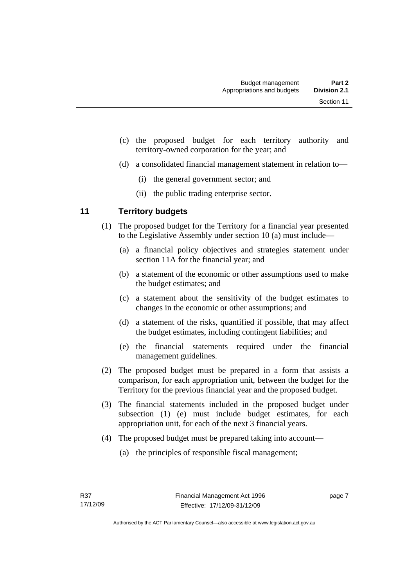- <span id="page-16-0"></span> (c) the proposed budget for each territory authority and territory-owned corporation for the year; and
- (d) a consolidated financial management statement in relation to—
	- (i) the general government sector; and
	- (ii) the public trading enterprise sector.

### **11 Territory budgets**

- (1) The proposed budget for the Territory for a financial year presented to the Legislative Assembly under section 10 (a) must include—
	- (a) a financial policy objectives and strategies statement under section 11A for the financial year; and
	- (b) a statement of the economic or other assumptions used to make the budget estimates; and
	- (c) a statement about the sensitivity of the budget estimates to changes in the economic or other assumptions; and
	- (d) a statement of the risks, quantified if possible, that may affect the budget estimates, including contingent liabilities; and
	- (e) the financial statements required under the financial management guidelines.
- (2) The proposed budget must be prepared in a form that assists a comparison, for each appropriation unit, between the budget for the Territory for the previous financial year and the proposed budget.
- (3) The financial statements included in the proposed budget under subsection (1) (e) must include budget estimates, for each appropriation unit, for each of the next 3 financial years.
- (4) The proposed budget must be prepared taking into account—
	- (a) the principles of responsible fiscal management;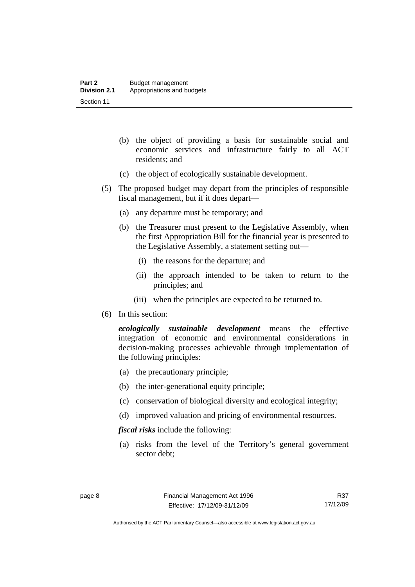- (b) the object of providing a basis for sustainable social and economic services and infrastructure fairly to all ACT residents; and
- (c) the object of ecologically sustainable development.
- (5) The proposed budget may depart from the principles of responsible fiscal management, but if it does depart—
	- (a) any departure must be temporary; and
	- (b) the Treasurer must present to the Legislative Assembly, when the first Appropriation Bill for the financial year is presented to the Legislative Assembly, a statement setting out—
		- (i) the reasons for the departure; and
		- (ii) the approach intended to be taken to return to the principles; and
		- (iii) when the principles are expected to be returned to.
- (6) In this section:

*ecologically sustainable development* means the effective integration of economic and environmental considerations in decision-making processes achievable through implementation of the following principles:

- (a) the precautionary principle;
- (b) the inter-generational equity principle;
- (c) conservation of biological diversity and ecological integrity;
- (d) improved valuation and pricing of environmental resources.

*fiscal risks* include the following:

 (a) risks from the level of the Territory's general government sector debt;

R37 17/12/09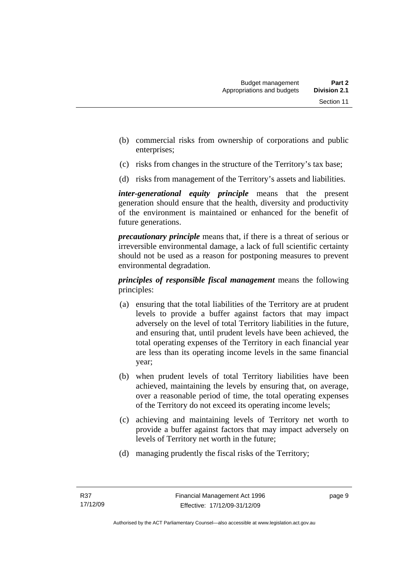- (b) commercial risks from ownership of corporations and public enterprises;
- (c) risks from changes in the structure of the Territory's tax base;
- (d) risks from management of the Territory's assets and liabilities.

*inter-generational equity principle* means that the present generation should ensure that the health, diversity and productivity of the environment is maintained or enhanced for the benefit of future generations.

*precautionary principle* means that, if there is a threat of serious or irreversible environmental damage, a lack of full scientific certainty should not be used as a reason for postponing measures to prevent environmental degradation.

*principles of responsible fiscal management* means the following principles:

- (a) ensuring that the total liabilities of the Territory are at prudent levels to provide a buffer against factors that may impact adversely on the level of total Territory liabilities in the future, and ensuring that, until prudent levels have been achieved, the total operating expenses of the Territory in each financial year are less than its operating income levels in the same financial year;
- (b) when prudent levels of total Territory liabilities have been achieved, maintaining the levels by ensuring that, on average, over a reasonable period of time, the total operating expenses of the Territory do not exceed its operating income levels;
- (c) achieving and maintaining levels of Territory net worth to provide a buffer against factors that may impact adversely on levels of Territory net worth in the future;
- (d) managing prudently the fiscal risks of the Territory;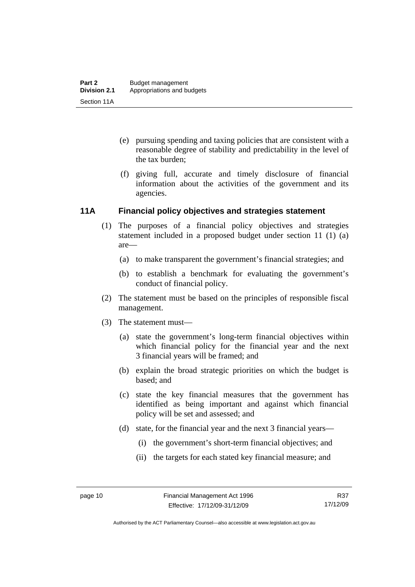- <span id="page-19-0"></span> (e) pursuing spending and taxing policies that are consistent with a reasonable degree of stability and predictability in the level of the tax burden;
- (f) giving full, accurate and timely disclosure of financial information about the activities of the government and its agencies.

#### **11A Financial policy objectives and strategies statement**

- (1) The purposes of a financial policy objectives and strategies statement included in a proposed budget under section 11 (1) (a) are—
	- (a) to make transparent the government's financial strategies; and
	- (b) to establish a benchmark for evaluating the government's conduct of financial policy.
- (2) The statement must be based on the principles of responsible fiscal management.
- (3) The statement must—
	- (a) state the government's long-term financial objectives within which financial policy for the financial year and the next 3 financial years will be framed; and
	- (b) explain the broad strategic priorities on which the budget is based; and
	- (c) state the key financial measures that the government has identified as being important and against which financial policy will be set and assessed; and
	- (d) state, for the financial year and the next 3 financial years—
		- (i) the government's short-term financial objectives; and
		- (ii) the targets for each stated key financial measure; and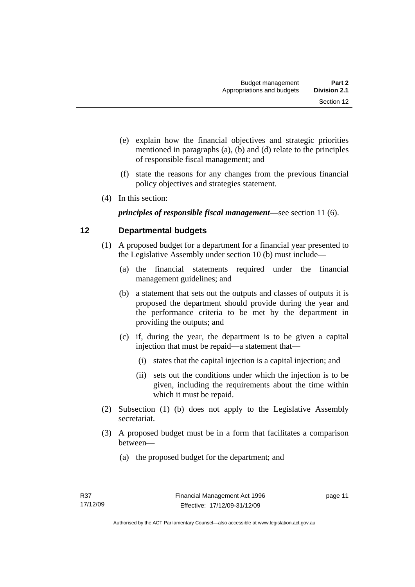- <span id="page-20-0"></span> (e) explain how the financial objectives and strategic priorities mentioned in paragraphs (a), (b) and (d) relate to the principles of responsible fiscal management; and
- (f) state the reasons for any changes from the previous financial policy objectives and strategies statement.
- (4) In this section:

*principles of responsible fiscal management*—see section 11 (6).

# **12 Departmental budgets**

- (1) A proposed budget for a department for a financial year presented to the Legislative Assembly under section 10 (b) must include—
	- (a) the financial statements required under the financial management guidelines; and
	- (b) a statement that sets out the outputs and classes of outputs it is proposed the department should provide during the year and the performance criteria to be met by the department in providing the outputs; and
	- (c) if, during the year, the department is to be given a capital injection that must be repaid—a statement that—
		- (i) states that the capital injection is a capital injection; and
		- (ii) sets out the conditions under which the injection is to be given, including the requirements about the time within which it must be repaid.
- (2) Subsection (1) (b) does not apply to the Legislative Assembly secretariat.
- (3) A proposed budget must be in a form that facilitates a comparison between—
	- (a) the proposed budget for the department; and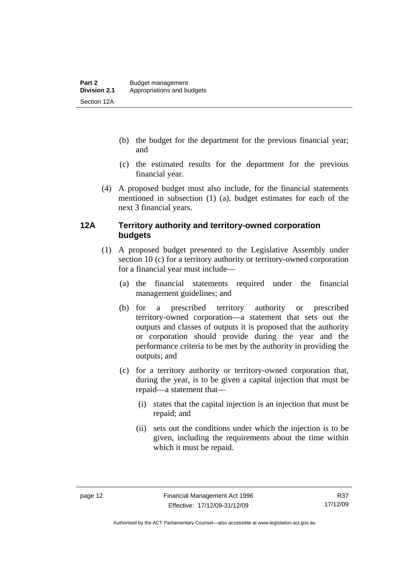- <span id="page-21-0"></span> (b) the budget for the department for the previous financial year; and
- (c) the estimated results for the department for the previous financial year.
- (4) A proposed budget must also include, for the financial statements mentioned in subsection (1) (a), budget estimates for each of the next 3 financial years.

#### **12A Territory authority and territory-owned corporation budgets**

- (1) A proposed budget presented to the Legislative Assembly under section 10 (c) for a territory authority or territory-owned corporation for a financial year must include—
	- (a) the financial statements required under the financial management guidelines; and
	- (b) for a prescribed territory authority or prescribed territory-owned corporation—a statement that sets out the outputs and classes of outputs it is proposed that the authority or corporation should provide during the year and the performance criteria to be met by the authority in providing the outputs; and
	- (c) for a territory authority or territory-owned corporation that, during the year, is to be given a capital injection that must be repaid—a statement that—
		- (i) states that the capital injection is an injection that must be repaid; and
		- (ii) sets out the conditions under which the injection is to be given, including the requirements about the time within which it must be repaid.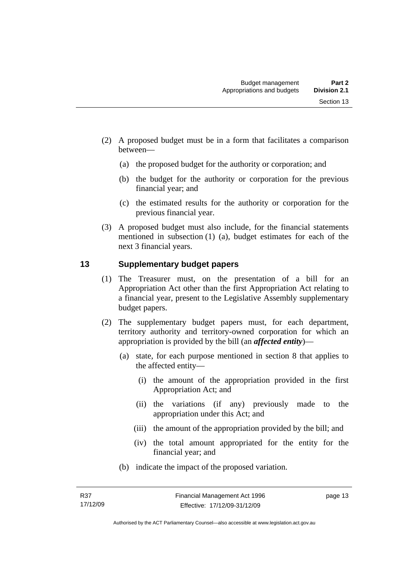- <span id="page-22-0"></span> (2) A proposed budget must be in a form that facilitates a comparison between—
	- (a) the proposed budget for the authority or corporation; and
	- (b) the budget for the authority or corporation for the previous financial year; and
	- (c) the estimated results for the authority or corporation for the previous financial year.
- (3) A proposed budget must also include, for the financial statements mentioned in subsection (1) (a), budget estimates for each of the next 3 financial years.

#### **13 Supplementary budget papers**

- (1) The Treasurer must, on the presentation of a bill for an Appropriation Act other than the first Appropriation Act relating to a financial year, present to the Legislative Assembly supplementary budget papers.
- (2) The supplementary budget papers must, for each department, territory authority and territory-owned corporation for which an appropriation is provided by the bill (an *affected entity*)—
	- (a) state, for each purpose mentioned in section 8 that applies to the affected entity—
		- (i) the amount of the appropriation provided in the first Appropriation Act; and
		- (ii) the variations (if any) previously made to the appropriation under this Act; and
		- (iii) the amount of the appropriation provided by the bill; and
		- (iv) the total amount appropriated for the entity for the financial year; and
	- (b) indicate the impact of the proposed variation.

page 13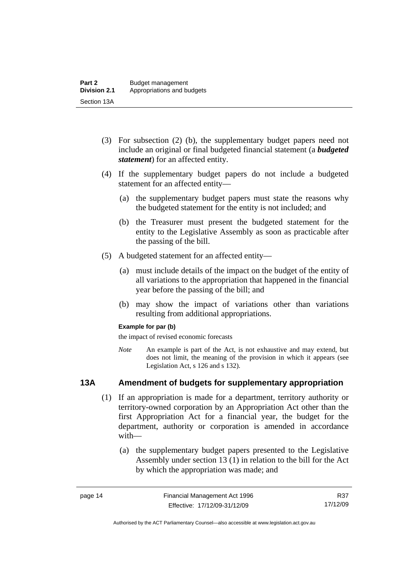- <span id="page-23-0"></span> (3) For subsection (2) (b), the supplementary budget papers need not include an original or final budgeted financial statement (a *budgeted statement*) for an affected entity.
- (4) If the supplementary budget papers do not include a budgeted statement for an affected entity—
	- (a) the supplementary budget papers must state the reasons why the budgeted statement for the entity is not included; and
	- (b) the Treasurer must present the budgeted statement for the entity to the Legislative Assembly as soon as practicable after the passing of the bill.
- (5) A budgeted statement for an affected entity—
	- (a) must include details of the impact on the budget of the entity of all variations to the appropriation that happened in the financial year before the passing of the bill; and
	- (b) may show the impact of variations other than variations resulting from additional appropriations.

#### **Example for par (b)**

the impact of revised economic forecasts

*Note* An example is part of the Act, is not exhaustive and may extend, but does not limit, the meaning of the provision in which it appears (see Legislation Act, s 126 and s 132).

#### **13A Amendment of budgets for supplementary appropriation**

- (1) If an appropriation is made for a department, territory authority or territory-owned corporation by an Appropriation Act other than the first Appropriation Act for a financial year, the budget for the department, authority or corporation is amended in accordance with—
	- (a) the supplementary budget papers presented to the Legislative Assembly under section 13 (1) in relation to the bill for the Act by which the appropriation was made; and

R37 17/12/09

Authorised by the ACT Parliamentary Counsel—also accessible at www.legislation.act.gov.au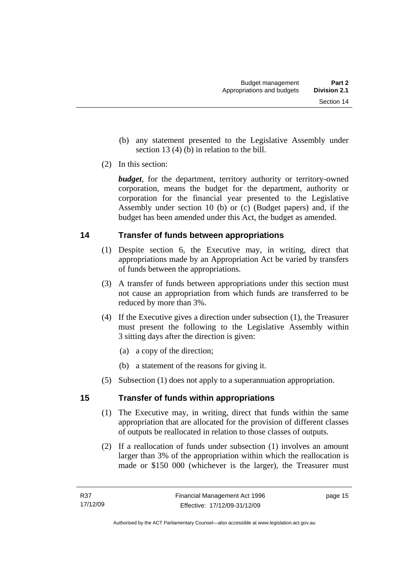- <span id="page-24-0"></span> (b) any statement presented to the Legislative Assembly under section 13 (4) (b) in relation to the bill.
- (2) In this section:

*budget*, for the department, territory authority or territory-owned corporation, means the budget for the department, authority or corporation for the financial year presented to the Legislative Assembly under section 10 (b) or (c) (Budget papers) and, if the budget has been amended under this Act, the budget as amended.

## **14 Transfer of funds between appropriations**

- (1) Despite section 6, the Executive may, in writing, direct that appropriations made by an Appropriation Act be varied by transfers of funds between the appropriations.
- (3) A transfer of funds between appropriations under this section must not cause an appropriation from which funds are transferred to be reduced by more than 3%.
- (4) If the Executive gives a direction under subsection (1), the Treasurer must present the following to the Legislative Assembly within 3 sitting days after the direction is given:
	- (a) a copy of the direction;
	- (b) a statement of the reasons for giving it.
- (5) Subsection (1) does not apply to a superannuation appropriation.

## **15 Transfer of funds within appropriations**

- (1) The Executive may, in writing, direct that funds within the same appropriation that are allocated for the provision of different classes of outputs be reallocated in relation to those classes of outputs.
- (2) If a reallocation of funds under subsection (1) involves an amount larger than 3% of the appropriation within which the reallocation is made or \$150 000 (whichever is the larger), the Treasurer must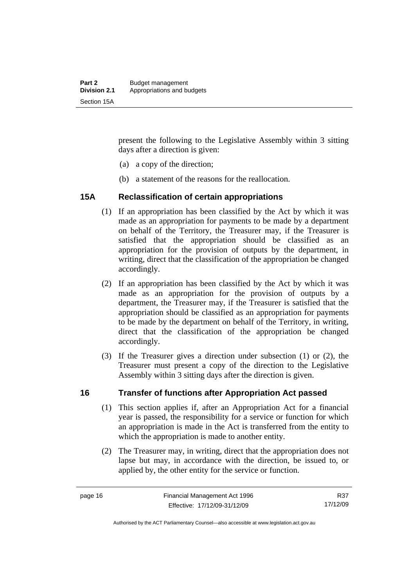<span id="page-25-0"></span>present the following to the Legislative Assembly within 3 sitting days after a direction is given:

- (a) a copy of the direction;
- (b) a statement of the reasons for the reallocation.

#### **15A Reclassification of certain appropriations**

- (1) If an appropriation has been classified by the Act by which it was made as an appropriation for payments to be made by a department on behalf of the Territory, the Treasurer may, if the Treasurer is satisfied that the appropriation should be classified as an appropriation for the provision of outputs by the department, in writing, direct that the classification of the appropriation be changed accordingly.
- (2) If an appropriation has been classified by the Act by which it was made as an appropriation for the provision of outputs by a department, the Treasurer may, if the Treasurer is satisfied that the appropriation should be classified as an appropriation for payments to be made by the department on behalf of the Territory, in writing, direct that the classification of the appropriation be changed accordingly.
- (3) If the Treasurer gives a direction under subsection (1) or (2), the Treasurer must present a copy of the direction to the Legislative Assembly within 3 sitting days after the direction is given.

#### **16 Transfer of functions after Appropriation Act passed**

- (1) This section applies if, after an Appropriation Act for a financial year is passed, the responsibility for a service or function for which an appropriation is made in the Act is transferred from the entity to which the appropriation is made to another entity.
- (2) The Treasurer may, in writing, direct that the appropriation does not lapse but may, in accordance with the direction, be issued to, or applied by, the other entity for the service or function.

Authorised by the ACT Parliamentary Counsel—also accessible at www.legislation.act.gov.au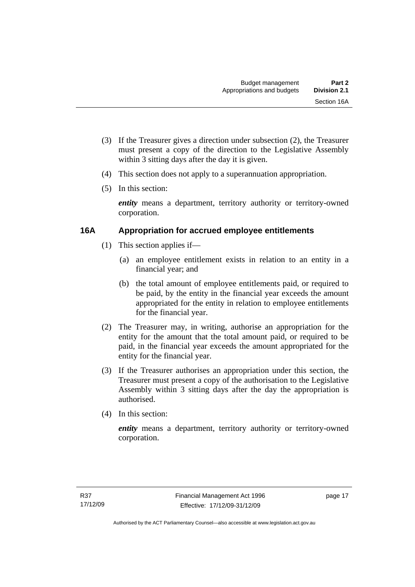- <span id="page-26-0"></span> (3) If the Treasurer gives a direction under subsection (2), the Treasurer must present a copy of the direction to the Legislative Assembly within 3 sitting days after the day it is given.
- (4) This section does not apply to a superannuation appropriation.
- (5) In this section:

*entity* means a department, territory authority or territory-owned corporation.

#### **16A Appropriation for accrued employee entitlements**

- (1) This section applies if—
	- (a) an employee entitlement exists in relation to an entity in a financial year; and
	- (b) the total amount of employee entitlements paid, or required to be paid, by the entity in the financial year exceeds the amount appropriated for the entity in relation to employee entitlements for the financial year.
- (2) The Treasurer may, in writing, authorise an appropriation for the entity for the amount that the total amount paid, or required to be paid, in the financial year exceeds the amount appropriated for the entity for the financial year.
- (3) If the Treasurer authorises an appropriation under this section, the Treasurer must present a copy of the authorisation to the Legislative Assembly within 3 sitting days after the day the appropriation is authorised.
- (4) In this section:

*entity* means a department, territory authority or territory-owned corporation.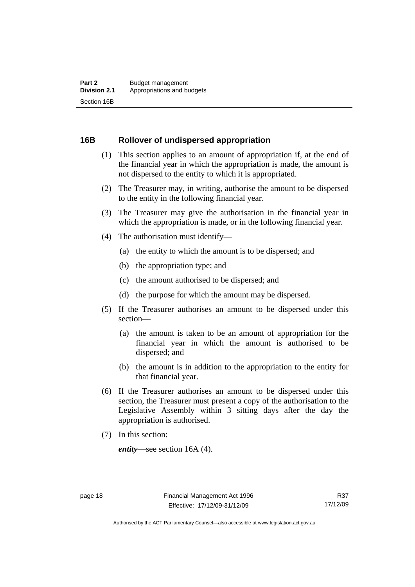#### <span id="page-27-0"></span>**16B Rollover of undispersed appropriation**

- (1) This section applies to an amount of appropriation if, at the end of the financial year in which the appropriation is made, the amount is not dispersed to the entity to which it is appropriated.
- (2) The Treasurer may, in writing, authorise the amount to be dispersed to the entity in the following financial year.
- (3) The Treasurer may give the authorisation in the financial year in which the appropriation is made, or in the following financial year.
- (4) The authorisation must identify—
	- (a) the entity to which the amount is to be dispersed; and
	- (b) the appropriation type; and
	- (c) the amount authorised to be dispersed; and
	- (d) the purpose for which the amount may be dispersed.
- (5) If the Treasurer authorises an amount to be dispersed under this section—
	- (a) the amount is taken to be an amount of appropriation for the financial year in which the amount is authorised to be dispersed; and
	- (b) the amount is in addition to the appropriation to the entity for that financial year.
- (6) If the Treasurer authorises an amount to be dispersed under this section, the Treasurer must present a copy of the authorisation to the Legislative Assembly within 3 sitting days after the day the appropriation is authorised.
- (7) In this section:

*entity*—see section 16A (4).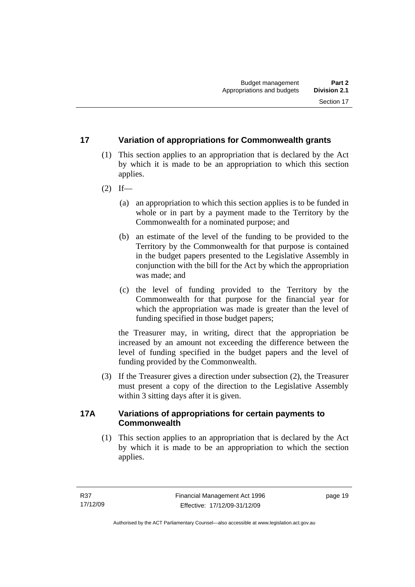#### <span id="page-28-0"></span>**17 Variation of appropriations for Commonwealth grants**

- (1) This section applies to an appropriation that is declared by the Act by which it is made to be an appropriation to which this section applies.
- $(2)$  If—
	- (a) an appropriation to which this section applies is to be funded in whole or in part by a payment made to the Territory by the Commonwealth for a nominated purpose; and
	- (b) an estimate of the level of the funding to be provided to the Territory by the Commonwealth for that purpose is contained in the budget papers presented to the Legislative Assembly in conjunction with the bill for the Act by which the appropriation was made; and
	- (c) the level of funding provided to the Territory by the Commonwealth for that purpose for the financial year for which the appropriation was made is greater than the level of funding specified in those budget papers;

the Treasurer may, in writing, direct that the appropriation be increased by an amount not exceeding the difference between the level of funding specified in the budget papers and the level of funding provided by the Commonwealth.

 (3) If the Treasurer gives a direction under subsection (2), the Treasurer must present a copy of the direction to the Legislative Assembly within 3 sitting days after it is given.

#### **17A Variations of appropriations for certain payments to Commonwealth**

 (1) This section applies to an appropriation that is declared by the Act by which it is made to be an appropriation to which the section applies.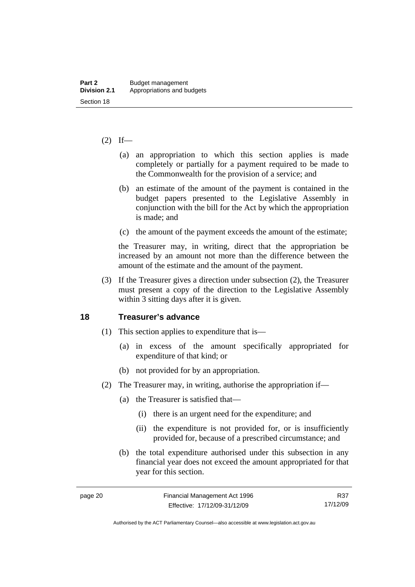#### <span id="page-29-0"></span> $(2)$  If—

- (a) an appropriation to which this section applies is made completely or partially for a payment required to be made to the Commonwealth for the provision of a service; and
- (b) an estimate of the amount of the payment is contained in the budget papers presented to the Legislative Assembly in conjunction with the bill for the Act by which the appropriation is made; and
- (c) the amount of the payment exceeds the amount of the estimate;

the Treasurer may, in writing, direct that the appropriation be increased by an amount not more than the difference between the amount of the estimate and the amount of the payment.

 (3) If the Treasurer gives a direction under subsection (2), the Treasurer must present a copy of the direction to the Legislative Assembly within 3 sitting days after it is given.

#### **18 Treasurer's advance**

- (1) This section applies to expenditure that is—
	- (a) in excess of the amount specifically appropriated for expenditure of that kind; or
	- (b) not provided for by an appropriation.
- (2) The Treasurer may, in writing, authorise the appropriation if—
	- (a) the Treasurer is satisfied that—
		- (i) there is an urgent need for the expenditure; and
		- (ii) the expenditure is not provided for, or is insufficiently provided for, because of a prescribed circumstance; and
	- (b) the total expenditure authorised under this subsection in any financial year does not exceed the amount appropriated for that year for this section.

R37 17/12/09

Authorised by the ACT Parliamentary Counsel—also accessible at www.legislation.act.gov.au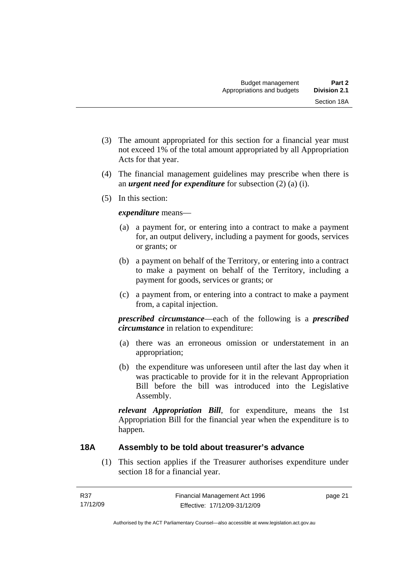- <span id="page-30-0"></span> (3) The amount appropriated for this section for a financial year must not exceed 1% of the total amount appropriated by all Appropriation Acts for that year.
- (4) The financial management guidelines may prescribe when there is an *urgent need for expenditure* for subsection (2) (a) (i).
- (5) In this section:

#### *expenditure* means—

- (a) a payment for, or entering into a contract to make a payment for, an output delivery, including a payment for goods, services or grants; or
- (b) a payment on behalf of the Territory, or entering into a contract to make a payment on behalf of the Territory, including a payment for goods, services or grants; or
- (c) a payment from, or entering into a contract to make a payment from, a capital injection.

*prescribed circumstance*—each of the following is a *prescribed circumstance* in relation to expenditure:

- (a) there was an erroneous omission or understatement in an appropriation;
- (b) the expenditure was unforeseen until after the last day when it was practicable to provide for it in the relevant Appropriation Bill before the bill was introduced into the Legislative Assembly.

*relevant Appropriation Bill*, for expenditure, means the 1st Appropriation Bill for the financial year when the expenditure is to happen.

#### **18A Assembly to be told about treasurer's advance**

 (1) This section applies if the Treasurer authorises expenditure under section 18 for a financial year.

page 21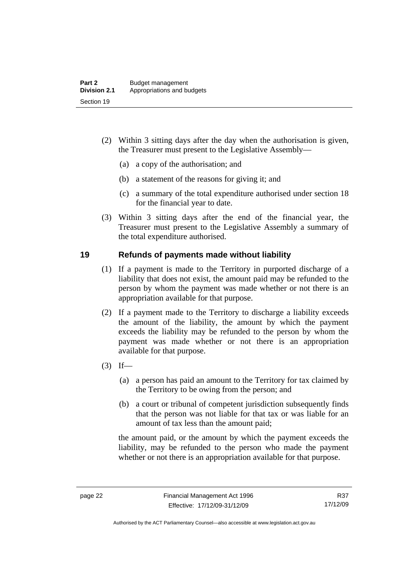- <span id="page-31-0"></span> (2) Within 3 sitting days after the day when the authorisation is given, the Treasurer must present to the Legislative Assembly—
	- (a) a copy of the authorisation; and
	- (b) a statement of the reasons for giving it; and
	- (c) a summary of the total expenditure authorised under section 18 for the financial year to date.
- (3) Within 3 sitting days after the end of the financial year, the Treasurer must present to the Legislative Assembly a summary of the total expenditure authorised.

#### **19 Refunds of payments made without liability**

- (1) If a payment is made to the Territory in purported discharge of a liability that does not exist, the amount paid may be refunded to the person by whom the payment was made whether or not there is an appropriation available for that purpose.
- (2) If a payment made to the Territory to discharge a liability exceeds the amount of the liability, the amount by which the payment exceeds the liability may be refunded to the person by whom the payment was made whether or not there is an appropriation available for that purpose.
- $(3)$  If—
	- (a) a person has paid an amount to the Territory for tax claimed by the Territory to be owing from the person; and
	- (b) a court or tribunal of competent jurisdiction subsequently finds that the person was not liable for that tax or was liable for an amount of tax less than the amount paid;

the amount paid, or the amount by which the payment exceeds the liability, may be refunded to the person who made the payment whether or not there is an appropriation available for that purpose.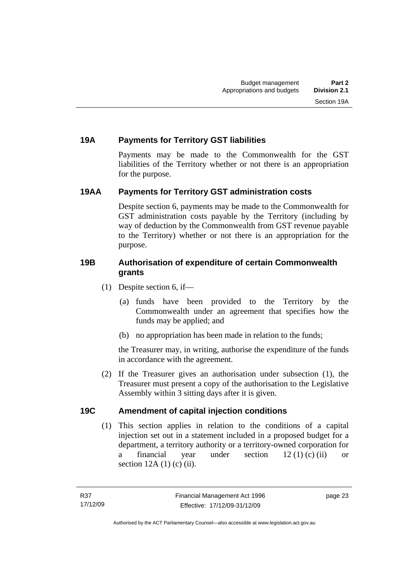### <span id="page-32-0"></span>**19A Payments for Territory GST liabilities**

Payments may be made to the Commonwealth for the GST liabilities of the Territory whether or not there is an appropriation for the purpose.

#### **19AA Payments for Territory GST administration costs**

Despite section 6, payments may be made to the Commonwealth for GST administration costs payable by the Territory (including by way of deduction by the Commonwealth from GST revenue payable to the Territory) whether or not there is an appropriation for the purpose.

#### **19B Authorisation of expenditure of certain Commonwealth grants**

- (1) Despite section 6, if—
	- (a) funds have been provided to the Territory by the Commonwealth under an agreement that specifies how the funds may be applied; and
	- (b) no appropriation has been made in relation to the funds;

the Treasurer may, in writing, authorise the expenditure of the funds in accordance with the agreement.

 (2) If the Treasurer gives an authorisation under subsection (1), the Treasurer must present a copy of the authorisation to the Legislative Assembly within 3 sitting days after it is given.

#### **19C Amendment of capital injection conditions**

 (1) This section applies in relation to the conditions of a capital injection set out in a statement included in a proposed budget for a department, a territory authority or a territory-owned corporation for a financial year under section 12 (1) (c) (ii) or section  $12A(1)$  (c) (ii).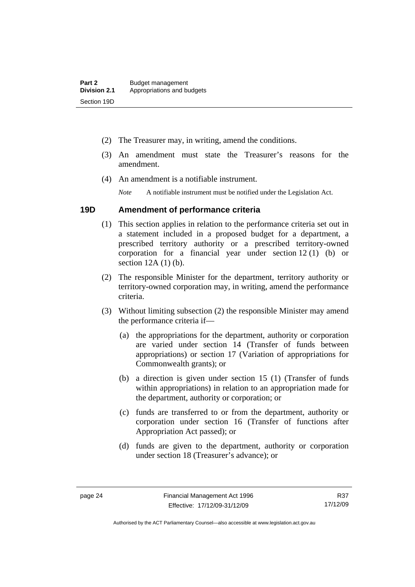- <span id="page-33-0"></span>(2) The Treasurer may, in writing, amend the conditions.
- (3) An amendment must state the Treasurer's reasons for the amendment.
- (4) An amendment is a notifiable instrument.

*Note* A notifiable instrument must be notified under the Legislation Act.

#### **19D Amendment of performance criteria**

- (1) This section applies in relation to the performance criteria set out in a statement included in a proposed budget for a department, a prescribed territory authority or a prescribed territory-owned corporation for a financial year under section 12 (1) (b) or section 12A (1) (b).
- (2) The responsible Minister for the department, territory authority or territory-owned corporation may, in writing, amend the performance criteria.
- (3) Without limiting subsection (2) the responsible Minister may amend the performance criteria if—
	- (a) the appropriations for the department, authority or corporation are varied under section 14 (Transfer of funds between appropriations) or section 17 (Variation of appropriations for Commonwealth grants); or
	- (b) a direction is given under section 15 (1) (Transfer of funds within appropriations) in relation to an appropriation made for the department, authority or corporation; or
	- (c) funds are transferred to or from the department, authority or corporation under section 16 (Transfer of functions after Appropriation Act passed); or
	- (d) funds are given to the department, authority or corporation under section 18 (Treasurer's advance); or

R37 17/12/09

Authorised by the ACT Parliamentary Counsel—also accessible at www.legislation.act.gov.au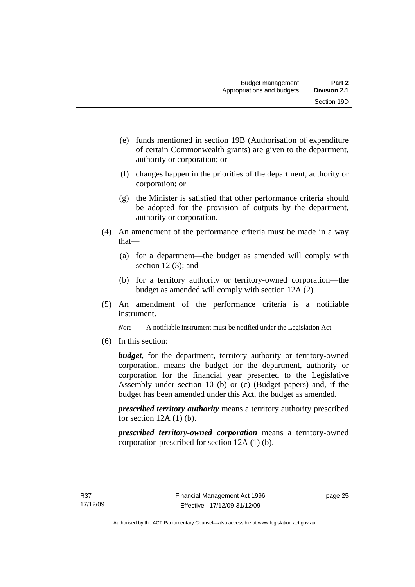- (e) funds mentioned in section 19B (Authorisation of expenditure of certain Commonwealth grants) are given to the department, authority or corporation; or
- (f) changes happen in the priorities of the department, authority or corporation; or
- (g) the Minister is satisfied that other performance criteria should be adopted for the provision of outputs by the department, authority or corporation.
- (4) An amendment of the performance criteria must be made in a way that—
	- (a) for a department—the budget as amended will comply with section 12(3); and
	- (b) for a territory authority or territory-owned corporation—the budget as amended will comply with section 12A (2).
- (5) An amendment of the performance criteria is a notifiable instrument.

*Note* A notifiable instrument must be notified under the Legislation Act.

(6) In this section:

*budget*, for the department, territory authority or territory-owned corporation, means the budget for the department, authority or corporation for the financial year presented to the Legislative Assembly under section 10 (b) or (c) (Budget papers) and, if the budget has been amended under this Act, the budget as amended.

*prescribed territory authority* means a territory authority prescribed for section  $12A(1)$  (b).

*prescribed territory-owned corporation* means a territory-owned corporation prescribed for section 12A (1) (b).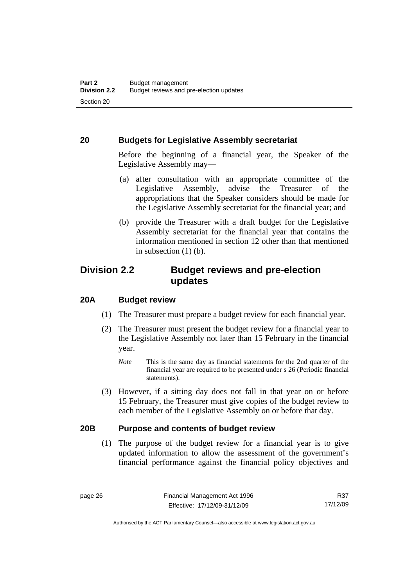#### <span id="page-35-0"></span>**20 Budgets for Legislative Assembly secretariat**

Before the beginning of a financial year, the Speaker of the Legislative Assembly may—

- (a) after consultation with an appropriate committee of the Legislative Assembly, advise the Treasurer of the appropriations that the Speaker considers should be made for the Legislative Assembly secretariat for the financial year; and
- (b) provide the Treasurer with a draft budget for the Legislative Assembly secretariat for the financial year that contains the information mentioned in section 12 other than that mentioned in subsection  $(1)$  (b).

# **Division 2.2 Budget reviews and pre-election updates**

#### **20A Budget review**

- (1) The Treasurer must prepare a budget review for each financial year.
- (2) The Treasurer must present the budget review for a financial year to the Legislative Assembly not later than 15 February in the financial year.
	- *Note* This is the same day as financial statements for the 2nd quarter of the financial year are required to be presented under s 26 (Periodic financial statements).
- (3) However, if a sitting day does not fall in that year on or before 15 February, the Treasurer must give copies of the budget review to each member of the Legislative Assembly on or before that day.

#### **20B Purpose and contents of budget review**

 (1) The purpose of the budget review for a financial year is to give updated information to allow the assessment of the government's financial performance against the financial policy objectives and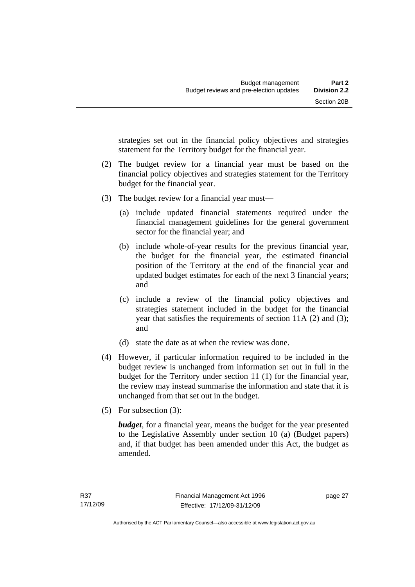strategies set out in the financial policy objectives and strategies statement for the Territory budget for the financial year.

- (2) The budget review for a financial year must be based on the financial policy objectives and strategies statement for the Territory budget for the financial year.
- (3) The budget review for a financial year must—
	- (a) include updated financial statements required under the financial management guidelines for the general government sector for the financial year; and
	- (b) include whole-of-year results for the previous financial year, the budget for the financial year, the estimated financial position of the Territory at the end of the financial year and updated budget estimates for each of the next 3 financial years; and
	- (c) include a review of the financial policy objectives and strategies statement included in the budget for the financial year that satisfies the requirements of section 11A (2) and (3); and
	- (d) state the date as at when the review was done.
- (4) However, if particular information required to be included in the budget review is unchanged from information set out in full in the budget for the Territory under section 11 (1) for the financial year, the review may instead summarise the information and state that it is unchanged from that set out in the budget.
- (5) For subsection (3):

*budget*, for a financial year, means the budget for the year presented to the Legislative Assembly under section 10 (a) (Budget papers) and, if that budget has been amended under this Act, the budget as amended.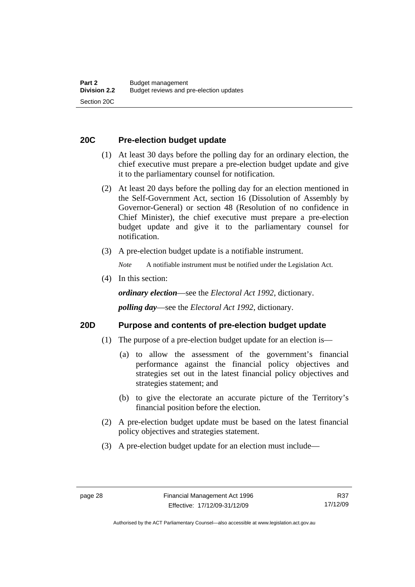### **20C Pre-election budget update**

- (1) At least 30 days before the polling day for an ordinary election, the chief executive must prepare a pre-election budget update and give it to the parliamentary counsel for notification.
- (2) At least 20 days before the polling day for an election mentioned in the Self-Government Act, section 16 (Dissolution of Assembly by Governor-General) or section 48 (Resolution of no confidence in Chief Minister), the chief executive must prepare a pre-election budget update and give it to the parliamentary counsel for notification.
- (3) A pre-election budget update is a notifiable instrument.

*Note* A notifiable instrument must be notified under the Legislation Act.

(4) In this section:

*ordinary election*—see the *Electoral Act 1992*, dictionary.

*polling day*—see the *Electoral Act 1992*, dictionary.

#### **20D Purpose and contents of pre-election budget update**

- (1) The purpose of a pre-election budget update for an election is—
	- (a) to allow the assessment of the government's financial performance against the financial policy objectives and strategies set out in the latest financial policy objectives and strategies statement; and
	- (b) to give the electorate an accurate picture of the Territory's financial position before the election.
- (2) A pre-election budget update must be based on the latest financial policy objectives and strategies statement.
- (3) A pre-election budget update for an election must include—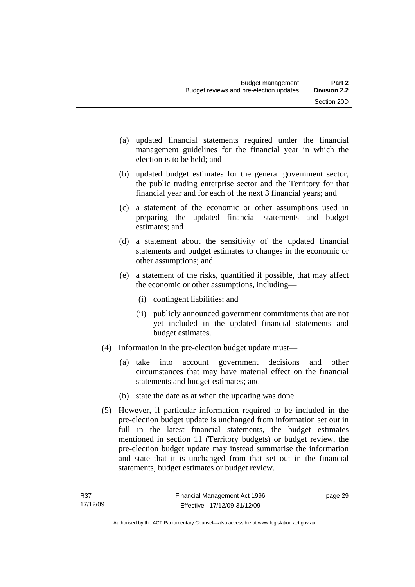- (a) updated financial statements required under the financial management guidelines for the financial year in which the election is to be held; and
- (b) updated budget estimates for the general government sector, the public trading enterprise sector and the Territory for that financial year and for each of the next 3 financial years; and
- (c) a statement of the economic or other assumptions used in preparing the updated financial statements and budget estimates; and
- (d) a statement about the sensitivity of the updated financial statements and budget estimates to changes in the economic or other assumptions; and
- (e) a statement of the risks, quantified if possible, that may affect the economic or other assumptions, including—
	- (i) contingent liabilities; and
	- (ii) publicly announced government commitments that are not yet included in the updated financial statements and budget estimates.
- (4) Information in the pre-election budget update must—
	- (a) take into account government decisions and other circumstances that may have material effect on the financial statements and budget estimates; and
	- (b) state the date as at when the updating was done.
- (5) However, if particular information required to be included in the pre-election budget update is unchanged from information set out in full in the latest financial statements, the budget estimates mentioned in section 11 (Territory budgets) or budget review, the pre-election budget update may instead summarise the information and state that it is unchanged from that set out in the financial statements, budget estimates or budget review.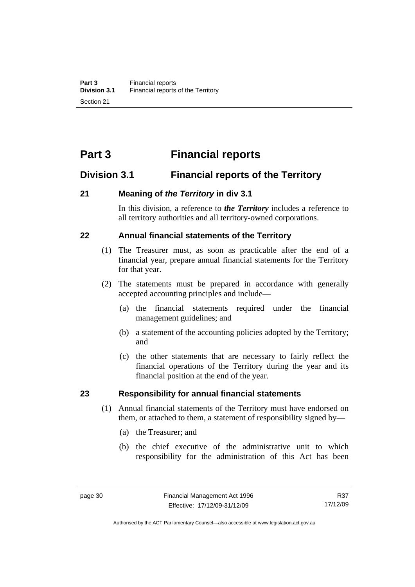# **Part 3 Financial reports**

# **Division 3.1 Financial reports of the Territory**

### **21 Meaning of** *the Territory* **in div 3.1**

In this division, a reference to *the Territory* includes a reference to all territory authorities and all territory-owned corporations.

# **22 Annual financial statements of the Territory**

- (1) The Treasurer must, as soon as practicable after the end of a financial year, prepare annual financial statements for the Territory for that year.
- (2) The statements must be prepared in accordance with generally accepted accounting principles and include—
	- (a) the financial statements required under the financial management guidelines; and
	- (b) a statement of the accounting policies adopted by the Territory; and
	- (c) the other statements that are necessary to fairly reflect the financial operations of the Territory during the year and its financial position at the end of the year.

#### **23 Responsibility for annual financial statements**

- (1) Annual financial statements of the Territory must have endorsed on them, or attached to them, a statement of responsibility signed by—
	- (a) the Treasurer; and
	- (b) the chief executive of the administrative unit to which responsibility for the administration of this Act has been

R37 17/12/09

Authorised by the ACT Parliamentary Counsel—also accessible at www.legislation.act.gov.au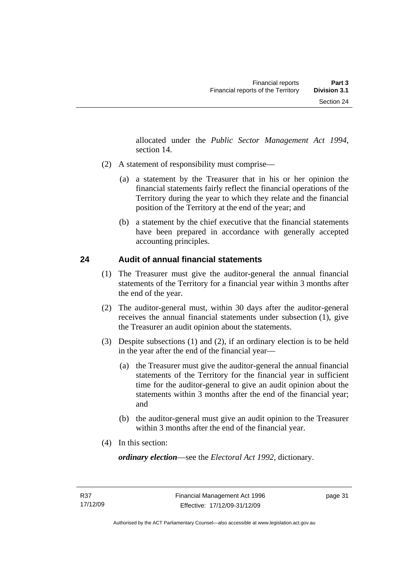allocated under the *Public Sector Management Act 1994*, section 14.

- (2) A statement of responsibility must comprise—
	- (a) a statement by the Treasurer that in his or her opinion the financial statements fairly reflect the financial operations of the Territory during the year to which they relate and the financial position of the Territory at the end of the year; and
	- (b) a statement by the chief executive that the financial statements have been prepared in accordance with generally accepted accounting principles.

# **24 Audit of annual financial statements**

- (1) The Treasurer must give the auditor-general the annual financial statements of the Territory for a financial year within 3 months after the end of the year.
- (2) The auditor-general must, within 30 days after the auditor-general receives the annual financial statements under subsection (1), give the Treasurer an audit opinion about the statements.
- (3) Despite subsections (1) and (2), if an ordinary election is to be held in the year after the end of the financial year—
	- (a) the Treasurer must give the auditor-general the annual financial statements of the Territory for the financial year in sufficient time for the auditor-general to give an audit opinion about the statements within 3 months after the end of the financial year; and
	- (b) the auditor-general must give an audit opinion to the Treasurer within 3 months after the end of the financial year.
- (4) In this section:

*ordinary election*—see the *Electoral Act 1992*, dictionary.

page 31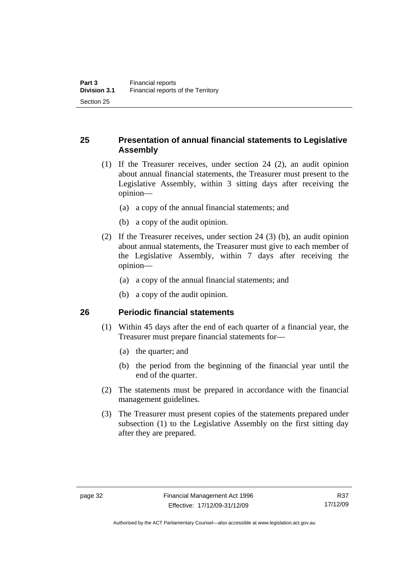# **25 Presentation of annual financial statements to Legislative Assembly**

- (1) If the Treasurer receives, under section 24 (2), an audit opinion about annual financial statements, the Treasurer must present to the Legislative Assembly, within 3 sitting days after receiving the opinion—
	- (a) a copy of the annual financial statements; and
	- (b) a copy of the audit opinion.
- (2) If the Treasurer receives, under section 24 (3) (b), an audit opinion about annual statements, the Treasurer must give to each member of the Legislative Assembly, within 7 days after receiving the opinion—
	- (a) a copy of the annual financial statements; and
	- (b) a copy of the audit opinion.

#### **26 Periodic financial statements**

- (1) Within 45 days after the end of each quarter of a financial year, the Treasurer must prepare financial statements for—
	- (a) the quarter; and
	- (b) the period from the beginning of the financial year until the end of the quarter.
- (2) The statements must be prepared in accordance with the financial management guidelines.
- (3) The Treasurer must present copies of the statements prepared under subsection (1) to the Legislative Assembly on the first sitting day after they are prepared.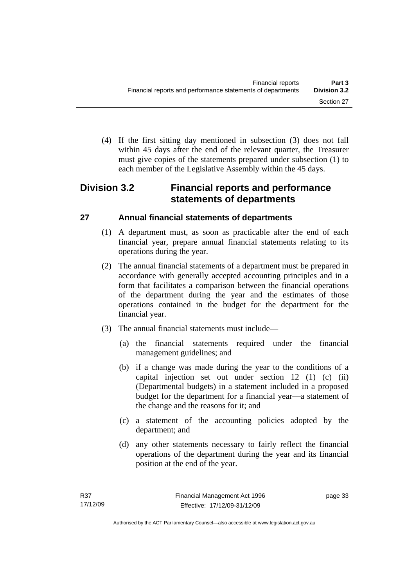(4) If the first sitting day mentioned in subsection (3) does not fall within 45 days after the end of the relevant quarter, the Treasurer must give copies of the statements prepared under subsection (1) to each member of the Legislative Assembly within the 45 days.

# **Division 3.2 Financial reports and performance statements of departments**

# **27 Annual financial statements of departments**

- (1) A department must, as soon as practicable after the end of each financial year, prepare annual financial statements relating to its operations during the year.
- (2) The annual financial statements of a department must be prepared in accordance with generally accepted accounting principles and in a form that facilitates a comparison between the financial operations of the department during the year and the estimates of those operations contained in the budget for the department for the financial year.
- (3) The annual financial statements must include—
	- (a) the financial statements required under the financial management guidelines; and
	- (b) if a change was made during the year to the conditions of a capital injection set out under section 12 (1) (c) (ii) (Departmental budgets) in a statement included in a proposed budget for the department for a financial year—a statement of the change and the reasons for it; and
	- (c) a statement of the accounting policies adopted by the department; and
	- (d) any other statements necessary to fairly reflect the financial operations of the department during the year and its financial position at the end of the year.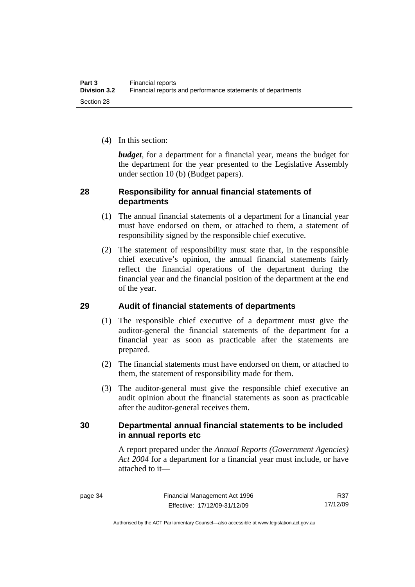(4) In this section:

*budget*, for a department for a financial year, means the budget for the department for the year presented to the Legislative Assembly under section 10 (b) (Budget papers).

### **28 Responsibility for annual financial statements of departments**

- (1) The annual financial statements of a department for a financial year must have endorsed on them, or attached to them, a statement of responsibility signed by the responsible chief executive.
- (2) The statement of responsibility must state that, in the responsible chief executive's opinion, the annual financial statements fairly reflect the financial operations of the department during the financial year and the financial position of the department at the end of the year.

# **29 Audit of financial statements of departments**

- (1) The responsible chief executive of a department must give the auditor-general the financial statements of the department for a financial year as soon as practicable after the statements are prepared.
- (2) The financial statements must have endorsed on them, or attached to them, the statement of responsibility made for them.
- (3) The auditor-general must give the responsible chief executive an audit opinion about the financial statements as soon as practicable after the auditor-general receives them.

# **30 Departmental annual financial statements to be included in annual reports etc**

A report prepared under the *Annual Reports (Government Agencies) Act 2004* for a department for a financial year must include, or have attached to it—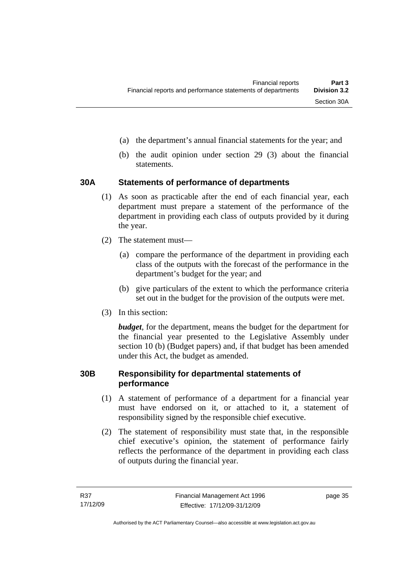- (a) the department's annual financial statements for the year; and
- (b) the audit opinion under section 29 (3) about the financial statements.

#### **30A Statements of performance of departments**

- (1) As soon as practicable after the end of each financial year, each department must prepare a statement of the performance of the department in providing each class of outputs provided by it during the year.
- (2) The statement must—
	- (a) compare the performance of the department in providing each class of the outputs with the forecast of the performance in the department's budget for the year; and
	- (b) give particulars of the extent to which the performance criteria set out in the budget for the provision of the outputs were met.
- (3) In this section:

*budget*, for the department, means the budget for the department for the financial year presented to the Legislative Assembly under section 10 (b) (Budget papers) and, if that budget has been amended under this Act, the budget as amended.

#### **30B Responsibility for departmental statements of performance**

- (1) A statement of performance of a department for a financial year must have endorsed on it, or attached to it, a statement of responsibility signed by the responsible chief executive.
- (2) The statement of responsibility must state that, in the responsible chief executive's opinion, the statement of performance fairly reflects the performance of the department in providing each class of outputs during the financial year.

page 35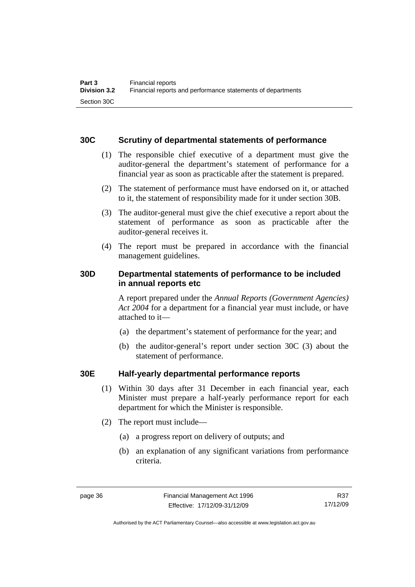### **30C Scrutiny of departmental statements of performance**

- (1) The responsible chief executive of a department must give the auditor-general the department's statement of performance for a financial year as soon as practicable after the statement is prepared.
- (2) The statement of performance must have endorsed on it, or attached to it, the statement of responsibility made for it under section 30B.
- (3) The auditor-general must give the chief executive a report about the statement of performance as soon as practicable after the auditor-general receives it.
- (4) The report must be prepared in accordance with the financial management guidelines.

# **30D Departmental statements of performance to be included in annual reports etc**

A report prepared under the *Annual Reports (Government Agencies) Act 2004* for a department for a financial year must include, or have attached to it—

- (a) the department's statement of performance for the year; and
- (b) the auditor-general's report under section 30C (3) about the statement of performance.

# **30E Half-yearly departmental performance reports**

- (1) Within 30 days after 31 December in each financial year, each Minister must prepare a half-yearly performance report for each department for which the Minister is responsible.
- (2) The report must include—
	- (a) a progress report on delivery of outputs; and
	- (b) an explanation of any significant variations from performance criteria.

R37 17/12/09

Authorised by the ACT Parliamentary Counsel—also accessible at www.legislation.act.gov.au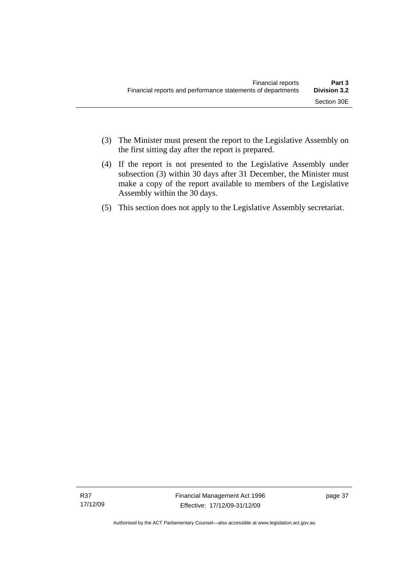- (3) The Minister must present the report to the Legislative Assembly on the first sitting day after the report is prepared.
- (4) If the report is not presented to the Legislative Assembly under subsection (3) within 30 days after 31 December, the Minister must make a copy of the report available to members of the Legislative Assembly within the 30 days.
- (5) This section does not apply to the Legislative Assembly secretariat.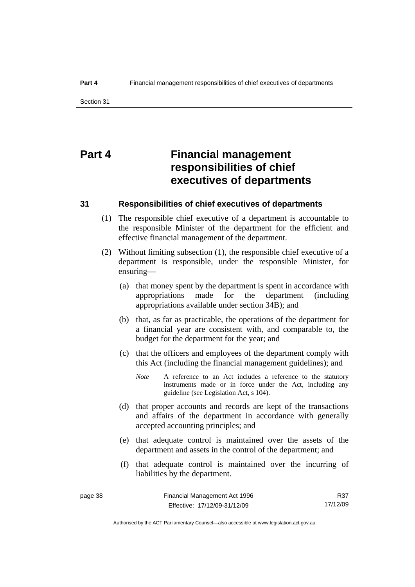# **Part 4 Financial management responsibilities of chief executives of departments**

#### **31 Responsibilities of chief executives of departments**

- (1) The responsible chief executive of a department is accountable to the responsible Minister of the department for the efficient and effective financial management of the department.
- (2) Without limiting subsection (1), the responsible chief executive of a department is responsible, under the responsible Minister, for ensuring—
	- (a) that money spent by the department is spent in accordance with appropriations made for the department (including appropriations available under section 34B); and
	- (b) that, as far as practicable, the operations of the department for a financial year are consistent with, and comparable to, the budget for the department for the year; and
	- (c) that the officers and employees of the department comply with this Act (including the financial management guidelines); and
		- *Note* A reference to an Act includes a reference to the statutory instruments made or in force under the Act, including any guideline (see Legislation Act, s 104).
	- (d) that proper accounts and records are kept of the transactions and affairs of the department in accordance with generally accepted accounting principles; and
	- (e) that adequate control is maintained over the assets of the department and assets in the control of the department; and
	- (f) that adequate control is maintained over the incurring of liabilities by the department.

R37 17/12/09

Authorised by the ACT Parliamentary Counsel—also accessible at www.legislation.act.gov.au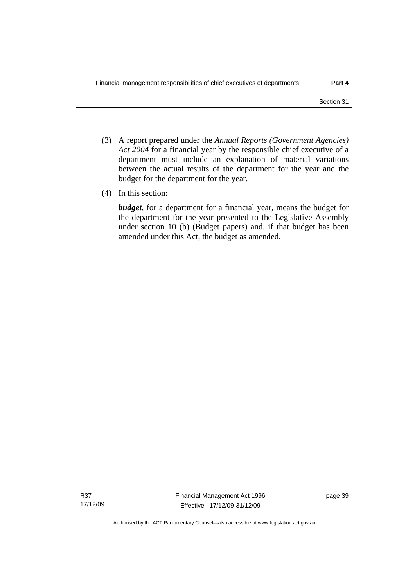- (3) A report prepared under the *Annual Reports (Government Agencies) Act 2004* for a financial year by the responsible chief executive of a department must include an explanation of material variations between the actual results of the department for the year and the budget for the department for the year.
- (4) In this section:

*budget*, for a department for a financial year, means the budget for the department for the year presented to the Legislative Assembly under section 10 (b) (Budget papers) and, if that budget has been amended under this Act, the budget as amended.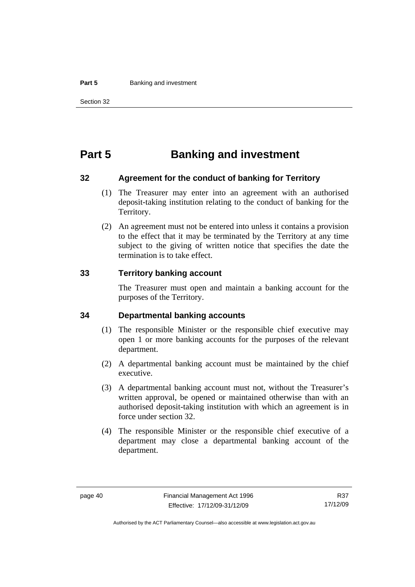#### **Part 5 Banking and investment**

# **Part 5 Banking and investment**

#### **32 Agreement for the conduct of banking for Territory**

- (1) The Treasurer may enter into an agreement with an authorised deposit-taking institution relating to the conduct of banking for the Territory.
- (2) An agreement must not be entered into unless it contains a provision to the effect that it may be terminated by the Territory at any time subject to the giving of written notice that specifies the date the termination is to take effect.

#### **33 Territory banking account**

The Treasurer must open and maintain a banking account for the purposes of the Territory.

#### **34 Departmental banking accounts**

- (1) The responsible Minister or the responsible chief executive may open 1 or more banking accounts for the purposes of the relevant department.
- (2) A departmental banking account must be maintained by the chief executive.
- (3) A departmental banking account must not, without the Treasurer's written approval, be opened or maintained otherwise than with an authorised deposit-taking institution with which an agreement is in force under section 32.
- (4) The responsible Minister or the responsible chief executive of a department may close a departmental banking account of the department.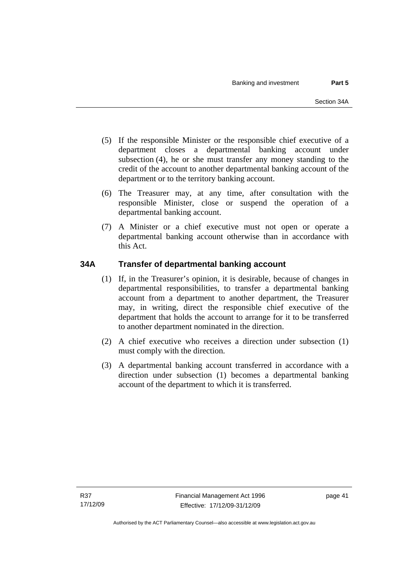- (5) If the responsible Minister or the responsible chief executive of a department closes a departmental banking account under subsection (4), he or she must transfer any money standing to the credit of the account to another departmental banking account of the department or to the territory banking account.
- (6) The Treasurer may, at any time, after consultation with the responsible Minister, close or suspend the operation of a departmental banking account.
- (7) A Minister or a chief executive must not open or operate a departmental banking account otherwise than in accordance with this Act.

# **34A Transfer of departmental banking account**

- (1) If, in the Treasurer's opinion, it is desirable, because of changes in departmental responsibilities, to transfer a departmental banking account from a department to another department, the Treasurer may, in writing, direct the responsible chief executive of the department that holds the account to arrange for it to be transferred to another department nominated in the direction.
- (2) A chief executive who receives a direction under subsection (1) must comply with the direction.
- (3) A departmental banking account transferred in accordance with a direction under subsection (1) becomes a departmental banking account of the department to which it is transferred.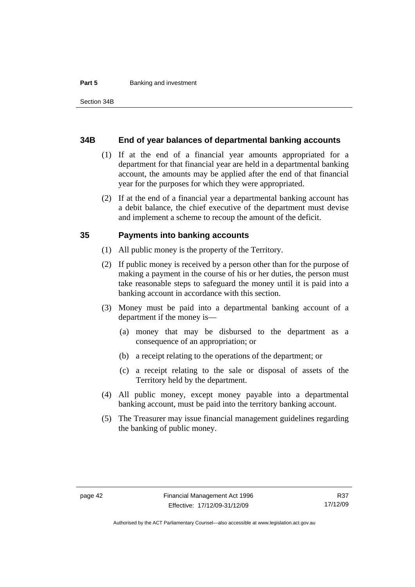#### **Part 5 Banking and investment**

#### **34B End of year balances of departmental banking accounts**

- (1) If at the end of a financial year amounts appropriated for a department for that financial year are held in a departmental banking account, the amounts may be applied after the end of that financial year for the purposes for which they were appropriated.
- (2) If at the end of a financial year a departmental banking account has a debit balance, the chief executive of the department must devise and implement a scheme to recoup the amount of the deficit.

#### **35 Payments into banking accounts**

- (1) All public money is the property of the Territory.
- (2) If public money is received by a person other than for the purpose of making a payment in the course of his or her duties, the person must take reasonable steps to safeguard the money until it is paid into a banking account in accordance with this section.
- (3) Money must be paid into a departmental banking account of a department if the money is—
	- (a) money that may be disbursed to the department as a consequence of an appropriation; or
	- (b) a receipt relating to the operations of the department; or
	- (c) a receipt relating to the sale or disposal of assets of the Territory held by the department.
- (4) All public money, except money payable into a departmental banking account, must be paid into the territory banking account.
- (5) The Treasurer may issue financial management guidelines regarding the banking of public money.

R37 17/12/09

Authorised by the ACT Parliamentary Counsel—also accessible at www.legislation.act.gov.au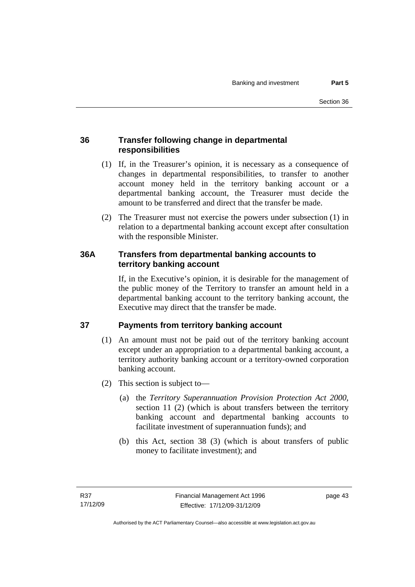# **36 Transfer following change in departmental responsibilities**

- (1) If, in the Treasurer's opinion, it is necessary as a consequence of changes in departmental responsibilities, to transfer to another account money held in the territory banking account or a departmental banking account, the Treasurer must decide the amount to be transferred and direct that the transfer be made.
- (2) The Treasurer must not exercise the powers under subsection (1) in relation to a departmental banking account except after consultation with the responsible Minister.

# **36A Transfers from departmental banking accounts to territory banking account**

If, in the Executive's opinion, it is desirable for the management of the public money of the Territory to transfer an amount held in a departmental banking account to the territory banking account, the Executive may direct that the transfer be made.

# **37 Payments from territory banking account**

- (1) An amount must not be paid out of the territory banking account except under an appropriation to a departmental banking account, a territory authority banking account or a territory-owned corporation banking account.
- (2) This section is subject to—
	- (a) the *Territory Superannuation Provision Protection Act 2000*, section 11 (2) (which is about transfers between the territory banking account and departmental banking accounts to facilitate investment of superannuation funds); and
	- (b) this Act, section 38 (3) (which is about transfers of public money to facilitate investment); and

page 43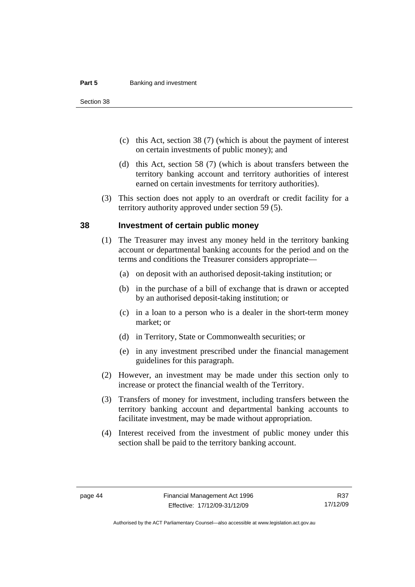#### **Part 5 Banking and investment**

Section 38

- (c) this Act, section 38 (7) (which is about the payment of interest on certain investments of public money); and
- (d) this Act, section 58 (7) (which is about transfers between the territory banking account and territory authorities of interest earned on certain investments for territory authorities).
- (3) This section does not apply to an overdraft or credit facility for a territory authority approved under section 59 (5).

#### **38 Investment of certain public money**

- (1) The Treasurer may invest any money held in the territory banking account or departmental banking accounts for the period and on the terms and conditions the Treasurer considers appropriate—
	- (a) on deposit with an authorised deposit-taking institution; or
	- (b) in the purchase of a bill of exchange that is drawn or accepted by an authorised deposit-taking institution; or
	- (c) in a loan to a person who is a dealer in the short-term money market; or
	- (d) in Territory, State or Commonwealth securities; or
	- (e) in any investment prescribed under the financial management guidelines for this paragraph.
- (2) However, an investment may be made under this section only to increase or protect the financial wealth of the Territory.
- (3) Transfers of money for investment, including transfers between the territory banking account and departmental banking accounts to facilitate investment, may be made without appropriation.
- (4) Interest received from the investment of public money under this section shall be paid to the territory banking account.

R37 17/12/09

Authorised by the ACT Parliamentary Counsel—also accessible at www.legislation.act.gov.au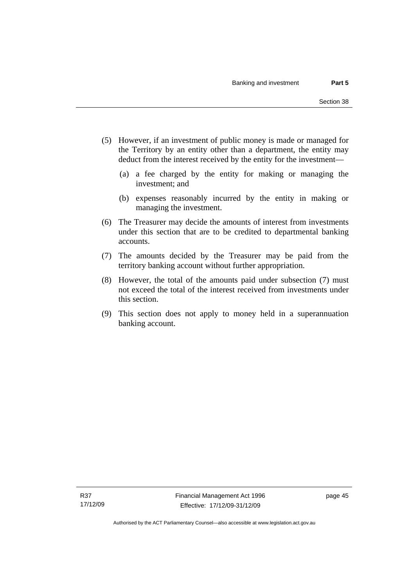- (5) However, if an investment of public money is made or managed for the Territory by an entity other than a department, the entity may deduct from the interest received by the entity for the investment—
	- (a) a fee charged by the entity for making or managing the investment; and
	- (b) expenses reasonably incurred by the entity in making or managing the investment.
- (6) The Treasurer may decide the amounts of interest from investments under this section that are to be credited to departmental banking accounts.
- (7) The amounts decided by the Treasurer may be paid from the territory banking account without further appropriation.
- (8) However, the total of the amounts paid under subsection (7) must not exceed the total of the interest received from investments under this section.
- (9) This section does not apply to money held in a superannuation banking account.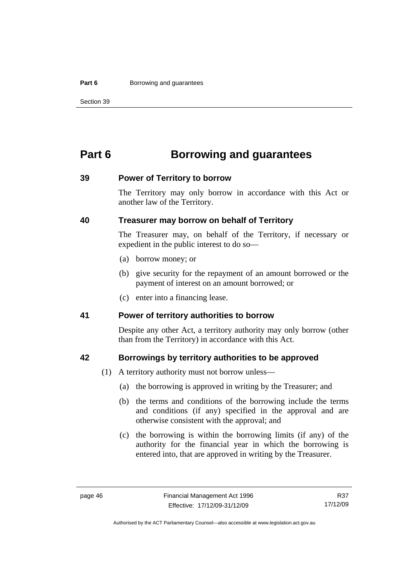#### **Part 6 Borrowing and guarantees**

Section 39

# **Part 6 Borrowing and guarantees**

#### **39 Power of Territory to borrow**

The Territory may only borrow in accordance with this Act or another law of the Territory.

### **40 Treasurer may borrow on behalf of Territory**

The Treasurer may, on behalf of the Territory, if necessary or expedient in the public interest to do so—

- (a) borrow money; or
- (b) give security for the repayment of an amount borrowed or the payment of interest on an amount borrowed; or
- (c) enter into a financing lease.

#### **41 Power of territory authorities to borrow**

Despite any other Act, a territory authority may only borrow (other than from the Territory) in accordance with this Act.

#### **42 Borrowings by territory authorities to be approved**

- (1) A territory authority must not borrow unless—
	- (a) the borrowing is approved in writing by the Treasurer; and
	- (b) the terms and conditions of the borrowing include the terms and conditions (if any) specified in the approval and are otherwise consistent with the approval; and
	- (c) the borrowing is within the borrowing limits (if any) of the authority for the financial year in which the borrowing is entered into, that are approved in writing by the Treasurer.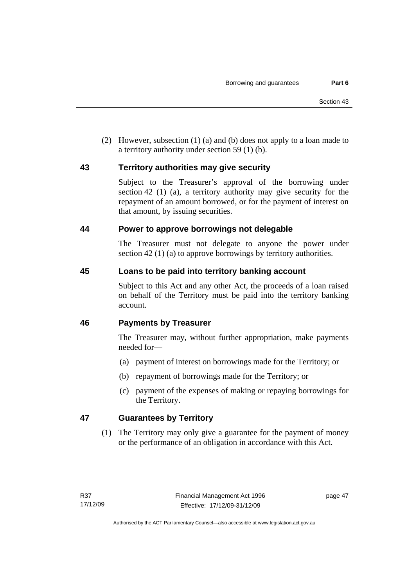(2) However, subsection (1) (a) and (b) does not apply to a loan made to a territory authority under section 59 (1) (b).

# **43 Territory authorities may give security**

Subject to the Treasurer's approval of the borrowing under section 42 (1) (a), a territory authority may give security for the repayment of an amount borrowed, or for the payment of interest on that amount, by issuing securities.

### **44 Power to approve borrowings not delegable**

The Treasurer must not delegate to anyone the power under section 42 (1) (a) to approve borrowings by territory authorities.

# **45 Loans to be paid into territory banking account**

Subject to this Act and any other Act, the proceeds of a loan raised on behalf of the Territory must be paid into the territory banking account.

# **46 Payments by Treasurer**

The Treasurer may, without further appropriation, make payments needed for—

- (a) payment of interest on borrowings made for the Territory; or
- (b) repayment of borrowings made for the Territory; or
- (c) payment of the expenses of making or repaying borrowings for the Territory.

# **47 Guarantees by Territory**

 (1) The Territory may only give a guarantee for the payment of money or the performance of an obligation in accordance with this Act.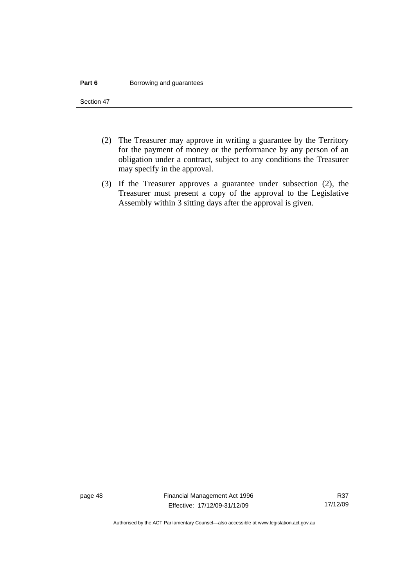#### **Part 6 Borrowing and guarantees**

Section 47

- (2) The Treasurer may approve in writing a guarantee by the Territory for the payment of money or the performance by any person of an obligation under a contract, subject to any conditions the Treasurer may specify in the approval.
- (3) If the Treasurer approves a guarantee under subsection (2), the Treasurer must present a copy of the approval to the Legislative Assembly within 3 sitting days after the approval is given.

page 48 Financial Management Act 1996 Effective: 17/12/09-31/12/09

Authorised by the ACT Parliamentary Counsel—also accessible at www.legislation.act.gov.au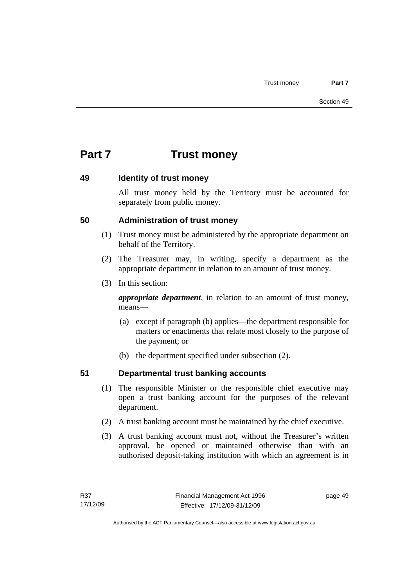# **Part 7 Trust money**

### **49 Identity of trust money**

All trust money held by the Territory must be accounted for separately from public money.

# **50 Administration of trust money**

- (1) Trust money must be administered by the appropriate department on behalf of the Territory.
- (2) The Treasurer may, in writing, specify a department as the appropriate department in relation to an amount of trust money.
- (3) In this section:

*appropriate department*, in relation to an amount of trust money, means—

- (a) except if paragraph (b) applies—the department responsible for matters or enactments that relate most closely to the purpose of the payment; or
- (b) the department specified under subsection (2).

# **51 Departmental trust banking accounts**

- (1) The responsible Minister or the responsible chief executive may open a trust banking account for the purposes of the relevant department.
- (2) A trust banking account must be maintained by the chief executive.
- (3) A trust banking account must not, without the Treasurer's written approval, be opened or maintained otherwise than with an authorised deposit-taking institution with which an agreement is in

page 49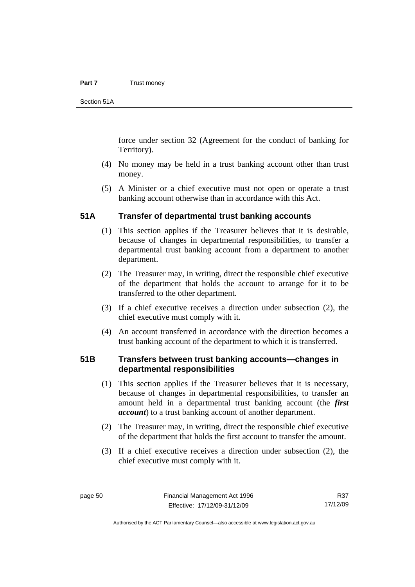#### **Part 7** Trust money

Section 51A

force under section 32 (Agreement for the conduct of banking for Territory).

- (4) No money may be held in a trust banking account other than trust money.
- (5) A Minister or a chief executive must not open or operate a trust banking account otherwise than in accordance with this Act.

#### **51A Transfer of departmental trust banking accounts**

- (1) This section applies if the Treasurer believes that it is desirable, because of changes in departmental responsibilities, to transfer a departmental trust banking account from a department to another department.
- (2) The Treasurer may, in writing, direct the responsible chief executive of the department that holds the account to arrange for it to be transferred to the other department.
- (3) If a chief executive receives a direction under subsection (2), the chief executive must comply with it.
- (4) An account transferred in accordance with the direction becomes a trust banking account of the department to which it is transferred.

#### **51B Transfers between trust banking accounts—changes in departmental responsibilities**

- (1) This section applies if the Treasurer believes that it is necessary, because of changes in departmental responsibilities, to transfer an amount held in a departmental trust banking account (the *first account*) to a trust banking account of another department.
- (2) The Treasurer may, in writing, direct the responsible chief executive of the department that holds the first account to transfer the amount.
- (3) If a chief executive receives a direction under subsection (2), the chief executive must comply with it.

R37 17/12/09

Authorised by the ACT Parliamentary Counsel—also accessible at www.legislation.act.gov.au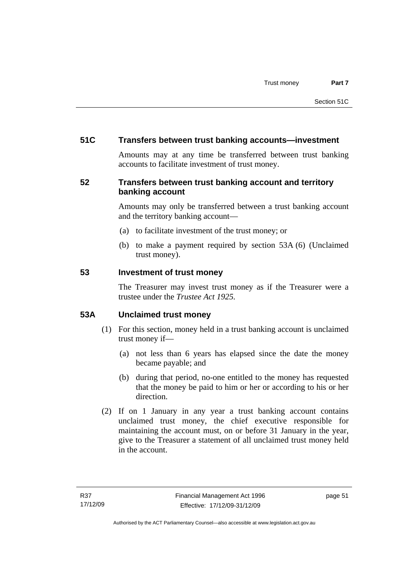### **51C Transfers between trust banking accounts—investment**

Amounts may at any time be transferred between trust banking accounts to facilitate investment of trust money.

# **52 Transfers between trust banking account and territory banking account**

Amounts may only be transferred between a trust banking account and the territory banking account—

- (a) to facilitate investment of the trust money; or
- (b) to make a payment required by section 53A (6) (Unclaimed trust money).

#### **53 Investment of trust money**

The Treasurer may invest trust money as if the Treasurer were a trustee under the *Trustee Act 1925.*

# **53A Unclaimed trust money**

- (1) For this section, money held in a trust banking account is unclaimed trust money if—
	- (a) not less than 6 years has elapsed since the date the money became payable; and
	- (b) during that period, no-one entitled to the money has requested that the money be paid to him or her or according to his or her direction.
- (2) If on 1 January in any year a trust banking account contains unclaimed trust money, the chief executive responsible for maintaining the account must, on or before 31 January in the year, give to the Treasurer a statement of all unclaimed trust money held in the account.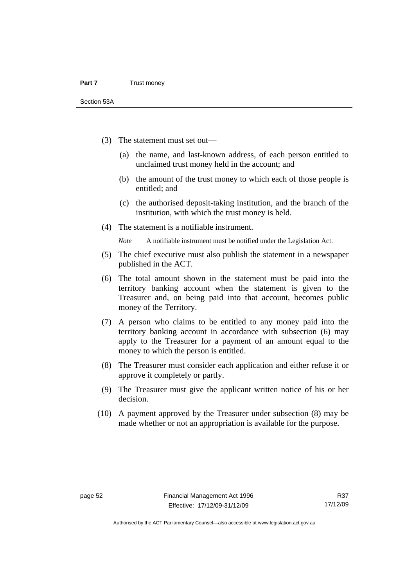- (3) The statement must set out—
	- (a) the name, and last-known address, of each person entitled to unclaimed trust money held in the account; and
	- (b) the amount of the trust money to which each of those people is entitled; and
	- (c) the authorised deposit-taking institution, and the branch of the institution, with which the trust money is held.
- (4) The statement is a notifiable instrument.

*Note* A notifiable instrument must be notified under the Legislation Act.

- (5) The chief executive must also publish the statement in a newspaper published in the ACT.
- (6) The total amount shown in the statement must be paid into the territory banking account when the statement is given to the Treasurer and, on being paid into that account, becomes public money of the Territory.
- (7) A person who claims to be entitled to any money paid into the territory banking account in accordance with subsection (6) may apply to the Treasurer for a payment of an amount equal to the money to which the person is entitled.
- (8) The Treasurer must consider each application and either refuse it or approve it completely or partly.
- (9) The Treasurer must give the applicant written notice of his or her decision.
- (10) A payment approved by the Treasurer under subsection (8) may be made whether or not an appropriation is available for the purpose.

Authorised by the ACT Parliamentary Counsel—also accessible at www.legislation.act.gov.au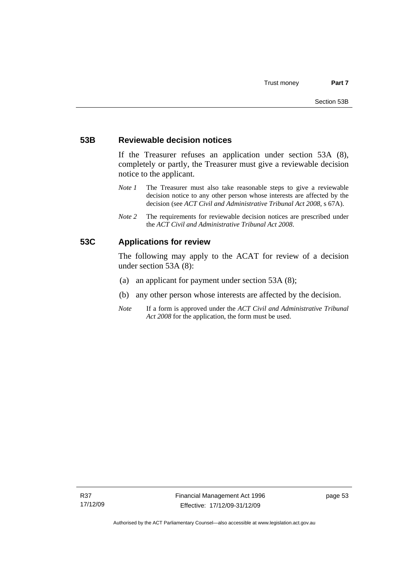#### **53B Reviewable decision notices**

If the Treasurer refuses an application under section 53A (8), completely or partly, the Treasurer must give a reviewable decision notice to the applicant.

- *Note 1* The Treasurer must also take reasonable steps to give a reviewable decision notice to any other person whose interests are affected by the decision (see *ACT Civil and Administrative Tribunal Act 2008*, s 67A).
- *Note 2* The requirements for reviewable decision notices are prescribed under the *ACT Civil and Administrative Tribunal Act 2008*.

### **53C Applications for review**

The following may apply to the ACAT for review of a decision under section 53A (8):

- (a) an applicant for payment under section 53A (8);
- (b) any other person whose interests are affected by the decision.
- *Note* If a form is approved under the *ACT Civil and Administrative Tribunal Act 2008* for the application, the form must be used.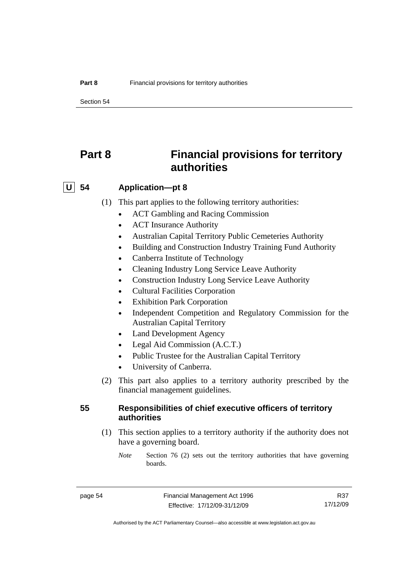Section 54

# **Part 8 Financial provisions for territory authorities**

# **U 54 Application—pt 8**

- (1) This part applies to the following territory authorities:
	- ACT Gambling and Racing Commission
	- ACT Insurance Authority
	- Australian Capital Territory Public Cemeteries Authority
	- Building and Construction Industry Training Fund Authority
	- Canberra Institute of Technology
	- Cleaning Industry Long Service Leave Authority
	- Construction Industry Long Service Leave Authority
	- Cultural Facilities Corporation
	- Exhibition Park Corporation
	- Independent Competition and Regulatory Commission for the Australian Capital Territory
	- Land Development Agency
	- Legal Aid Commission (A.C.T.)
	- Public Trustee for the Australian Capital Territory
	- University of Canberra.
- (2) This part also applies to a territory authority prescribed by the financial management guidelines.

# **55 Responsibilities of chief executive officers of territory authorities**

- (1) This section applies to a territory authority if the authority does not have a governing board.
	- *Note* Section 76 (2) sets out the territory authorities that have governing boards.

R37 17/12/09

Authorised by the ACT Parliamentary Counsel—also accessible at www.legislation.act.gov.au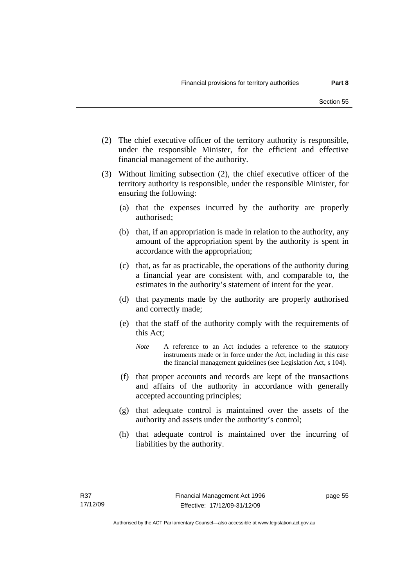- (2) The chief executive officer of the territory authority is responsible, under the responsible Minister, for the efficient and effective financial management of the authority.
- (3) Without limiting subsection (2), the chief executive officer of the territory authority is responsible, under the responsible Minister, for ensuring the following:
	- (a) that the expenses incurred by the authority are properly authorised;
	- (b) that, if an appropriation is made in relation to the authority, any amount of the appropriation spent by the authority is spent in accordance with the appropriation;
	- (c) that, as far as practicable, the operations of the authority during a financial year are consistent with, and comparable to, the estimates in the authority's statement of intent for the year.
	- (d) that payments made by the authority are properly authorised and correctly made;
	- (e) that the staff of the authority comply with the requirements of this Act;
		- *Note* A reference to an Act includes a reference to the statutory instruments made or in force under the Act, including in this case the financial management guidelines (see Legislation Act, s 104).
	- (f) that proper accounts and records are kept of the transactions and affairs of the authority in accordance with generally accepted accounting principles;
	- (g) that adequate control is maintained over the assets of the authority and assets under the authority's control;
	- (h) that adequate control is maintained over the incurring of liabilities by the authority.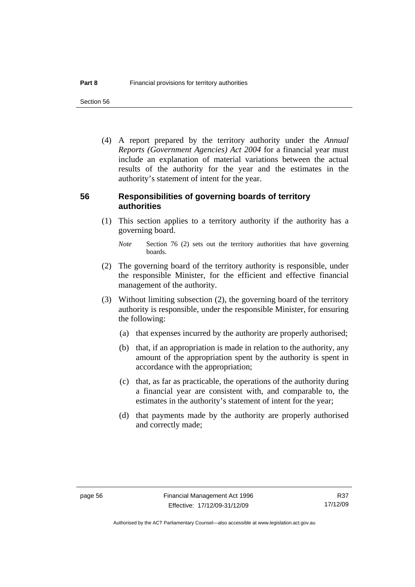Section 56

 (4) A report prepared by the territory authority under the *Annual Reports (Government Agencies) Act 2004* for a financial year must include an explanation of material variations between the actual results of the authority for the year and the estimates in the authority's statement of intent for the year.

#### **56 Responsibilities of governing boards of territory authorities**

 (1) This section applies to a territory authority if the authority has a governing board.

- (2) The governing board of the territory authority is responsible, under the responsible Minister, for the efficient and effective financial management of the authority.
- (3) Without limiting subsection (2), the governing board of the territory authority is responsible, under the responsible Minister, for ensuring the following:
	- (a) that expenses incurred by the authority are properly authorised;
	- (b) that, if an appropriation is made in relation to the authority, any amount of the appropriation spent by the authority is spent in accordance with the appropriation;
	- (c) that, as far as practicable, the operations of the authority during a financial year are consistent with, and comparable to, the estimates in the authority's statement of intent for the year;
	- (d) that payments made by the authority are properly authorised and correctly made;

*Note* Section 76 (2) sets out the territory authorities that have governing boards.

R37 17/12/09

Authorised by the ACT Parliamentary Counsel—also accessible at www.legislation.act.gov.au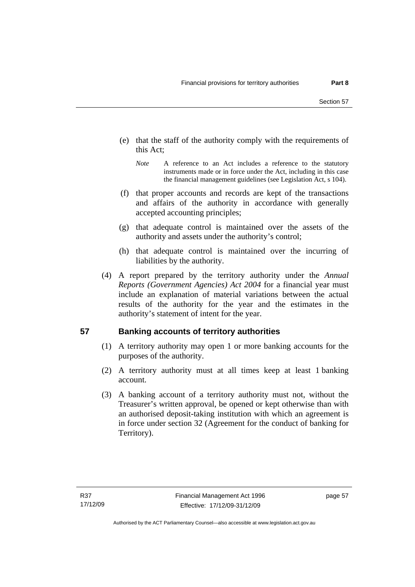- (e) that the staff of the authority comply with the requirements of this Act;
	- *Note* A reference to an Act includes a reference to the statutory instruments made or in force under the Act, including in this case the financial management guidelines (see Legislation Act, s 104).
- (f) that proper accounts and records are kept of the transactions and affairs of the authority in accordance with generally accepted accounting principles;
- (g) that adequate control is maintained over the assets of the authority and assets under the authority's control;
- (h) that adequate control is maintained over the incurring of liabilities by the authority.
- (4) A report prepared by the territory authority under the *Annual Reports (Government Agencies) Act 2004* for a financial year must include an explanation of material variations between the actual results of the authority for the year and the estimates in the authority's statement of intent for the year.

# **57 Banking accounts of territory authorities**

- (1) A territory authority may open 1 or more banking accounts for the purposes of the authority.
- (2) A territory authority must at all times keep at least 1 banking account.
- (3) A banking account of a territory authority must not, without the Treasurer's written approval, be opened or kept otherwise than with an authorised deposit-taking institution with which an agreement is in force under section 32 (Agreement for the conduct of banking for Territory).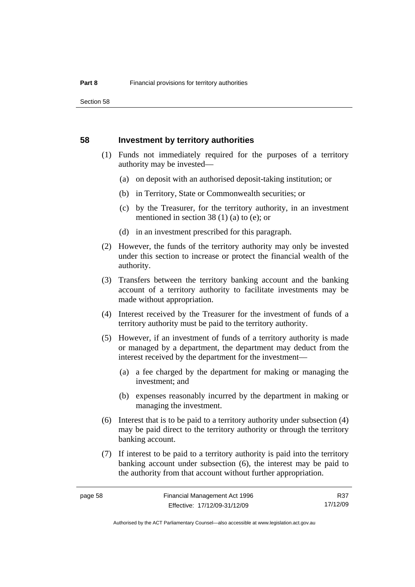Section 58

#### **58 Investment by territory authorities**

- (1) Funds not immediately required for the purposes of a territory authority may be invested—
	- (a) on deposit with an authorised deposit-taking institution; or
	- (b) in Territory, State or Commonwealth securities; or
	- (c) by the Treasurer, for the territory authority, in an investment mentioned in section 38 (1) (a) to (e); or
	- (d) in an investment prescribed for this paragraph.
- (2) However, the funds of the territory authority may only be invested under this section to increase or protect the financial wealth of the authority.
- (3) Transfers between the territory banking account and the banking account of a territory authority to facilitate investments may be made without appropriation.
- (4) Interest received by the Treasurer for the investment of funds of a territory authority must be paid to the territory authority.
- (5) However, if an investment of funds of a territory authority is made or managed by a department, the department may deduct from the interest received by the department for the investment—
	- (a) a fee charged by the department for making or managing the investment; and
	- (b) expenses reasonably incurred by the department in making or managing the investment.
- (6) Interest that is to be paid to a territory authority under subsection (4) may be paid direct to the territory authority or through the territory banking account.
- (7) If interest to be paid to a territory authority is paid into the territory banking account under subsection (6), the interest may be paid to the authority from that account without further appropriation.

R37 17/12/09

Authorised by the ACT Parliamentary Counsel—also accessible at www.legislation.act.gov.au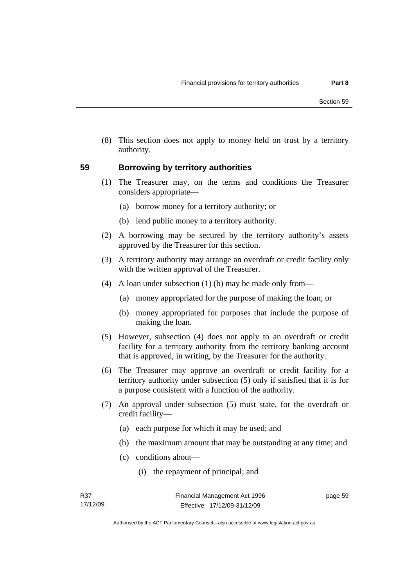(8) This section does not apply to money held on trust by a territory authority.

### **59 Borrowing by territory authorities**

- (1) The Treasurer may, on the terms and conditions the Treasurer considers appropriate—
	- (a) borrow money for a territory authority; or
	- (b) lend public money to a territory authority.
- (2) A borrowing may be secured by the territory authority's assets approved by the Treasurer for this section.
- (3) A territory authority may arrange an overdraft or credit facility only with the written approval of the Treasurer.
- (4) A loan under subsection (1) (b) may be made only from—
	- (a) money appropriated for the purpose of making the loan; or
	- (b) money appropriated for purposes that include the purpose of making the loan.
- (5) However, subsection (4) does not apply to an overdraft or credit facility for a territory authority from the territory banking account that is approved, in writing, by the Treasurer for the authority.
- (6) The Treasurer may approve an overdraft or credit facility for a territory authority under subsection (5) only if satisfied that it is for a purpose consistent with a function of the authority.
- (7) An approval under subsection (5) must state, for the overdraft or credit facility—
	- (a) each purpose for which it may be used; and
	- (b) the maximum amount that may be outstanding at any time; and
	- (c) conditions about—
		- (i) the repayment of principal; and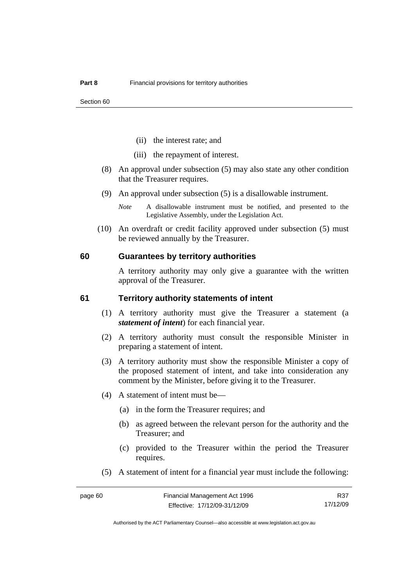- (ii) the interest rate; and
- (iii) the repayment of interest.
- (8) An approval under subsection (5) may also state any other condition that the Treasurer requires.
- (9) An approval under subsection (5) is a disallowable instrument.
	- *Note* A disallowable instrument must be notified, and presented to the Legislative Assembly, under the Legislation Act.
- (10) An overdraft or credit facility approved under subsection (5) must be reviewed annually by the Treasurer.

#### **60 Guarantees by territory authorities**

A territory authority may only give a guarantee with the written approval of the Treasurer.

#### **61 Territory authority statements of intent**

- (1) A territory authority must give the Treasurer a statement (a *statement of intent*) for each financial year.
- (2) A territory authority must consult the responsible Minister in preparing a statement of intent.
- (3) A territory authority must show the responsible Minister a copy of the proposed statement of intent, and take into consideration any comment by the Minister, before giving it to the Treasurer.
- (4) A statement of intent must be—
	- (a) in the form the Treasurer requires; and
	- (b) as agreed between the relevant person for the authority and the Treasurer; and
	- (c) provided to the Treasurer within the period the Treasurer requires.
- (5) A statement of intent for a financial year must include the following:

R37 17/12/09

Authorised by the ACT Parliamentary Counsel—also accessible at www.legislation.act.gov.au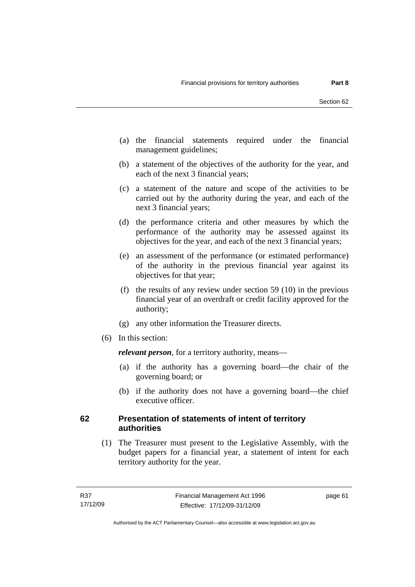- (a) the financial statements required under the financial management guidelines;
- (b) a statement of the objectives of the authority for the year, and each of the next 3 financial years;
- (c) a statement of the nature and scope of the activities to be carried out by the authority during the year, and each of the next 3 financial years;
- (d) the performance criteria and other measures by which the performance of the authority may be assessed against its objectives for the year, and each of the next 3 financial years;
- (e) an assessment of the performance (or estimated performance) of the authority in the previous financial year against its objectives for that year;
- (f) the results of any review under section 59 (10) in the previous financial year of an overdraft or credit facility approved for the authority;
- (g) any other information the Treasurer directs.
- (6) In this section:

*relevant person*, for a territory authority, means—

- (a) if the authority has a governing board—the chair of the governing board; or
- (b) if the authority does not have a governing board—the chief executive officer.

### **62 Presentation of statements of intent of territory authorities**

 (1) The Treasurer must present to the Legislative Assembly, with the budget papers for a financial year, a statement of intent for each territory authority for the year.

page 61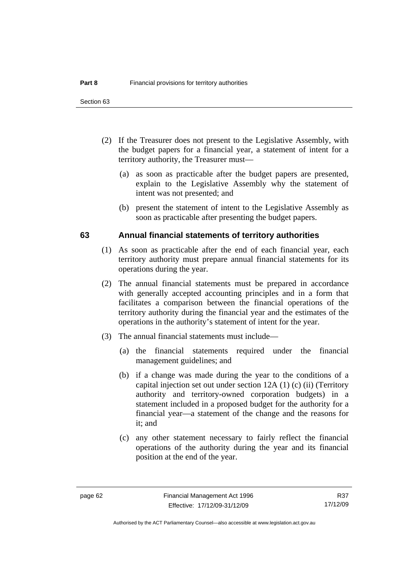- (2) If the Treasurer does not present to the Legislative Assembly, with the budget papers for a financial year, a statement of intent for a territory authority, the Treasurer must—
	- (a) as soon as practicable after the budget papers are presented, explain to the Legislative Assembly why the statement of intent was not presented; and
	- (b) present the statement of intent to the Legislative Assembly as soon as practicable after presenting the budget papers.

#### **63 Annual financial statements of territory authorities**

- (1) As soon as practicable after the end of each financial year, each territory authority must prepare annual financial statements for its operations during the year.
- (2) The annual financial statements must be prepared in accordance with generally accepted accounting principles and in a form that facilitates a comparison between the financial operations of the territory authority during the financial year and the estimates of the operations in the authority's statement of intent for the year.
- (3) The annual financial statements must include—
	- (a) the financial statements required under the financial management guidelines; and
	- (b) if a change was made during the year to the conditions of a capital injection set out under section 12A (1) (c) (ii) (Territory authority and territory-owned corporation budgets) in a statement included in a proposed budget for the authority for a financial year—a statement of the change and the reasons for it; and
	- (c) any other statement necessary to fairly reflect the financial operations of the authority during the year and its financial position at the end of the year.

R37 17/12/09

Authorised by the ACT Parliamentary Counsel—also accessible at www.legislation.act.gov.au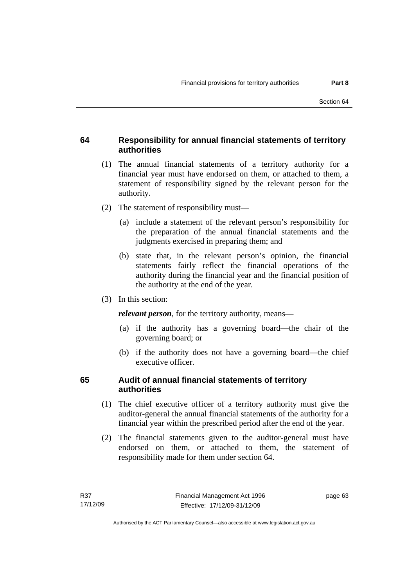## **64 Responsibility for annual financial statements of territory authorities**

- (1) The annual financial statements of a territory authority for a financial year must have endorsed on them, or attached to them, a statement of responsibility signed by the relevant person for the authority.
- (2) The statement of responsibility must—
	- (a) include a statement of the relevant person's responsibility for the preparation of the annual financial statements and the judgments exercised in preparing them; and
	- (b) state that, in the relevant person's opinion, the financial statements fairly reflect the financial operations of the authority during the financial year and the financial position of the authority at the end of the year.
- (3) In this section:

*relevant person*, for the territory authority, means—

- (a) if the authority has a governing board—the chair of the governing board; or
- (b) if the authority does not have a governing board—the chief executive officer.

## **65 Audit of annual financial statements of territory authorities**

- (1) The chief executive officer of a territory authority must give the auditor-general the annual financial statements of the authority for a financial year within the prescribed period after the end of the year.
- (2) The financial statements given to the auditor-general must have endorsed on them, or attached to them, the statement of responsibility made for them under section 64.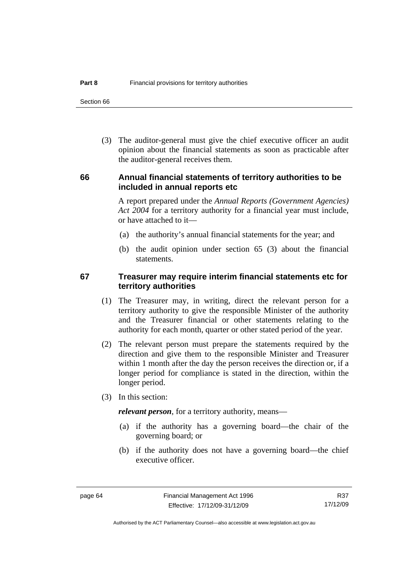Section 66

 (3) The auditor-general must give the chief executive officer an audit opinion about the financial statements as soon as practicable after the auditor-general receives them.

#### **66 Annual financial statements of territory authorities to be included in annual reports etc**

A report prepared under the *Annual Reports (Government Agencies) Act 2004* for a territory authority for a financial year must include, or have attached to it—

- (a) the authority's annual financial statements for the year; and
- (b) the audit opinion under section 65 (3) about the financial statements.

#### **67 Treasurer may require interim financial statements etc for territory authorities**

- (1) The Treasurer may, in writing, direct the relevant person for a territory authority to give the responsible Minister of the authority and the Treasurer financial or other statements relating to the authority for each month, quarter or other stated period of the year.
- (2) The relevant person must prepare the statements required by the direction and give them to the responsible Minister and Treasurer within 1 month after the day the person receives the direction or, if a longer period for compliance is stated in the direction, within the longer period.
- (3) In this section:

*relevant person*, for a territory authority, means—

- (a) if the authority has a governing board—the chair of the governing board; or
- (b) if the authority does not have a governing board—the chief executive officer.

R37 17/12/09

Authorised by the ACT Parliamentary Counsel—also accessible at www.legislation.act.gov.au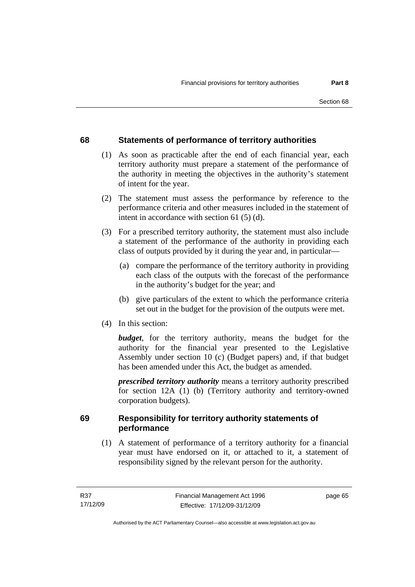# **68 Statements of performance of territory authorities**

- (1) As soon as practicable after the end of each financial year, each territory authority must prepare a statement of the performance of the authority in meeting the objectives in the authority's statement of intent for the year.
- (2) The statement must assess the performance by reference to the performance criteria and other measures included in the statement of intent in accordance with section 61 (5) (d).
- (3) For a prescribed territory authority, the statement must also include a statement of the performance of the authority in providing each class of outputs provided by it during the year and, in particular—
	- (a) compare the performance of the territory authority in providing each class of the outputs with the forecast of the performance in the authority's budget for the year; and
	- (b) give particulars of the extent to which the performance criteria set out in the budget for the provision of the outputs were met.
- (4) In this section:

*budget*, for the territory authority, means the budget for the authority for the financial year presented to the Legislative Assembly under section 10 (c) (Budget papers) and, if that budget has been amended under this Act, the budget as amended.

*prescribed territory authority* means a territory authority prescribed for section 12A (1) (b) (Territory authority and territory-owned corporation budgets).

## **69 Responsibility for territory authority statements of performance**

 (1) A statement of performance of a territory authority for a financial year must have endorsed on it, or attached to it, a statement of responsibility signed by the relevant person for the authority.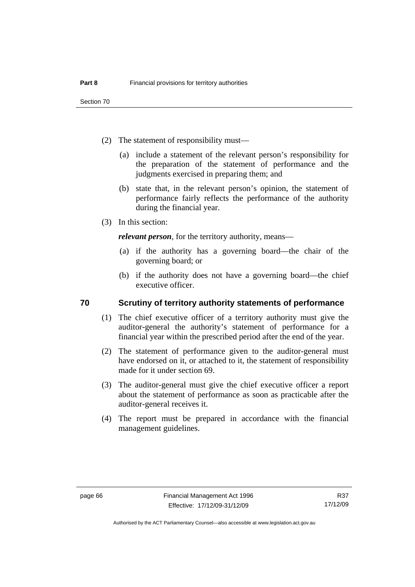Section 70

- (2) The statement of responsibility must—
	- (a) include a statement of the relevant person's responsibility for the preparation of the statement of performance and the judgments exercised in preparing them; and
	- (b) state that, in the relevant person's opinion, the statement of performance fairly reflects the performance of the authority during the financial year.
- (3) In this section:

*relevant person*, for the territory authority, means—

- (a) if the authority has a governing board—the chair of the governing board; or
- (b) if the authority does not have a governing board—the chief executive officer.

#### **70 Scrutiny of territory authority statements of performance**

- (1) The chief executive officer of a territory authority must give the auditor-general the authority's statement of performance for a financial year within the prescribed period after the end of the year.
- (2) The statement of performance given to the auditor-general must have endorsed on it, or attached to it, the statement of responsibility made for it under section 69.
- (3) The auditor-general must give the chief executive officer a report about the statement of performance as soon as practicable after the auditor-general receives it.
- (4) The report must be prepared in accordance with the financial management guidelines.

R37 17/12/09

Authorised by the ACT Parliamentary Counsel—also accessible at www.legislation.act.gov.au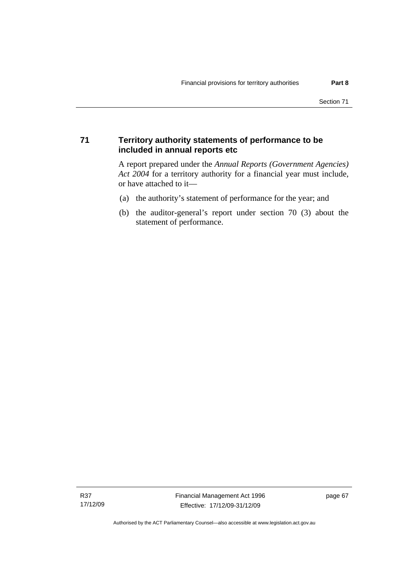#### **71 Territory authority statements of performance to be included in annual reports etc**

A report prepared under the *Annual Reports (Government Agencies) Act 2004* for a territory authority for a financial year must include, or have attached to it—

- (a) the authority's statement of performance for the year; and
- (b) the auditor-general's report under section 70 (3) about the statement of performance.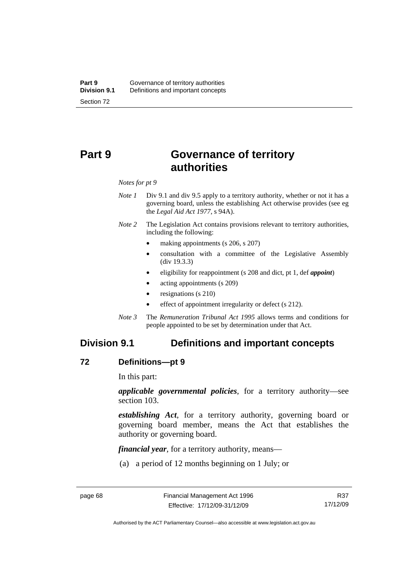# **Part 9 Governance of territory authorities**

*Notes for pt 9* 

- *Note 1* Div 9.1 and div 9.5 apply to a territory authority, whether or not it has a governing board, unless the establishing Act otherwise provides (see eg the *Legal Aid Act 1977*, s 94A).
- *Note 2* The Legislation Act contains provisions relevant to territory authorities, including the following:
	- making appointments (s 206, s 207)
	- consultation with a committee of the Legislative Assembly (div 19.3.3)
	- eligibility for reappointment (s 208 and dict, pt 1, def *appoint*)
	- acting appointments (s 209)
	- resignations (s 210)
	- effect of appointment irregularity or defect (s 212).
- *Note 3* The *Remuneration Tribunal Act 1995* allows terms and conditions for people appointed to be set by determination under that Act.

# **Division 9.1 Definitions and important concepts**

#### **72 Definitions—pt 9**

In this part:

*applicable governmental policies*, for a territory authority—see section 103.

*establishing Act*, for a territory authority, governing board or governing board member, means the Act that establishes the authority or governing board.

*financial year*, for a territory authority, means—

(a) a period of 12 months beginning on 1 July; or

R37 17/12/09

Authorised by the ACT Parliamentary Counsel—also accessible at www.legislation.act.gov.au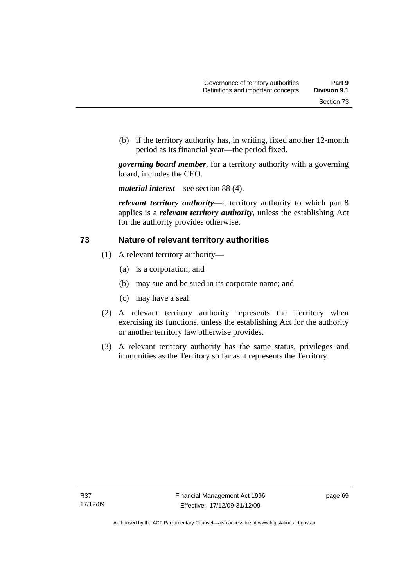(b) if the territory authority has, in writing, fixed another 12-month period as its financial year—the period fixed.

*governing board member*, for a territory authority with a governing board, includes the CEO.

*material interest*—see section 88 (4).

*relevant territory authority*—a territory authority to which part 8 applies is a *relevant territory authority*, unless the establishing Act for the authority provides otherwise.

#### **73 Nature of relevant territory authorities**

- (1) A relevant territory authority—
	- (a) is a corporation; and
	- (b) may sue and be sued in its corporate name; and
	- (c) may have a seal.
- (2) A relevant territory authority represents the Territory when exercising its functions, unless the establishing Act for the authority or another territory law otherwise provides.
- (3) A relevant territory authority has the same status, privileges and immunities as the Territory so far as it represents the Territory.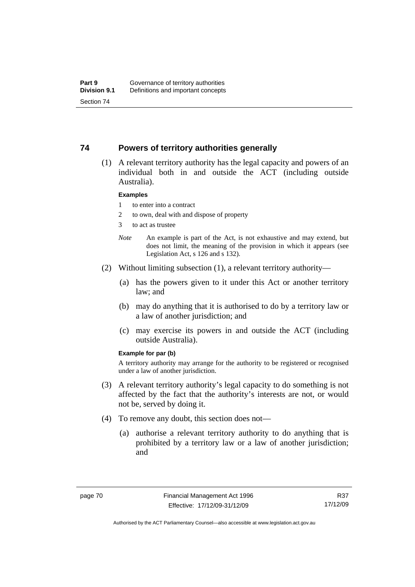#### **74 Powers of territory authorities generally**

 (1) A relevant territory authority has the legal capacity and powers of an individual both in and outside the ACT (including outside Australia).

#### **Examples**

- 1 to enter into a contract
- 2 to own, deal with and dispose of property
- 3 to act as trustee
- *Note* An example is part of the Act, is not exhaustive and may extend, but does not limit, the meaning of the provision in which it appears (see Legislation Act, s 126 and s 132).
- (2) Without limiting subsection (1), a relevant territory authority—
	- (a) has the powers given to it under this Act or another territory law; and
	- (b) may do anything that it is authorised to do by a territory law or a law of another jurisdiction; and
	- (c) may exercise its powers in and outside the ACT (including outside Australia).

#### **Example for par (b)**

A territory authority may arrange for the authority to be registered or recognised under a law of another jurisdiction.

- (3) A relevant territory authority's legal capacity to do something is not affected by the fact that the authority's interests are not, or would not be, served by doing it.
- (4) To remove any doubt, this section does not—
	- (a) authorise a relevant territory authority to do anything that is prohibited by a territory law or a law of another jurisdiction; and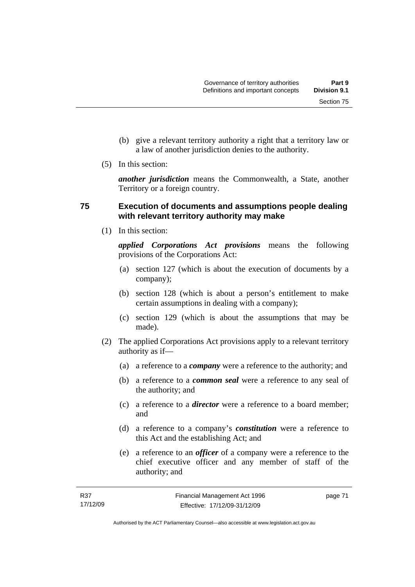- (b) give a relevant territory authority a right that a territory law or a law of another jurisdiction denies to the authority.
- (5) In this section:

*another jurisdiction* means the Commonwealth, a State, another Territory or a foreign country.

#### **75 Execution of documents and assumptions people dealing with relevant territory authority may make**

(1) In this section:

*applied Corporations Act provisions* means the following provisions of the Corporations Act:

- (a) section 127 (which is about the execution of documents by a company);
- (b) section 128 (which is about a person's entitlement to make certain assumptions in dealing with a company);
- (c) section 129 (which is about the assumptions that may be made).
- (2) The applied Corporations Act provisions apply to a relevant territory authority as if—
	- (a) a reference to a *company* were a reference to the authority; and
	- (b) a reference to a *common seal* were a reference to any seal of the authority; and
	- (c) a reference to a *director* were a reference to a board member; and
	- (d) a reference to a company's *constitution* were a reference to this Act and the establishing Act; and
	- (e) a reference to an *officer* of a company were a reference to the chief executive officer and any member of staff of the authority; and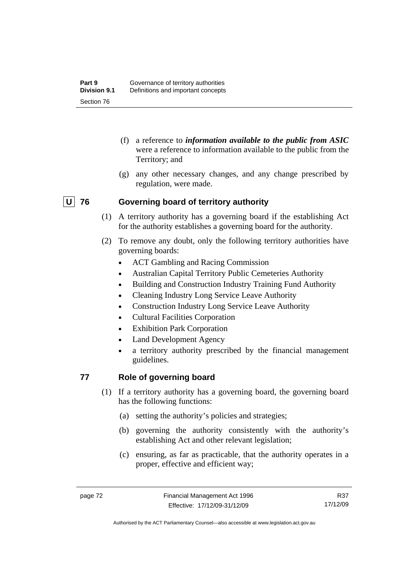- (f) a reference to *information available to the public from ASIC*  were a reference to information available to the public from the Territory; and
- (g) any other necessary changes, and any change prescribed by regulation, were made.

## **U 76 Governing board of territory authority**

- (1) A territory authority has a governing board if the establishing Act for the authority establishes a governing board for the authority.
- (2) To remove any doubt, only the following territory authorities have governing boards:
	- ACT Gambling and Racing Commission
	- Australian Capital Territory Public Cemeteries Authority
	- Building and Construction Industry Training Fund Authority
	- Cleaning Industry Long Service Leave Authority
	- Construction Industry Long Service Leave Authority
	- Cultural Facilities Corporation
	- **Exhibition Park Corporation**
	- Land Development Agency
	- a territory authority prescribed by the financial management guidelines.

# **77 Role of governing board**

- (1) If a territory authority has a governing board, the governing board has the following functions:
	- (a) setting the authority's policies and strategies;
	- (b) governing the authority consistently with the authority's establishing Act and other relevant legislation;
	- (c) ensuring, as far as practicable, that the authority operates in a proper, effective and efficient way;

R37 17/12/09

Authorised by the ACT Parliamentary Counsel—also accessible at www.legislation.act.gov.au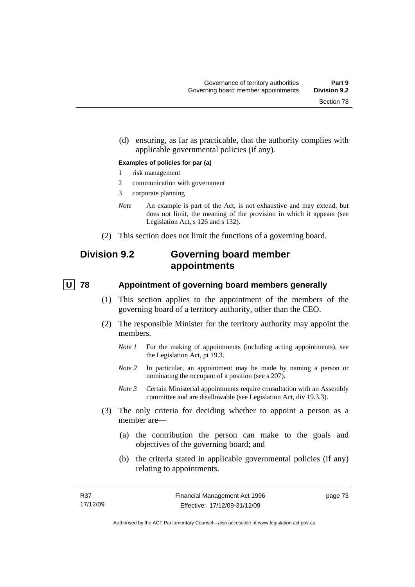(d) ensuring, as far as practicable, that the authority complies with applicable governmental policies (if any).

#### **Examples of policies for par (a)**

- 1 risk management
- 2 communication with government
- 3 corporate planning
- *Note* An example is part of the Act, is not exhaustive and may extend, but does not limit, the meaning of the provision in which it appears (see Legislation Act, s 126 and s 132).
- (2) This section does not limit the functions of a governing board.

# **Division 9.2 Governing board member appointments**

#### **U** 78 Appointment of governing board members generally

- (1) This section applies to the appointment of the members of the governing board of a territory authority, other than the CEO.
- (2) The responsible Minister for the territory authority may appoint the members.
	- *Note 1* For the making of appointments (including acting appointments), see the Legislation Act, pt 19.3.
	- *Note* 2 In particular, an appointment may be made by naming a person or nominating the occupant of a position (see s 207).
	- *Note 3* Certain Ministerial appointments require consultation with an Assembly committee and are disallowable (see Legislation Act, div 19.3.3).
- (3) The only criteria for deciding whether to appoint a person as a member are—
	- (a) the contribution the person can make to the goals and objectives of the governing board; and
	- (b) the criteria stated in applicable governmental policies (if any) relating to appointments.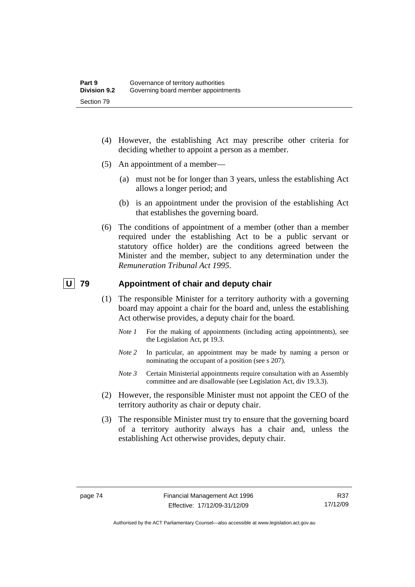- (4) However, the establishing Act may prescribe other criteria for deciding whether to appoint a person as a member.
- (5) An appointment of a member—
	- (a) must not be for longer than 3 years, unless the establishing Act allows a longer period; and
	- (b) is an appointment under the provision of the establishing Act that establishes the governing board.
- (6) The conditions of appointment of a member (other than a member required under the establishing Act to be a public servant or statutory office holder) are the conditions agreed between the Minister and the member, subject to any determination under the *Remuneration Tribunal Act 1995*.

#### **U 79 Appointment of chair and deputy chair**

- (1) The responsible Minister for a territory authority with a governing board may appoint a chair for the board and, unless the establishing Act otherwise provides, a deputy chair for the board.
	- *Note 1* For the making of appointments (including acting appointments), see the Legislation Act, pt 19.3.
	- *Note 2* In particular, an appointment may be made by naming a person or nominating the occupant of a position (see s 207).
	- *Note 3* Certain Ministerial appointments require consultation with an Assembly committee and are disallowable (see Legislation Act, div 19.3.3).
- (2) However, the responsible Minister must not appoint the CEO of the territory authority as chair or deputy chair.
- (3) The responsible Minister must try to ensure that the governing board of a territory authority always has a chair and, unless the establishing Act otherwise provides, deputy chair.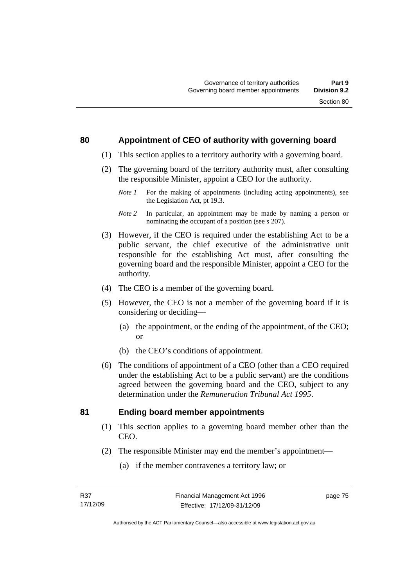#### **80 Appointment of CEO of authority with governing board**

- (1) This section applies to a territory authority with a governing board.
- (2) The governing board of the territory authority must, after consulting the responsible Minister, appoint a CEO for the authority.
	- *Note 1* For the making of appointments (including acting appointments), see the Legislation Act, pt 19.3.
	- *Note 2* In particular, an appointment may be made by naming a person or nominating the occupant of a position (see s 207).
- (3) However, if the CEO is required under the establishing Act to be a public servant, the chief executive of the administrative unit responsible for the establishing Act must, after consulting the governing board and the responsible Minister, appoint a CEO for the authority.
- (4) The CEO is a member of the governing board.
- (5) However, the CEO is not a member of the governing board if it is considering or deciding—
	- (a) the appointment, or the ending of the appointment, of the CEO; or
	- (b) the CEO's conditions of appointment.
- (6) The conditions of appointment of a CEO (other than a CEO required under the establishing Act to be a public servant) are the conditions agreed between the governing board and the CEO, subject to any determination under the *Remuneration Tribunal Act 1995*.

## **81 Ending board member appointments**

- (1) This section applies to a governing board member other than the CEO.
- (2) The responsible Minister may end the member's appointment—
	- (a) if the member contravenes a territory law; or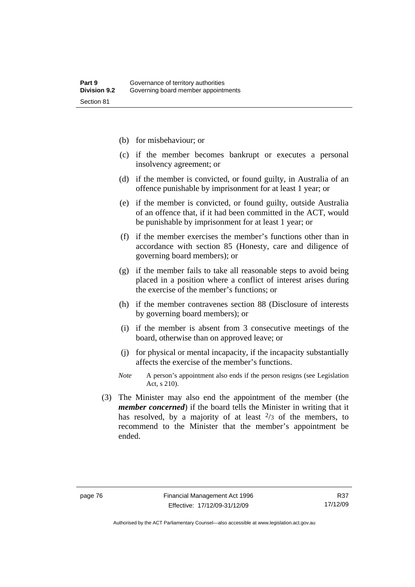- (b) for misbehaviour; or
- (c) if the member becomes bankrupt or executes a personal insolvency agreement; or
- (d) if the member is convicted, or found guilty, in Australia of an offence punishable by imprisonment for at least 1 year; or
- (e) if the member is convicted, or found guilty, outside Australia of an offence that, if it had been committed in the ACT, would be punishable by imprisonment for at least 1 year; or
- (f) if the member exercises the member's functions other than in accordance with section 85 (Honesty, care and diligence of governing board members); or
- (g) if the member fails to take all reasonable steps to avoid being placed in a position where a conflict of interest arises during the exercise of the member's functions; or
- (h) if the member contravenes section 88 (Disclosure of interests by governing board members); or
- (i) if the member is absent from 3 consecutive meetings of the board, otherwise than on approved leave; or
- (j) for physical or mental incapacity, if the incapacity substantially affects the exercise of the member's functions.
- *Note* A person's appointment also ends if the person resigns (see Legislation Act, s 210).
- (3) The Minister may also end the appointment of the member (the *member concerned*) if the board tells the Minister in writing that it has resolved, by a majority of at least  $\frac{2}{3}$  of the members, to recommend to the Minister that the member's appointment be ended.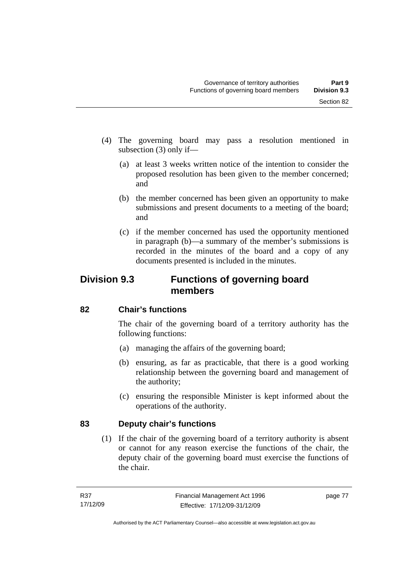- (4) The governing board may pass a resolution mentioned in subsection (3) only if—
	- (a) at least 3 weeks written notice of the intention to consider the proposed resolution has been given to the member concerned; and
	- (b) the member concerned has been given an opportunity to make submissions and present documents to a meeting of the board; and
	- (c) if the member concerned has used the opportunity mentioned in paragraph (b)—a summary of the member's submissions is recorded in the minutes of the board and a copy of any documents presented is included in the minutes.

# **Division 9.3 Functions of governing board members**

## **82 Chair's functions**

The chair of the governing board of a territory authority has the following functions:

- (a) managing the affairs of the governing board;
- (b) ensuring, as far as practicable, that there is a good working relationship between the governing board and management of the authority;
- (c) ensuring the responsible Minister is kept informed about the operations of the authority.

## **83 Deputy chair's functions**

 (1) If the chair of the governing board of a territory authority is absent or cannot for any reason exercise the functions of the chair, the deputy chair of the governing board must exercise the functions of the chair.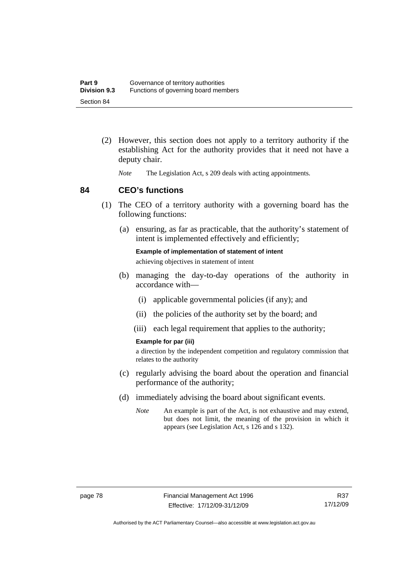- (2) However, this section does not apply to a territory authority if the establishing Act for the authority provides that it need not have a deputy chair.
	- *Note* The Legislation Act, s 209 deals with acting appointments.

#### **84 CEO's functions**

- (1) The CEO of a territory authority with a governing board has the following functions:
	- (a) ensuring, as far as practicable, that the authority's statement of intent is implemented effectively and efficiently;

**Example of implementation of statement of intent**  achieving objectives in statement of intent

- (b) managing the day-to-day operations of the authority in accordance with—
	- (i) applicable governmental policies (if any); and
	- (ii) the policies of the authority set by the board; and
	- (iii) each legal requirement that applies to the authority;

#### **Example for par (iii)**

a direction by the independent competition and regulatory commission that relates to the authority

- (c) regularly advising the board about the operation and financial performance of the authority;
- (d) immediately advising the board about significant events.
	- *Note* An example is part of the Act, is not exhaustive and may extend, but does not limit, the meaning of the provision in which it appears (see Legislation Act, s 126 and s 132).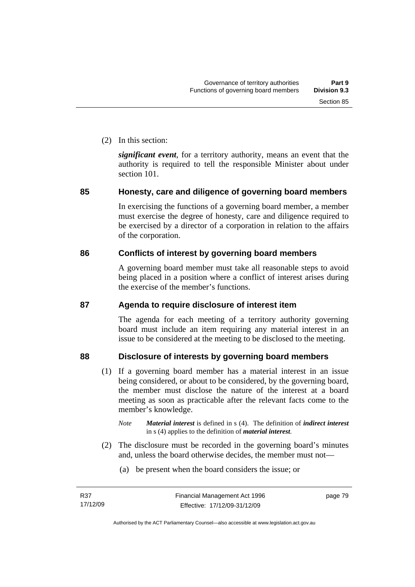(2) In this section:

*significant event*, for a territory authority, means an event that the authority is required to tell the responsible Minister about under section 101.

## **85 Honesty, care and diligence of governing board members**

In exercising the functions of a governing board member, a member must exercise the degree of honesty, care and diligence required to be exercised by a director of a corporation in relation to the affairs of the corporation.

# **86 Conflicts of interest by governing board members**

A governing board member must take all reasonable steps to avoid being placed in a position where a conflict of interest arises during the exercise of the member's functions.

## **87 Agenda to require disclosure of interest item**

The agenda for each meeting of a territory authority governing board must include an item requiring any material interest in an issue to be considered at the meeting to be disclosed to the meeting.

# **88 Disclosure of interests by governing board members**

- (1) If a governing board member has a material interest in an issue being considered, or about to be considered, by the governing board, the member must disclose the nature of the interest at a board meeting as soon as practicable after the relevant facts come to the member's knowledge.
	- *Note Material interest* is defined in s (4). The definition of *indirect interest* in s (4) applies to the definition of *material interest*.
- (2) The disclosure must be recorded in the governing board's minutes and, unless the board otherwise decides, the member must not—
	- (a) be present when the board considers the issue; or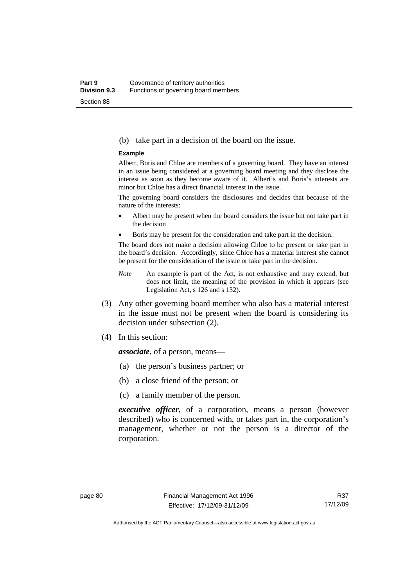#### (b) take part in a decision of the board on the issue.

#### **Example**

Albert, Boris and Chloe are members of a governing board. They have an interest in an issue being considered at a governing board meeting and they disclose the interest as soon as they become aware of it. Albert's and Boris's interests are minor but Chloe has a direct financial interest in the issue.

The governing board considers the disclosures and decides that because of the nature of the interests:

- Albert may be present when the board considers the issue but not take part in the decision
- Boris may be present for the consideration and take part in the decision.

The board does not make a decision allowing Chloe to be present or take part in the board's decision. Accordingly, since Chloe has a material interest she cannot be present for the consideration of the issue or take part in the decision.

- *Note* An example is part of the Act, is not exhaustive and may extend, but does not limit, the meaning of the provision in which it appears (see Legislation Act, s 126 and s 132).
- (3) Any other governing board member who also has a material interest in the issue must not be present when the board is considering its decision under subsection (2).
- (4) In this section:

*associate*, of a person, means—

- (a) the person's business partner; or
- (b) a close friend of the person; or
- (c) a family member of the person.

*executive officer*, of a corporation, means a person (however described) who is concerned with, or takes part in, the corporation's management, whether or not the person is a director of the corporation.

R37 17/12/09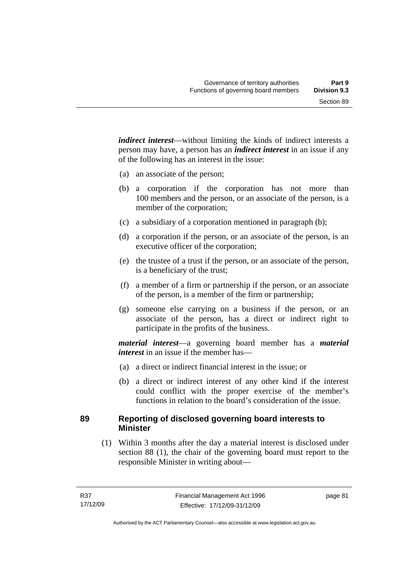*indirect interest*—without limiting the kinds of indirect interests a person may have, a person has an *indirect interest* in an issue if any of the following has an interest in the issue:

- (a) an associate of the person;
- (b) a corporation if the corporation has not more than 100 members and the person, or an associate of the person, is a member of the corporation;
- (c) a subsidiary of a corporation mentioned in paragraph (b);
- (d) a corporation if the person, or an associate of the person, is an executive officer of the corporation;
- (e) the trustee of a trust if the person, or an associate of the person, is a beneficiary of the trust;
- (f) a member of a firm or partnership if the person, or an associate of the person, is a member of the firm or partnership;
- (g) someone else carrying on a business if the person, or an associate of the person, has a direct or indirect right to participate in the profits of the business.

*material interest*—a governing board member has a *material interest* in an issue if the member has—

- (a) a direct or indirect financial interest in the issue; or
- (b) a direct or indirect interest of any other kind if the interest could conflict with the proper exercise of the member's functions in relation to the board's consideration of the issue.

## **89 Reporting of disclosed governing board interests to Minister**

 (1) Within 3 months after the day a material interest is disclosed under section 88 (1), the chair of the governing board must report to the responsible Minister in writing about—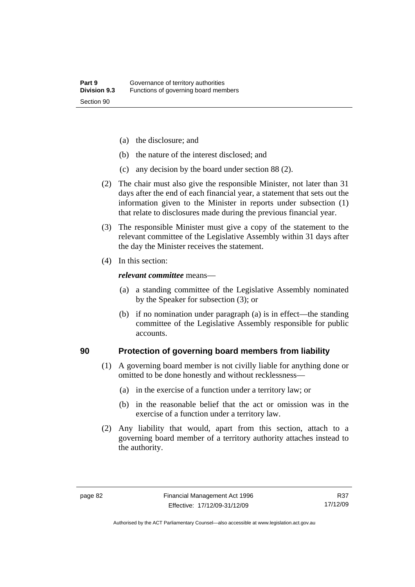- (a) the disclosure; and
- (b) the nature of the interest disclosed; and
- (c) any decision by the board under section 88 (2).
- (2) The chair must also give the responsible Minister, not later than 31 days after the end of each financial year, a statement that sets out the information given to the Minister in reports under subsection (1) that relate to disclosures made during the previous financial year.
- (3) The responsible Minister must give a copy of the statement to the relevant committee of the Legislative Assembly within 31 days after the day the Minister receives the statement.
- (4) In this section:

#### *relevant committee* means—

- (a) a standing committee of the Legislative Assembly nominated by the Speaker for subsection (3); or
- (b) if no nomination under paragraph (a) is in effect—the standing committee of the Legislative Assembly responsible for public accounts.

#### **90 Protection of governing board members from liability**

- (1) A governing board member is not civilly liable for anything done or omitted to be done honestly and without recklessness—
	- (a) in the exercise of a function under a territory law; or
	- (b) in the reasonable belief that the act or omission was in the exercise of a function under a territory law.
- (2) Any liability that would, apart from this section, attach to a governing board member of a territory authority attaches instead to the authority.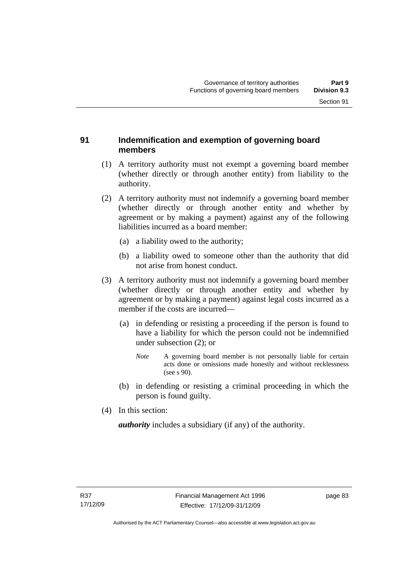#### **91 Indemnification and exemption of governing board members**

- (1) A territory authority must not exempt a governing board member (whether directly or through another entity) from liability to the authority.
- (2) A territory authority must not indemnify a governing board member (whether directly or through another entity and whether by agreement or by making a payment) against any of the following liabilities incurred as a board member:
	- (a) a liability owed to the authority;
	- (b) a liability owed to someone other than the authority that did not arise from honest conduct.
- (3) A territory authority must not indemnify a governing board member (whether directly or through another entity and whether by agreement or by making a payment) against legal costs incurred as a member if the costs are incurred—
	- (a) in defending or resisting a proceeding if the person is found to have a liability for which the person could not be indemnified under subsection (2); or
		- *Note* A governing board member is not personally liable for certain acts done or omissions made honestly and without recklessness (see s 90).
	- (b) in defending or resisting a criminal proceeding in which the person is found guilty.
- (4) In this section:

*authority* includes a subsidiary (if any) of the authority.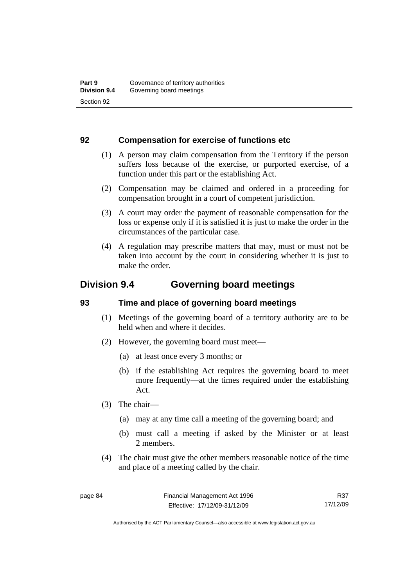#### **92 Compensation for exercise of functions etc**

- (1) A person may claim compensation from the Territory if the person suffers loss because of the exercise, or purported exercise, of a function under this part or the establishing Act.
- (2) Compensation may be claimed and ordered in a proceeding for compensation brought in a court of competent jurisdiction.
- (3) A court may order the payment of reasonable compensation for the loss or expense only if it is satisfied it is just to make the order in the circumstances of the particular case.
- (4) A regulation may prescribe matters that may, must or must not be taken into account by the court in considering whether it is just to make the order.

# **Division 9.4 Governing board meetings**

## **93 Time and place of governing board meetings**

- (1) Meetings of the governing board of a territory authority are to be held when and where it decides.
- (2) However, the governing board must meet—
	- (a) at least once every 3 months; or
	- (b) if the establishing Act requires the governing board to meet more frequently—at the times required under the establishing Act.
- (3) The chair—
	- (a) may at any time call a meeting of the governing board; and
	- (b) must call a meeting if asked by the Minister or at least 2 members.
- (4) The chair must give the other members reasonable notice of the time and place of a meeting called by the chair.

R37 17/12/09

Authorised by the ACT Parliamentary Counsel—also accessible at www.legislation.act.gov.au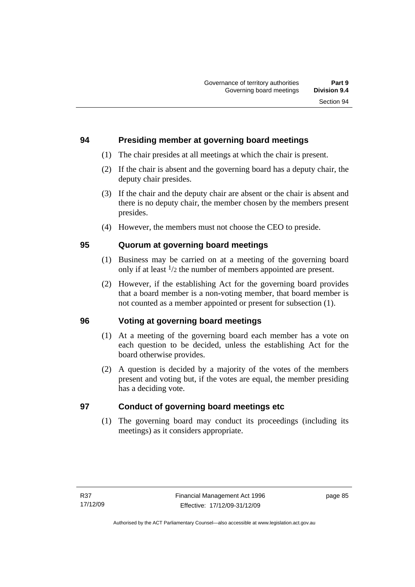## **94 Presiding member at governing board meetings**

- (1) The chair presides at all meetings at which the chair is present.
- (2) If the chair is absent and the governing board has a deputy chair, the deputy chair presides.
- (3) If the chair and the deputy chair are absent or the chair is absent and there is no deputy chair, the member chosen by the members present presides.
- (4) However, the members must not choose the CEO to preside.

## **95 Quorum at governing board meetings**

- (1) Business may be carried on at a meeting of the governing board only if at least 1/2 the number of members appointed are present.
- (2) However, if the establishing Act for the governing board provides that a board member is a non-voting member, that board member is not counted as a member appointed or present for subsection (1).

## **96 Voting at governing board meetings**

- (1) At a meeting of the governing board each member has a vote on each question to be decided, unless the establishing Act for the board otherwise provides.
- (2) A question is decided by a majority of the votes of the members present and voting but, if the votes are equal, the member presiding has a deciding vote.

# **97 Conduct of governing board meetings etc**

 (1) The governing board may conduct its proceedings (including its meetings) as it considers appropriate.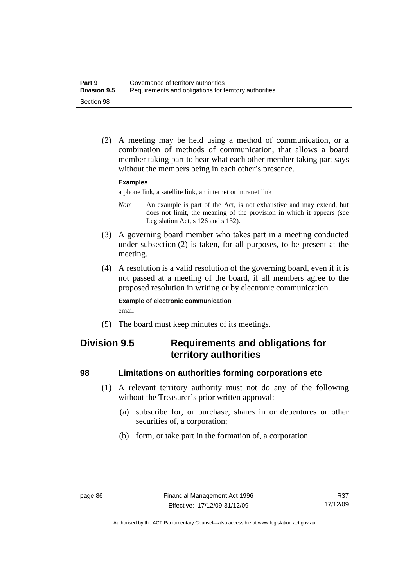(2) A meeting may be held using a method of communication, or a combination of methods of communication, that allows a board member taking part to hear what each other member taking part says without the members being in each other's presence.

#### **Examples**

a phone link, a satellite link, an internet or intranet link

- *Note* An example is part of the Act, is not exhaustive and may extend, but does not limit, the meaning of the provision in which it appears (see Legislation Act, s 126 and s 132).
- (3) A governing board member who takes part in a meeting conducted under subsection (2) is taken, for all purposes, to be present at the meeting.
- (4) A resolution is a valid resolution of the governing board, even if it is not passed at a meeting of the board, if all members agree to the proposed resolution in writing or by electronic communication.

#### **Example of electronic communication**  email

(5) The board must keep minutes of its meetings.

# **Division 9.5 Requirements and obligations for territory authorities**

#### **98 Limitations on authorities forming corporations etc**

- (1) A relevant territory authority must not do any of the following without the Treasurer's prior written approval:
	- (a) subscribe for, or purchase, shares in or debentures or other securities of, a corporation;
	- (b) form, or take part in the formation of, a corporation.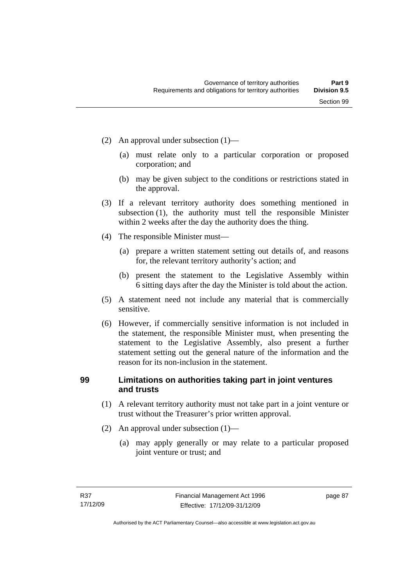- (2) An approval under subsection (1)—
	- (a) must relate only to a particular corporation or proposed corporation; and
	- (b) may be given subject to the conditions or restrictions stated in the approval.
- (3) If a relevant territory authority does something mentioned in subsection (1), the authority must tell the responsible Minister within 2 weeks after the day the authority does the thing.
- (4) The responsible Minister must—
	- (a) prepare a written statement setting out details of, and reasons for, the relevant territory authority's action; and
	- (b) present the statement to the Legislative Assembly within 6 sitting days after the day the Minister is told about the action.
- (5) A statement need not include any material that is commercially sensitive.
- (6) However, if commercially sensitive information is not included in the statement, the responsible Minister must, when presenting the statement to the Legislative Assembly, also present a further statement setting out the general nature of the information and the reason for its non-inclusion in the statement.

# **99 Limitations on authorities taking part in joint ventures and trusts**

- (1) A relevant territory authority must not take part in a joint venture or trust without the Treasurer's prior written approval.
- (2) An approval under subsection (1)—
	- (a) may apply generally or may relate to a particular proposed joint venture or trust; and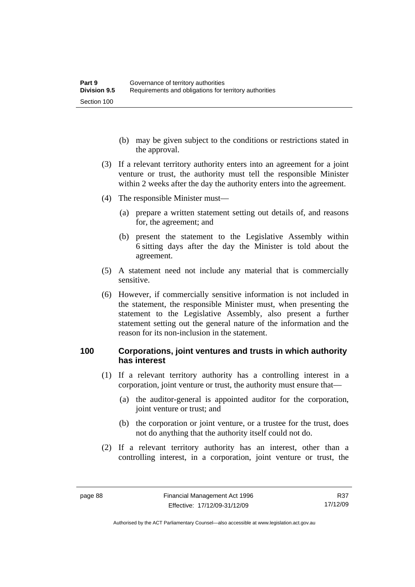- (b) may be given subject to the conditions or restrictions stated in the approval.
- (3) If a relevant territory authority enters into an agreement for a joint venture or trust, the authority must tell the responsible Minister within 2 weeks after the day the authority enters into the agreement.
- (4) The responsible Minister must—
	- (a) prepare a written statement setting out details of, and reasons for, the agreement; and
	- (b) present the statement to the Legislative Assembly within 6 sitting days after the day the Minister is told about the agreement.
- (5) A statement need not include any material that is commercially sensitive.
- (6) However, if commercially sensitive information is not included in the statement, the responsible Minister must, when presenting the statement to the Legislative Assembly, also present a further statement setting out the general nature of the information and the reason for its non-inclusion in the statement.

#### **100 Corporations, joint ventures and trusts in which authority has interest**

- (1) If a relevant territory authority has a controlling interest in a corporation, joint venture or trust, the authority must ensure that—
	- (a) the auditor-general is appointed auditor for the corporation, joint venture or trust; and
	- (b) the corporation or joint venture, or a trustee for the trust, does not do anything that the authority itself could not do.
- (2) If a relevant territory authority has an interest, other than a controlling interest, in a corporation, joint venture or trust, the

R37 17/12/09

Authorised by the ACT Parliamentary Counsel—also accessible at www.legislation.act.gov.au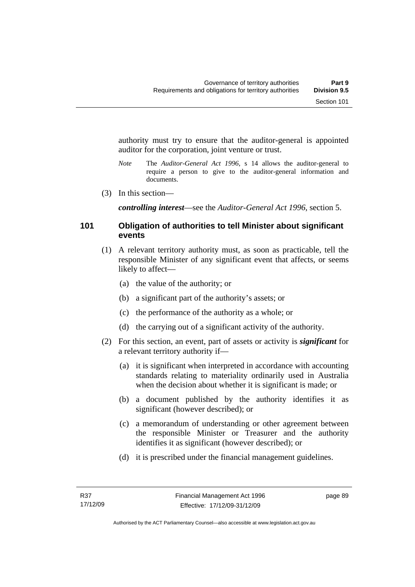authority must try to ensure that the auditor-general is appointed auditor for the corporation, joint venture or trust.

- *Note* The *Auditor-General Act 1996*, s 14 allows the auditor-general to require a person to give to the auditor-general information and documents.
- (3) In this section—

*controlling interest*—see the *Auditor-General Act 1996*, section 5.

#### **101 Obligation of authorities to tell Minister about significant events**

- (1) A relevant territory authority must, as soon as practicable, tell the responsible Minister of any significant event that affects, or seems likely to affect—
	- (a) the value of the authority; or
	- (b) a significant part of the authority's assets; or
	- (c) the performance of the authority as a whole; or
	- (d) the carrying out of a significant activity of the authority.
- (2) For this section, an event, part of assets or activity is *significant* for a relevant territory authority if—
	- (a) it is significant when interpreted in accordance with accounting standards relating to materiality ordinarily used in Australia when the decision about whether it is significant is made; or
	- (b) a document published by the authority identifies it as significant (however described); or
	- (c) a memorandum of understanding or other agreement between the responsible Minister or Treasurer and the authority identifies it as significant (however described); or
	- (d) it is prescribed under the financial management guidelines.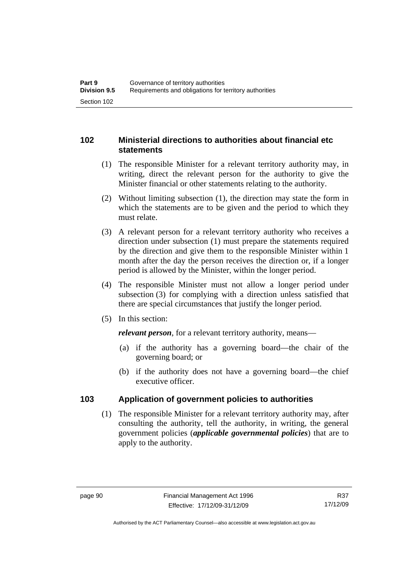# **102 Ministerial directions to authorities about financial etc statements**

- (1) The responsible Minister for a relevant territory authority may, in writing, direct the relevant person for the authority to give the Minister financial or other statements relating to the authority.
- (2) Without limiting subsection (1), the direction may state the form in which the statements are to be given and the period to which they must relate.
- (3) A relevant person for a relevant territory authority who receives a direction under subsection (1) must prepare the statements required by the direction and give them to the responsible Minister within 1 month after the day the person receives the direction or, if a longer period is allowed by the Minister, within the longer period.
- (4) The responsible Minister must not allow a longer period under subsection (3) for complying with a direction unless satisfied that there are special circumstances that justify the longer period.
- (5) In this section:

*relevant person*, for a relevant territory authority, means—

- (a) if the authority has a governing board—the chair of the governing board; or
- (b) if the authority does not have a governing board—the chief executive officer.

# **103 Application of government policies to authorities**

 (1) The responsible Minister for a relevant territory authority may, after consulting the authority, tell the authority, in writing, the general government policies (*applicable governmental policies*) that are to apply to the authority.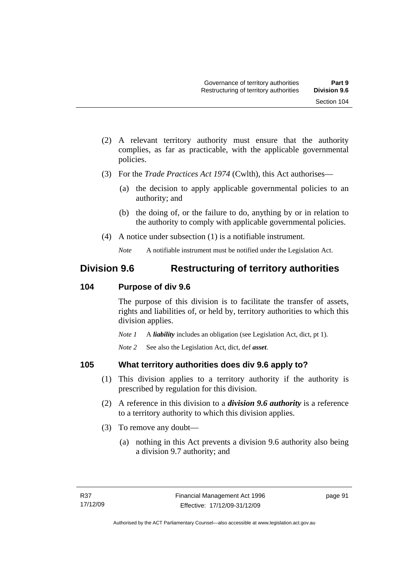- (2) A relevant territory authority must ensure that the authority complies, as far as practicable, with the applicable governmental policies.
- (3) For the *Trade Practices Act 1974* (Cwlth), this Act authorises—
	- (a) the decision to apply applicable governmental policies to an authority; and
	- (b) the doing of, or the failure to do, anything by or in relation to the authority to comply with applicable governmental policies.
- (4) A notice under subsection (1) is a notifiable instrument.

# **Division 9.6 Restructuring of territory authorities**

## **104 Purpose of div 9.6**

The purpose of this division is to facilitate the transfer of assets, rights and liabilities of, or held by, territory authorities to which this division applies.

*Note 1* A *liability* includes an obligation (see Legislation Act, dict, pt 1).

*Note 2* See also the Legislation Act, dict, def *asset*.

## **105 What territory authorities does div 9.6 apply to?**

- (1) This division applies to a territory authority if the authority is prescribed by regulation for this division.
- (2) A reference in this division to a *division 9.6 authority* is a reference to a territory authority to which this division applies.
- (3) To remove any doubt—
	- (a) nothing in this Act prevents a division 9.6 authority also being a division 9.7 authority; and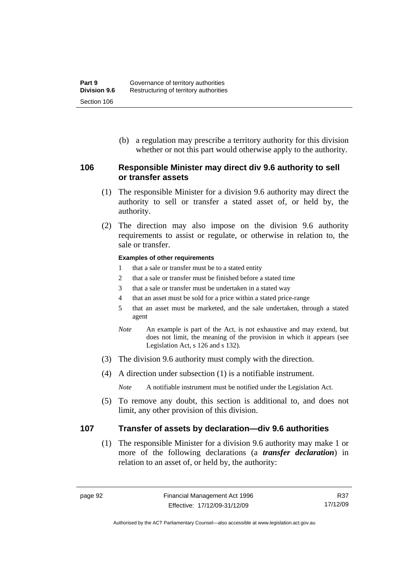(b) a regulation may prescribe a territory authority for this division whether or not this part would otherwise apply to the authority.

#### **106 Responsible Minister may direct div 9.6 authority to sell or transfer assets**

- (1) The responsible Minister for a division 9.6 authority may direct the authority to sell or transfer a stated asset of, or held by, the authority.
- (2) The direction may also impose on the division 9.6 authority requirements to assist or regulate, or otherwise in relation to, the sale or transfer.

#### **Examples of other requirements**

- 1 that a sale or transfer must be to a stated entity
- 2 that a sale or transfer must be finished before a stated time
- 3 that a sale or transfer must be undertaken in a stated way
- 4 that an asset must be sold for a price within a stated price-range
- 5 that an asset must be marketed, and the sale undertaken, through a stated agent
- *Note* An example is part of the Act, is not exhaustive and may extend, but does not limit, the meaning of the provision in which it appears (see Legislation Act, s 126 and s 132).
- (3) The division 9.6 authority must comply with the direction.
- (4) A direction under subsection (1) is a notifiable instrument.

*Note* A notifiable instrument must be notified under the Legislation Act.

 (5) To remove any doubt, this section is additional to, and does not limit, any other provision of this division.

#### **107 Transfer of assets by declaration—div 9.6 authorities**

 (1) The responsible Minister for a division 9.6 authority may make 1 or more of the following declarations (a *transfer declaration*) in relation to an asset of, or held by, the authority:

Authorised by the ACT Parliamentary Counsel—also accessible at www.legislation.act.gov.au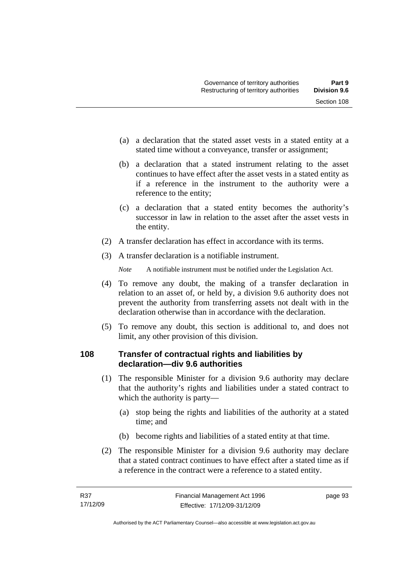- (a) a declaration that the stated asset vests in a stated entity at a stated time without a conveyance, transfer or assignment;
- (b) a declaration that a stated instrument relating to the asset continues to have effect after the asset vests in a stated entity as if a reference in the instrument to the authority were a reference to the entity;
- (c) a declaration that a stated entity becomes the authority's successor in law in relation to the asset after the asset vests in the entity.
- (2) A transfer declaration has effect in accordance with its terms.
- (3) A transfer declaration is a notifiable instrument.

- (4) To remove any doubt, the making of a transfer declaration in relation to an asset of, or held by, a division 9.6 authority does not prevent the authority from transferring assets not dealt with in the declaration otherwise than in accordance with the declaration.
- (5) To remove any doubt, this section is additional to, and does not limit, any other provision of this division.

## **108 Transfer of contractual rights and liabilities by declaration—div 9.6 authorities**

- (1) The responsible Minister for a division 9.6 authority may declare that the authority's rights and liabilities under a stated contract to which the authority is party—
	- (a) stop being the rights and liabilities of the authority at a stated time; and
	- (b) become rights and liabilities of a stated entity at that time.
- (2) The responsible Minister for a division 9.6 authority may declare that a stated contract continues to have effect after a stated time as if a reference in the contract were a reference to a stated entity.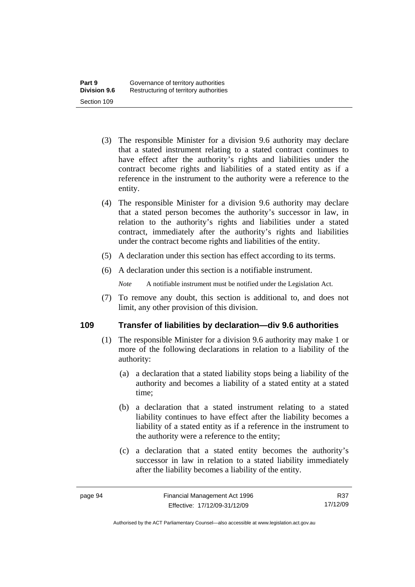- (3) The responsible Minister for a division 9.6 authority may declare that a stated instrument relating to a stated contract continues to have effect after the authority's rights and liabilities under the contract become rights and liabilities of a stated entity as if a reference in the instrument to the authority were a reference to the entity.
- (4) The responsible Minister for a division 9.6 authority may declare that a stated person becomes the authority's successor in law, in relation to the authority's rights and liabilities under a stated contract, immediately after the authority's rights and liabilities under the contract become rights and liabilities of the entity.
- (5) A declaration under this section has effect according to its terms.
- (6) A declaration under this section is a notifiable instrument.

 (7) To remove any doubt, this section is additional to, and does not limit, any other provision of this division.

## **109 Transfer of liabilities by declaration—div 9.6 authorities**

- (1) The responsible Minister for a division 9.6 authority may make 1 or more of the following declarations in relation to a liability of the authority:
	- (a) a declaration that a stated liability stops being a liability of the authority and becomes a liability of a stated entity at a stated time;
	- (b) a declaration that a stated instrument relating to a stated liability continues to have effect after the liability becomes a liability of a stated entity as if a reference in the instrument to the authority were a reference to the entity;
	- (c) a declaration that a stated entity becomes the authority's successor in law in relation to a stated liability immediately after the liability becomes a liability of the entity.

Authorised by the ACT Parliamentary Counsel—also accessible at www.legislation.act.gov.au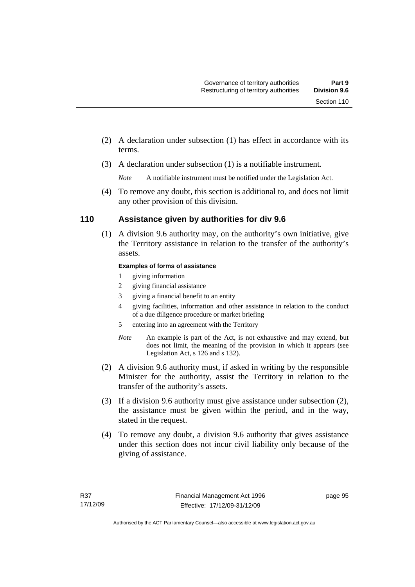- (2) A declaration under subsection (1) has effect in accordance with its terms.
- (3) A declaration under subsection (1) is a notifiable instrument.

 (4) To remove any doubt, this section is additional to, and does not limit any other provision of this division.

## **110 Assistance given by authorities for div 9.6**

 (1) A division 9.6 authority may, on the authority's own initiative, give the Territory assistance in relation to the transfer of the authority's assets.

#### **Examples of forms of assistance**

- 1 giving information
- 2 giving financial assistance
- 3 giving a financial benefit to an entity
- 4 giving facilities, information and other assistance in relation to the conduct of a due diligence procedure or market briefing
- 5 entering into an agreement with the Territory
- *Note* An example is part of the Act, is not exhaustive and may extend, but does not limit, the meaning of the provision in which it appears (see Legislation Act, s 126 and s 132).
- (2) A division 9.6 authority must, if asked in writing by the responsible Minister for the authority, assist the Territory in relation to the transfer of the authority's assets.
- (3) If a division 9.6 authority must give assistance under subsection (2), the assistance must be given within the period, and in the way, stated in the request.
- (4) To remove any doubt, a division 9.6 authority that gives assistance under this section does not incur civil liability only because of the giving of assistance.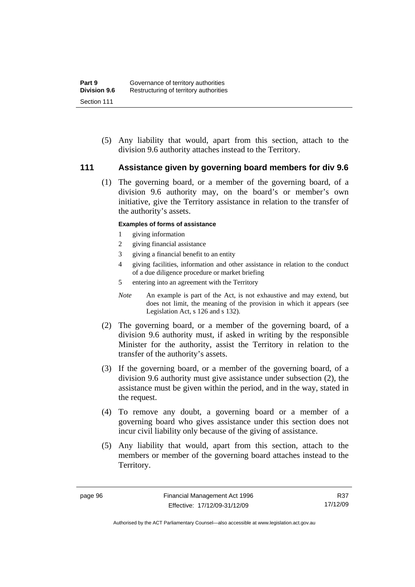(5) Any liability that would, apart from this section, attach to the division 9.6 authority attaches instead to the Territory.

#### **111 Assistance given by governing board members for div 9.6**

 (1) The governing board, or a member of the governing board, of a division 9.6 authority may, on the board's or member's own initiative, give the Territory assistance in relation to the transfer of the authority's assets.

#### **Examples of forms of assistance**

- 1 giving information
- 2 giving financial assistance
- 3 giving a financial benefit to an entity
- 4 giving facilities, information and other assistance in relation to the conduct of a due diligence procedure or market briefing
- 5 entering into an agreement with the Territory
- *Note* An example is part of the Act, is not exhaustive and may extend, but does not limit, the meaning of the provision in which it appears (see Legislation Act, s 126 and s 132).
- (2) The governing board, or a member of the governing board, of a division 9.6 authority must, if asked in writing by the responsible Minister for the authority, assist the Territory in relation to the transfer of the authority's assets.
- (3) If the governing board, or a member of the governing board, of a division 9.6 authority must give assistance under subsection (2), the assistance must be given within the period, and in the way, stated in the request.
- (4) To remove any doubt, a governing board or a member of a governing board who gives assistance under this section does not incur civil liability only because of the giving of assistance.
- (5) Any liability that would, apart from this section, attach to the members or member of the governing board attaches instead to the Territory.

R37 17/12/09

Authorised by the ACT Parliamentary Counsel—also accessible at www.legislation.act.gov.au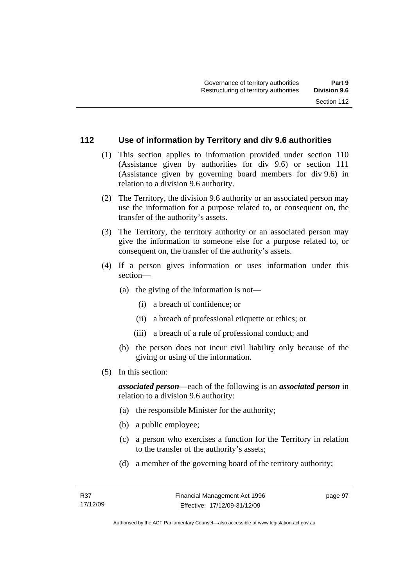#### **112 Use of information by Territory and div 9.6 authorities**

- (1) This section applies to information provided under section 110 (Assistance given by authorities for div 9.6) or section 111 (Assistance given by governing board members for div 9.6) in relation to a division 9.6 authority.
- (2) The Territory, the division 9.6 authority or an associated person may use the information for a purpose related to, or consequent on, the transfer of the authority's assets.
- (3) The Territory, the territory authority or an associated person may give the information to someone else for a purpose related to, or consequent on, the transfer of the authority's assets.
- (4) If a person gives information or uses information under this section—
	- (a) the giving of the information is not—
		- (i) a breach of confidence; or
		- (ii) a breach of professional etiquette or ethics; or
		- (iii) a breach of a rule of professional conduct; and
	- (b) the person does not incur civil liability only because of the giving or using of the information.
- (5) In this section:

*associated person*—each of the following is an *associated person* in relation to a division 9.6 authority:

- (a) the responsible Minister for the authority;
- (b) a public employee;
- (c) a person who exercises a function for the Territory in relation to the transfer of the authority's assets;
- (d) a member of the governing board of the territory authority;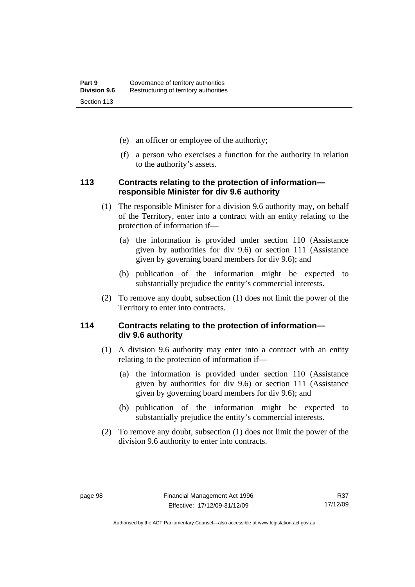- (e) an officer or employee of the authority;
- (f) a person who exercises a function for the authority in relation to the authority's assets.

#### **113 Contracts relating to the protection of information responsible Minister for div 9.6 authority**

- (1) The responsible Minister for a division 9.6 authority may, on behalf of the Territory, enter into a contract with an entity relating to the protection of information if—
	- (a) the information is provided under section 110 (Assistance given by authorities for div 9.6) or section 111 (Assistance given by governing board members for div 9.6); and
	- (b) publication of the information might be expected to substantially prejudice the entity's commercial interests.
- (2) To remove any doubt, subsection (1) does not limit the power of the Territory to enter into contracts.

# **114 Contracts relating to the protection of information div 9.6 authority**

- (1) A division 9.6 authority may enter into a contract with an entity relating to the protection of information if—
	- (a) the information is provided under section 110 (Assistance given by authorities for div 9.6) or section 111 (Assistance given by governing board members for div 9.6); and
	- (b) publication of the information might be expected to substantially prejudice the entity's commercial interests.
- (2) To remove any doubt, subsection (1) does not limit the power of the division 9.6 authority to enter into contracts.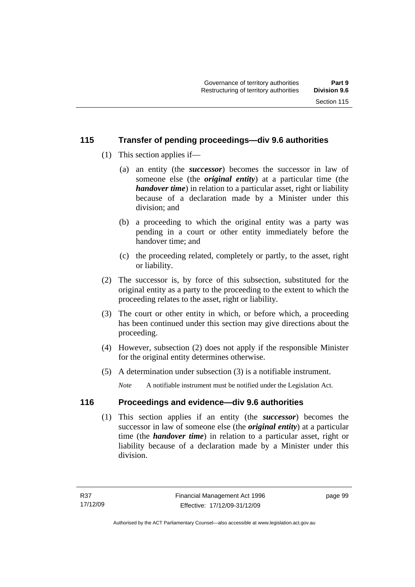# **115 Transfer of pending proceedings—div 9.6 authorities**

- (1) This section applies if—
	- (a) an entity (the *successor*) becomes the successor in law of someone else (the *original entity*) at a particular time (the *handover time*) in relation to a particular asset, right or liability because of a declaration made by a Minister under this division; and
	- (b) a proceeding to which the original entity was a party was pending in a court or other entity immediately before the handover time; and
	- (c) the proceeding related, completely or partly, to the asset, right or liability.
- (2) The successor is, by force of this subsection, substituted for the original entity as a party to the proceeding to the extent to which the proceeding relates to the asset, right or liability.
- (3) The court or other entity in which, or before which, a proceeding has been continued under this section may give directions about the proceeding.
- (4) However, subsection (2) does not apply if the responsible Minister for the original entity determines otherwise.
- (5) A determination under subsection (3) is a notifiable instrument.

*Note* A notifiable instrument must be notified under the Legislation Act.

# **116 Proceedings and evidence—div 9.6 authorities**

 (1) This section applies if an entity (the *successor*) becomes the successor in law of someone else (the *original entity*) at a particular time (the *handover time*) in relation to a particular asset, right or liability because of a declaration made by a Minister under this division.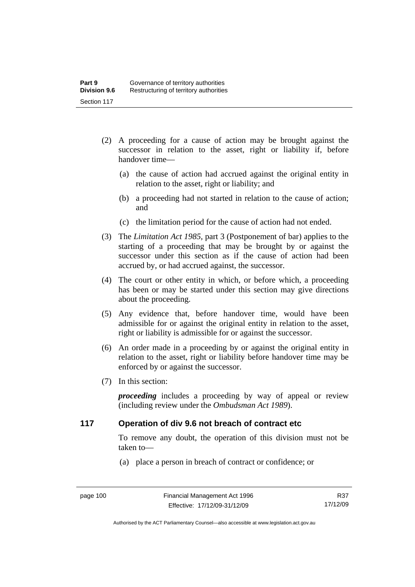- (2) A proceeding for a cause of action may be brought against the successor in relation to the asset, right or liability if, before handover time—
	- (a) the cause of action had accrued against the original entity in relation to the asset, right or liability; and
	- (b) a proceeding had not started in relation to the cause of action; and
	- (c) the limitation period for the cause of action had not ended.
- (3) The *Limitation Act 1985,* part 3 (Postponement of bar) applies to the starting of a proceeding that may be brought by or against the successor under this section as if the cause of action had been accrued by, or had accrued against, the successor.
- (4) The court or other entity in which, or before which, a proceeding has been or may be started under this section may give directions about the proceeding.
- (5) Any evidence that, before handover time, would have been admissible for or against the original entity in relation to the asset, right or liability is admissible for or against the successor.
- (6) An order made in a proceeding by or against the original entity in relation to the asset, right or liability before handover time may be enforced by or against the successor.
- (7) In this section:

*proceeding* includes a proceeding by way of appeal or review (including review under the *Ombudsman Act 1989*).

# **117 Operation of div 9.6 not breach of contract etc**

To remove any doubt, the operation of this division must not be taken to—

(a) place a person in breach of contract or confidence; or

Authorised by the ACT Parliamentary Counsel—also accessible at www.legislation.act.gov.au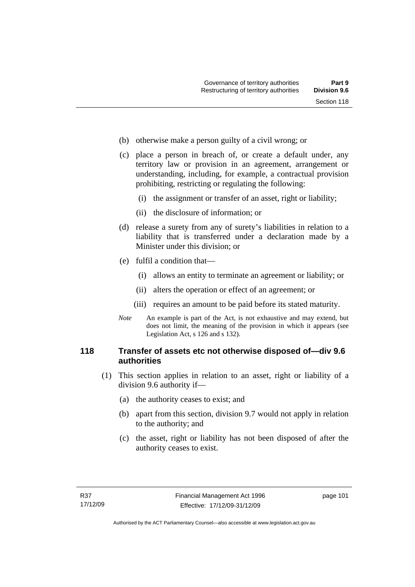- (b) otherwise make a person guilty of a civil wrong; or
- (c) place a person in breach of, or create a default under, any territory law or provision in an agreement, arrangement or understanding, including, for example, a contractual provision prohibiting, restricting or regulating the following:
	- (i) the assignment or transfer of an asset, right or liability;
	- (ii) the disclosure of information; or
- (d) release a surety from any of surety's liabilities in relation to a liability that is transferred under a declaration made by a Minister under this division; or
- (e) fulfil a condition that—
	- (i) allows an entity to terminate an agreement or liability; or
	- (ii) alters the operation or effect of an agreement; or
	- (iii) requires an amount to be paid before its stated maturity.
- *Note* An example is part of the Act, is not exhaustive and may extend, but does not limit, the meaning of the provision in which it appears (see Legislation Act, s 126 and s 132).

# **118 Transfer of assets etc not otherwise disposed of—div 9.6 authorities**

- (1) This section applies in relation to an asset, right or liability of a division 9.6 authority if—
	- (a) the authority ceases to exist; and
	- (b) apart from this section, division 9.7 would not apply in relation to the authority; and
	- (c) the asset, right or liability has not been disposed of after the authority ceases to exist.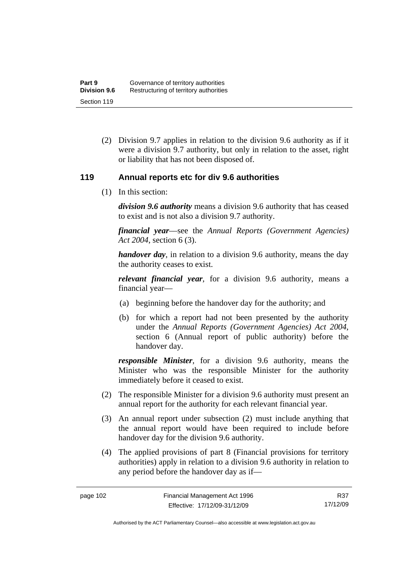(2) Division 9.7 applies in relation to the division 9.6 authority as if it were a division 9.7 authority, but only in relation to the asset, right or liability that has not been disposed of.

# **119 Annual reports etc for div 9.6 authorities**

(1) In this section:

*division 9.6 authority* means a division 9.6 authority that has ceased to exist and is not also a division 9.7 authority.

*financial year*––see the *Annual Reports (Government Agencies) Act 2004*, section 6 (3).

*handover day*, in relation to a division 9.6 authority, means the day the authority ceases to exist.

*relevant financial year*, for a division 9.6 authority, means a financial year—

- (a) beginning before the handover day for the authority; and
- (b) for which a report had not been presented by the authority under the *Annual Reports (Government Agencies) Act 2004*, section 6 (Annual report of public authority) before the handover day.

*responsible Minister*, for a division 9.6 authority, means the Minister who was the responsible Minister for the authority immediately before it ceased to exist.

- (2) The responsible Minister for a division 9.6 authority must present an annual report for the authority for each relevant financial year.
- (3) An annual report under subsection (2) must include anything that the annual report would have been required to include before handover day for the division 9.6 authority.
- (4) The applied provisions of part 8 (Financial provisions for territory authorities) apply in relation to a division 9.6 authority in relation to any period before the handover day as if—

R37 17/12/09

Authorised by the ACT Parliamentary Counsel—also accessible at www.legislation.act.gov.au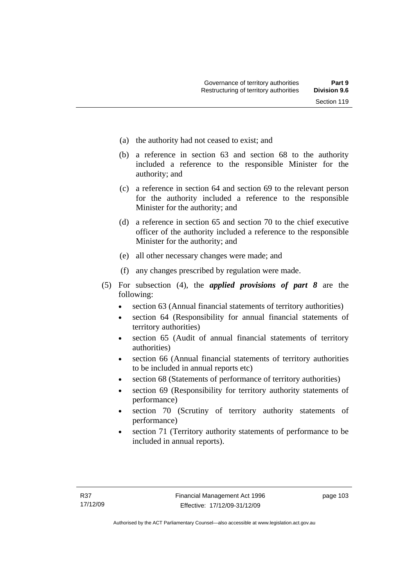- (a) the authority had not ceased to exist; and
- (b) a reference in section 63 and section 68 to the authority included a reference to the responsible Minister for the authority; and
- (c) a reference in section 64 and section 69 to the relevant person for the authority included a reference to the responsible Minister for the authority; and
- (d) a reference in section 65 and section 70 to the chief executive officer of the authority included a reference to the responsible Minister for the authority; and
- (e) all other necessary changes were made; and
- (f) any changes prescribed by regulation were made.
- (5) For subsection (4), the *applied provisions of part 8* are the following:
	- section 63 (Annual financial statements of territory authorities)
	- section 64 (Responsibility for annual financial statements of territory authorities)
	- section 65 (Audit of annual financial statements of territory authorities)
	- section 66 (Annual financial statements of territory authorities to be included in annual reports etc)
	- section 68 (Statements of performance of territory authorities)
	- section 69 (Responsibility for territory authority statements of performance)
	- section 70 (Scrutiny of territory authority statements of performance)
	- section 71 (Territory authority statements of performance to be included in annual reports).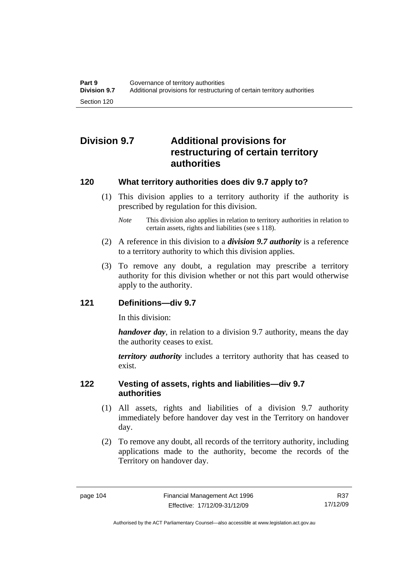# **Division 9.7 Additional provisions for restructuring of certain territory authorities**

# **120 What territory authorities does div 9.7 apply to?**

- (1) This division applies to a territory authority if the authority is prescribed by regulation for this division.
	- *Note* This division also applies in relation to territory authorities in relation to certain assets, rights and liabilities (see s 118).
- (2) A reference in this division to a *division 9.7 authority* is a reference to a territory authority to which this division applies.
- (3) To remove any doubt, a regulation may prescribe a territory authority for this division whether or not this part would otherwise apply to the authority.

# **121 Definitions—div 9.7**

In this division:

*handover day*, in relation to a division 9.7 authority, means the day the authority ceases to exist.

*territory authority* includes a territory authority that has ceased to exist.

# **122 Vesting of assets, rights and liabilities—div 9.7 authorities**

- (1) All assets, rights and liabilities of a division 9.7 authority immediately before handover day vest in the Territory on handover day.
- (2) To remove any doubt, all records of the territory authority, including applications made to the authority, become the records of the Territory on handover day.

R37 17/12/09

Authorised by the ACT Parliamentary Counsel—also accessible at www.legislation.act.gov.au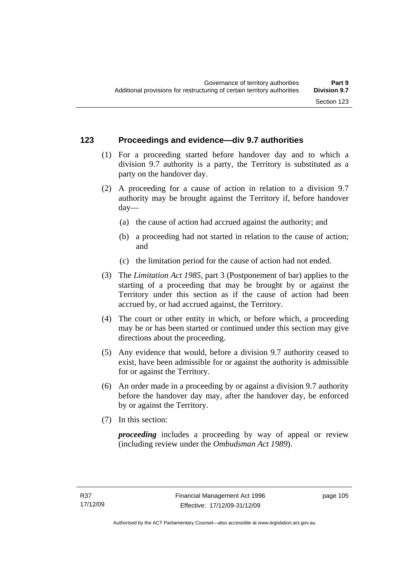# **123 Proceedings and evidence—div 9.7 authorities**

- (1) For a proceeding started before handover day and to which a division 9.7 authority is a party, the Territory is substituted as a party on the handover day.
- (2) A proceeding for a cause of action in relation to a division 9.7 authority may be brought against the Territory if, before handover day—
	- (a) the cause of action had accrued against the authority; and
	- (b) a proceeding had not started in relation to the cause of action; and
	- (c) the limitation period for the cause of action had not ended.
- (3) The *Limitation Act 1985,* part 3 (Postponement of bar) applies to the starting of a proceeding that may be brought by or against the Territory under this section as if the cause of action had been accrued by, or had accrued against, the Territory.
- (4) The court or other entity in which, or before which, a proceeding may be or has been started or continued under this section may give directions about the proceeding.
- (5) Any evidence that would, before a division 9.7 authority ceased to exist, have been admissible for or against the authority is admissible for or against the Territory.
- (6) An order made in a proceeding by or against a division 9.7 authority before the handover day may, after the handover day, be enforced by or against the Territory.
- (7) In this section:

*proceeding* includes a proceeding by way of appeal or review (including review under the *Ombudsman Act 1989*).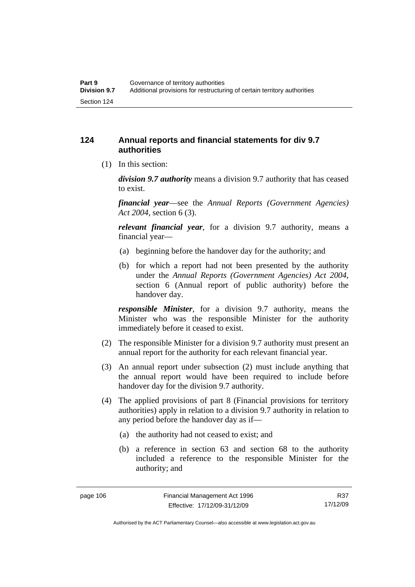# **124 Annual reports and financial statements for div 9.7 authorities**

(1) In this section:

*division 9.7 authority* means a division 9.7 authority that has ceased to exist.

*financial year*––see the *Annual Reports (Government Agencies) Act 2004*, section 6 (3).

*relevant financial year*, for a division 9.7 authority, means a financial year—

- (a) beginning before the handover day for the authority; and
- (b) for which a report had not been presented by the authority under the *Annual Reports (Government Agencies) Act 2004*, section 6 (Annual report of public authority) before the handover day.

*responsible Minister*, for a division 9.7 authority, means the Minister who was the responsible Minister for the authority immediately before it ceased to exist.

- (2) The responsible Minister for a division 9.7 authority must present an annual report for the authority for each relevant financial year.
- (3) An annual report under subsection (2) must include anything that the annual report would have been required to include before handover day for the division 9.7 authority.
- (4) The applied provisions of part 8 (Financial provisions for territory authorities) apply in relation to a division 9.7 authority in relation to any period before the handover day as if—
	- (a) the authority had not ceased to exist; and
	- (b) a reference in section 63 and section 68 to the authority included a reference to the responsible Minister for the authority; and

R37 17/12/09

Authorised by the ACT Parliamentary Counsel—also accessible at www.legislation.act.gov.au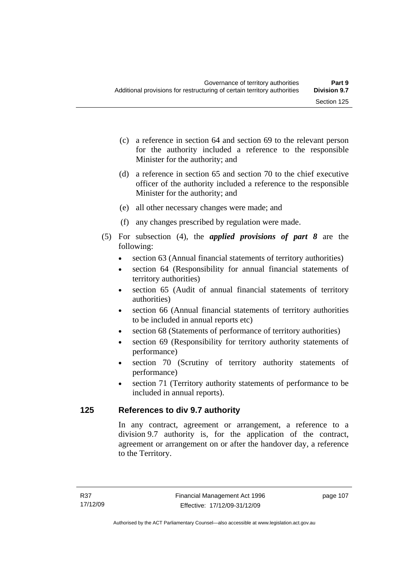- (c) a reference in section 64 and section 69 to the relevant person for the authority included a reference to the responsible Minister for the authority; and
- (d) a reference in section 65 and section 70 to the chief executive officer of the authority included a reference to the responsible Minister for the authority; and
- (e) all other necessary changes were made; and
- (f) any changes prescribed by regulation were made.
- (5) For subsection (4), the *applied provisions of part 8* are the following:
	- section 63 (Annual financial statements of territory authorities)
	- section 64 (Responsibility for annual financial statements of territory authorities)
	- section 65 (Audit of annual financial statements of territory authorities)
	- section 66 (Annual financial statements of territory authorities to be included in annual reports etc)
	- section 68 (Statements of performance of territory authorities)
	- section 69 (Responsibility for territory authority statements of performance)
	- section 70 (Scrutiny of territory authority statements of performance)
	- section 71 (Territory authority statements of performance to be included in annual reports).

# **125 References to div 9.7 authority**

In any contract, agreement or arrangement, a reference to a division 9.7 authority is, for the application of the contract, agreement or arrangement on or after the handover day, a reference to the Territory.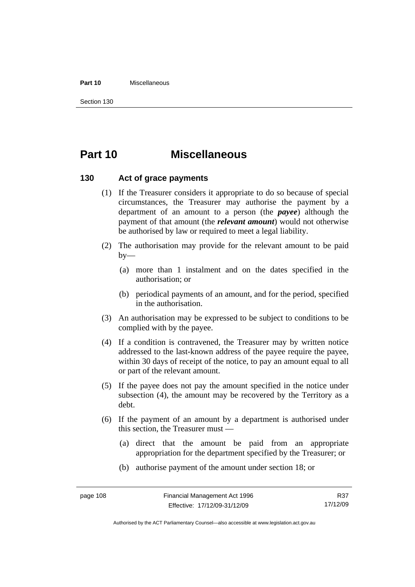#### **Part 10** Miscellaneous

Section 130

# **Part 10 Miscellaneous**

## **130 Act of grace payments**

- (1) If the Treasurer considers it appropriate to do so because of special circumstances, the Treasurer may authorise the payment by a department of an amount to a person (the *payee*) although the payment of that amount (the *relevant amount*) would not otherwise be authorised by law or required to meet a legal liability.
- (2) The authorisation may provide for the relevant amount to be paid  $by-$ 
	- (a) more than 1 instalment and on the dates specified in the authorisation; or
	- (b) periodical payments of an amount, and for the period, specified in the authorisation.
- (3) An authorisation may be expressed to be subject to conditions to be complied with by the payee.
- (4) If a condition is contravened, the Treasurer may by written notice addressed to the last-known address of the payee require the payee, within 30 days of receipt of the notice, to pay an amount equal to all or part of the relevant amount.
- (5) If the payee does not pay the amount specified in the notice under subsection (4), the amount may be recovered by the Territory as a debt.
- (6) If the payment of an amount by a department is authorised under this section, the Treasurer must —
	- (a) direct that the amount be paid from an appropriate appropriation for the department specified by the Treasurer; or
	- (b) authorise payment of the amount under section 18; or

R37 17/12/09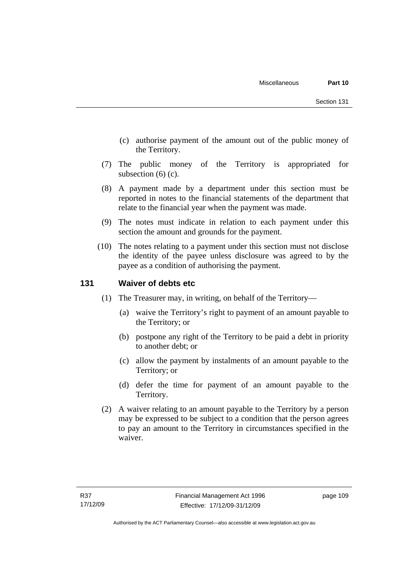- (c) authorise payment of the amount out of the public money of the Territory.
- (7) The public money of the Territory is appropriated for subsection (6) (c).
- (8) A payment made by a department under this section must be reported in notes to the financial statements of the department that relate to the financial year when the payment was made.
- (9) The notes must indicate in relation to each payment under this section the amount and grounds for the payment.
- (10) The notes relating to a payment under this section must not disclose the identity of the payee unless disclosure was agreed to by the payee as a condition of authorising the payment.

# **131 Waiver of debts etc**

- (1) The Treasurer may, in writing, on behalf of the Territory—
	- (a) waive the Territory's right to payment of an amount payable to the Territory; or
	- (b) postpone any right of the Territory to be paid a debt in priority to another debt; or
	- (c) allow the payment by instalments of an amount payable to the Territory; or
	- (d) defer the time for payment of an amount payable to the Territory.
- (2) A waiver relating to an amount payable to the Territory by a person may be expressed to be subject to a condition that the person agrees to pay an amount to the Territory in circumstances specified in the waiver.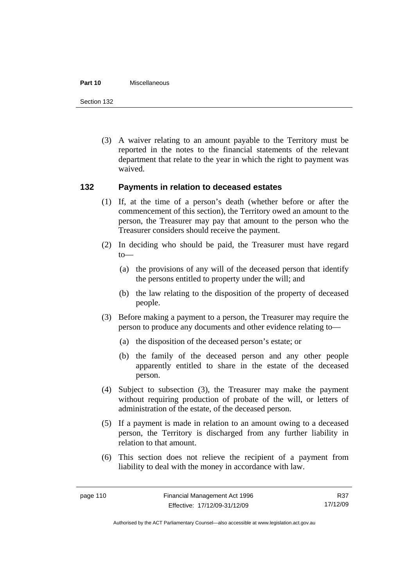#### **Part 10** Miscellaneous

Section 132

 (3) A waiver relating to an amount payable to the Territory must be reported in the notes to the financial statements of the relevant department that relate to the year in which the right to payment was waived.

## **132 Payments in relation to deceased estates**

- (1) If, at the time of a person's death (whether before or after the commencement of this section), the Territory owed an amount to the person, the Treasurer may pay that amount to the person who the Treasurer considers should receive the payment.
- (2) In deciding who should be paid, the Treasurer must have regard to—
	- (a) the provisions of any will of the deceased person that identify the persons entitled to property under the will; and
	- (b) the law relating to the disposition of the property of deceased people.
- (3) Before making a payment to a person, the Treasurer may require the person to produce any documents and other evidence relating to—
	- (a) the disposition of the deceased person's estate; or
	- (b) the family of the deceased person and any other people apparently entitled to share in the estate of the deceased person.
- (4) Subject to subsection (3), the Treasurer may make the payment without requiring production of probate of the will, or letters of administration of the estate, of the deceased person.
- (5) If a payment is made in relation to an amount owing to a deceased person, the Territory is discharged from any further liability in relation to that amount.
- (6) This section does not relieve the recipient of a payment from liability to deal with the money in accordance with law.

R37 17/12/09

Authorised by the ACT Parliamentary Counsel—also accessible at www.legislation.act.gov.au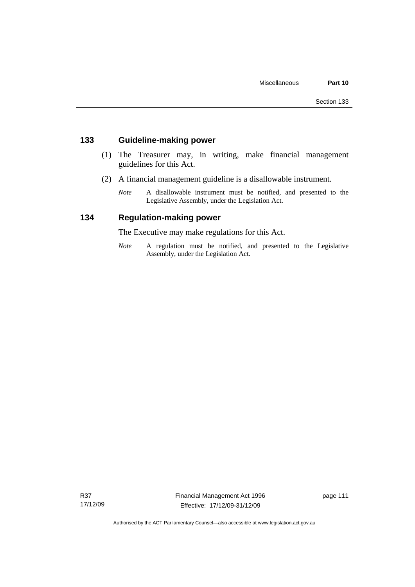# **133 Guideline-making power**

- (1) The Treasurer may, in writing, make financial management guidelines for this Act.
- (2) A financial management guideline is a disallowable instrument.
	- *Note* A disallowable instrument must be notified, and presented to the Legislative Assembly, under the Legislation Act.

## **134 Regulation-making power**

The Executive may make regulations for this Act.

*Note* A regulation must be notified, and presented to the Legislative Assembly, under the Legislation Act.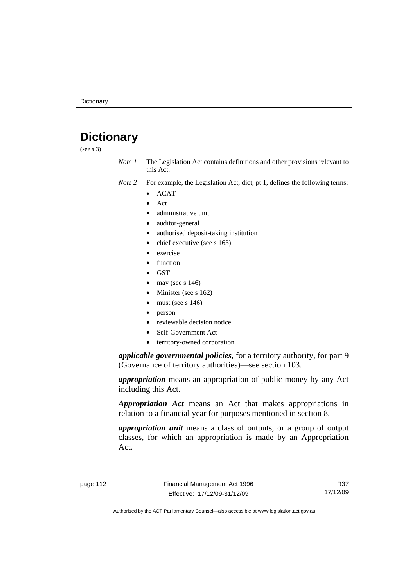# **Dictionary**

(see s 3)

*Note 1* The Legislation Act contains definitions and other provisions relevant to this Act.

- *Note 2* For example, the Legislation Act, dict, pt 1, defines the following terms:
	- ACAT
		- Act
	- administrative unit
	- auditor-general
	- authorised deposit-taking institution
	- chief executive (see s 163)
	- exercise
	- function
	- GST
	- may (see s  $146$ )
	- Minister (see s 162)
	- must (see s  $146$ )
	- person
	- reviewable decision notice
	- Self-Government Act
	- territory-owned corporation.

*applicable governmental policies*, for a territory authority, for part 9 (Governance of territory authorities)—see section 103.

*appropriation* means an appropriation of public money by any Act including this Act.

*Appropriation Act* means an Act that makes appropriations in relation to a financial year for purposes mentioned in section 8.

*appropriation unit* means a class of outputs, or a group of output classes, for which an appropriation is made by an Appropriation Act.

R37 17/12/09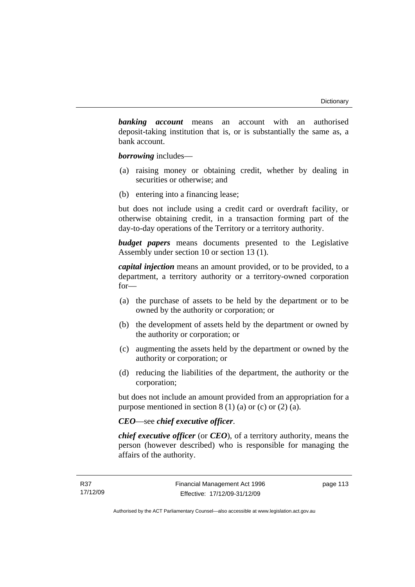*banking account* means an account with an authorised deposit-taking institution that is, or is substantially the same as, a bank account.

*borrowing* includes—

- (a) raising money or obtaining credit, whether by dealing in securities or otherwise; and
- (b) entering into a financing lease;

but does not include using a credit card or overdraft facility, or otherwise obtaining credit, in a transaction forming part of the day-to-day operations of the Territory or a territory authority.

*budget papers* means documents presented to the Legislative Assembly under section 10 or section 13 (1).

*capital injection* means an amount provided, or to be provided, to a department, a territory authority or a territory-owned corporation for—

- (a) the purchase of assets to be held by the department or to be owned by the authority or corporation; or
- (b) the development of assets held by the department or owned by the authority or corporation; or
- (c) augmenting the assets held by the department or owned by the authority or corporation; or
- (d) reducing the liabilities of the department, the authority or the corporation;

but does not include an amount provided from an appropriation for a purpose mentioned in section  $8(1)(a)$  or (c) or  $(2)(a)$ .

## *CEO*—see *chief executive officer*.

*chief executive officer* (or *CEO*), of a territory authority, means the person (however described) who is responsible for managing the affairs of the authority.

page 113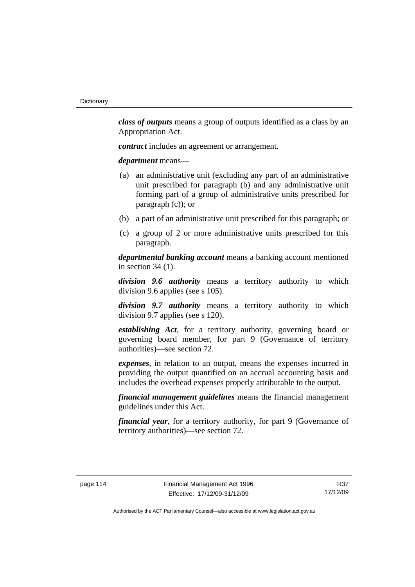*class of outputs* means a group of outputs identified as a class by an Appropriation Act.

*contract* includes an agreement or arrangement.

*department* means—

- (a) an administrative unit (excluding any part of an administrative unit prescribed for paragraph (b) and any administrative unit forming part of a group of administrative units prescribed for paragraph (c)); or
- (b) a part of an administrative unit prescribed for this paragraph; or
- (c) a group of 2 or more administrative units prescribed for this paragraph.

*departmental banking account* means a banking account mentioned in section 34 (1).

*division 9.6 authority* means a territory authority to which division 9.6 applies (see s 105).

*division 9.7 authority* means a territory authority to which division 9.7 applies (see s 120).

*establishing Act*, for a territory authority, governing board or governing board member, for part 9 (Governance of territory authorities)—see section 72.

*expenses*, in relation to an output, means the expenses incurred in providing the output quantified on an accrual accounting basis and includes the overhead expenses properly attributable to the output.

*financial management guidelines* means the financial management guidelines under this Act.

*financial year*, for a territory authority, for part 9 (Governance of territory authorities)—see section 72.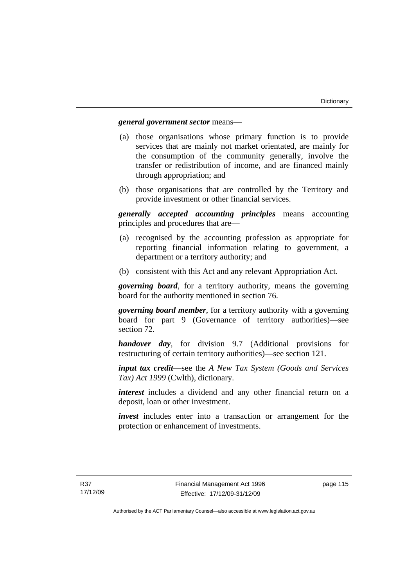## *general government sector* means—

- (a) those organisations whose primary function is to provide services that are mainly not market orientated, are mainly for the consumption of the community generally, involve the transfer or redistribution of income, and are financed mainly through appropriation; and
- (b) those organisations that are controlled by the Territory and provide investment or other financial services.

*generally accepted accounting principles* means accounting principles and procedures that are—

- (a) recognised by the accounting profession as appropriate for reporting financial information relating to government, a department or a territory authority; and
- (b) consistent with this Act and any relevant Appropriation Act.

*governing board*, for a territory authority, means the governing board for the authority mentioned in section 76.

*governing board member*, for a territory authority with a governing board for part 9 (Governance of territory authorities)—see section 72.

*handover day*, for division 9.7 (Additional provisions for restructuring of certain territory authorities)—see section 121.

*input tax credit*—see the *A New Tax System (Goods and Services Tax) Act 1999* (Cwlth), dictionary.

*interest* includes a dividend and any other financial return on a deposit, loan or other investment.

*invest* includes enter into a transaction or arrangement for the protection or enhancement of investments.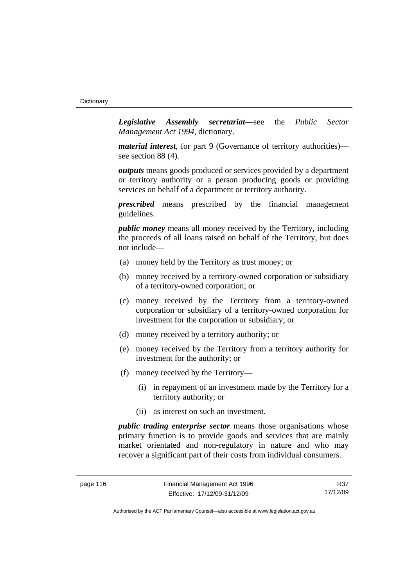*Legislative Assembly secretariat***—**see the *Public Sector Management Act 1994*, dictionary.

*material interest*, for part 9 (Governance of territory authorities) see section 88 (4).

*outputs* means goods produced or services provided by a department or territory authority or a person producing goods or providing services on behalf of a department or territory authority.

*prescribed* means prescribed by the financial management guidelines.

*public money* means all money received by the Territory, including the proceeds of all loans raised on behalf of the Territory, but does not include—

- (a) money held by the Territory as trust money; or
- (b) money received by a territory-owned corporation or subsidiary of a territory-owned corporation; or
- (c) money received by the Territory from a territory-owned corporation or subsidiary of a territory-owned corporation for investment for the corporation or subsidiary; or
- (d) money received by a territory authority; or
- (e) money received by the Territory from a territory authority for investment for the authority; or
- (f) money received by the Territory—
	- (i) in repayment of an investment made by the Territory for a territory authority; or
	- (ii) as interest on such an investment.

*public trading enterprise sector* means those organisations whose primary function is to provide goods and services that are mainly market orientated and non-regulatory in nature and who may recover a significant part of their costs from individual consumers.

R37 17/12/09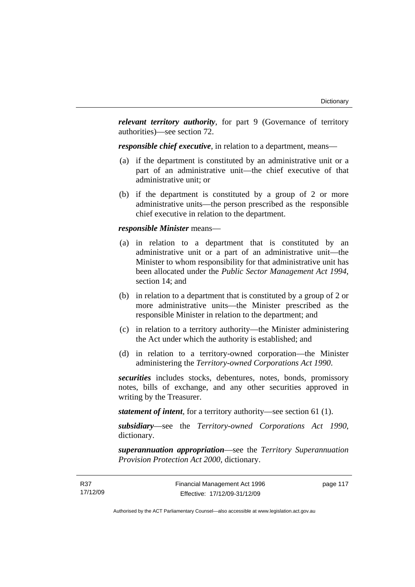*relevant territory authority*, for part 9 (Governance of territory authorities)—see section 72.

*responsible chief executive*, in relation to a department, means—

- (a) if the department is constituted by an administrative unit or a part of an administrative unit—the chief executive of that administrative unit; or
- (b) if the department is constituted by a group of 2 or more administrative units—the person prescribed as the responsible chief executive in relation to the department.

#### *responsible Minister* means—

- (a) in relation to a department that is constituted by an administrative unit or a part of an administrative unit—the Minister to whom responsibility for that administrative unit has been allocated under the *Public Sector Management Act 1994*, section 14; and
- (b) in relation to a department that is constituted by a group of 2 or more administrative units—the Minister prescribed as the responsible Minister in relation to the department; and
- (c) in relation to a territory authority—the Minister administering the Act under which the authority is established; and
- (d) in relation to a territory-owned corporation—the Minister administering the *Territory-owned Corporations Act 1990*.

*securities* includes stocks, debentures, notes, bonds, promissory notes, bills of exchange, and any other securities approved in writing by the Treasurer.

*statement of intent*, for a territory authority—see section 61 (1).

*subsidiary*—see the *Territory-owned Corporations Act 1990*, dictionary.

*superannuation appropriation*—see the *Territory Superannuation Provision Protection Act 2000*, dictionary.

page 117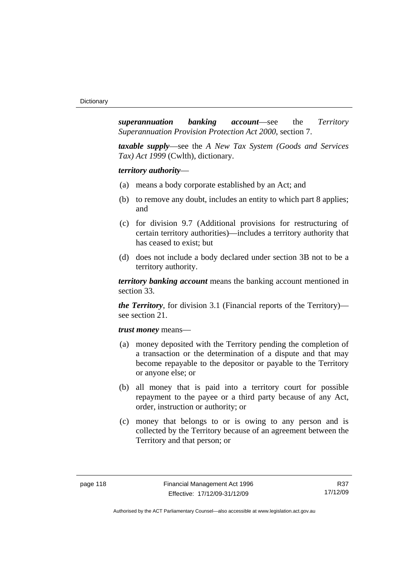*superannuation banking account*—see the *Territory Superannuation Provision Protection Act 2000*, section 7.

*taxable supply*—see the *A New Tax System (Goods and Services Tax) Act 1999* (Cwlth), dictionary.

*territory authority*—

- (a) means a body corporate established by an Act; and
- (b) to remove any doubt, includes an entity to which part 8 applies; and
- (c) for division 9.7 (Additional provisions for restructuring of certain territory authorities)—includes a territory authority that has ceased to exist; but
- (d) does not include a body declared under section 3B not to be a territory authority.

*territory banking account* means the banking account mentioned in section 33.

*the Territory*, for division 3.1 (Financial reports of the Territory) see section 21.

#### *trust money* means—

- (a) money deposited with the Territory pending the completion of a transaction or the determination of a dispute and that may become repayable to the depositor or payable to the Territory or anyone else; or
- (b) all money that is paid into a territory court for possible repayment to the payee or a third party because of any Act, order, instruction or authority; or
- (c) money that belongs to or is owing to any person and is collected by the Territory because of an agreement between the Territory and that person; or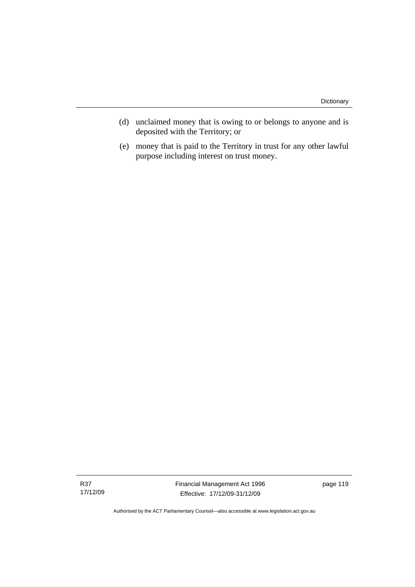- (d) unclaimed money that is owing to or belongs to anyone and is deposited with the Territory; or
- (e) money that is paid to the Territory in trust for any other lawful purpose including interest on trust money.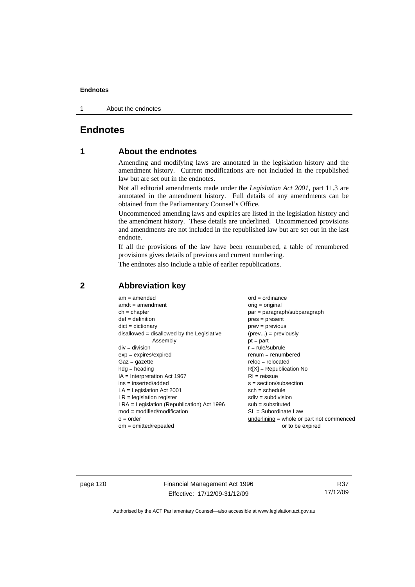1 About the endnotes

# **Endnotes**

# **1 About the endnotes**

Amending and modifying laws are annotated in the legislation history and the amendment history. Current modifications are not included in the republished law but are set out in the endnotes.

Not all editorial amendments made under the *Legislation Act 2001*, part 11.3 are annotated in the amendment history. Full details of any amendments can be obtained from the Parliamentary Counsel's Office.

Uncommenced amending laws and expiries are listed in the legislation history and the amendment history. These details are underlined. Uncommenced provisions and amendments are not included in the republished law but are set out in the last endnote.

If all the provisions of the law have been renumbered, a table of renumbered provisions gives details of previous and current numbering.

The endnotes also include a table of earlier republications.

| $am = amended$                               | $ord = ordinance$                         |
|----------------------------------------------|-------------------------------------------|
| $amdt = amendment$                           | orig = original                           |
| $ch = chapter$                               | par = paragraph/subparagraph              |
| $def = definition$                           | $pres = present$                          |
| $dict = dictionary$                          | $prev = previous$                         |
| $disallowed = disallowed by the Legislative$ | $(\text{prev}) = \text{previously}$       |
| Assembly                                     | $pt = part$                               |
| $div = division$                             | $r = rule/subrule$                        |
| $exp = expires/expired$                      | $renum = renumbered$                      |
| $Gaz = gazette$                              | $reloc = relocated$                       |
| $hdg =$ heading                              | $R[X]$ = Republication No                 |
| $IA = Interpretation Act 1967$               | $RI = reissue$                            |
| $ins = inserted/added$                       | $s = section/subsection$                  |
| $LA =$ Legislation Act 2001                  | $sch = schedule$                          |
| $LR =$ legislation register                  | $sdiv = subdivision$                      |
| $LRA =$ Legislation (Republication) Act 1996 | $sub = substituted$                       |
| $mod = modified/modification$                | SL = Subordinate Law                      |
| $o = order$                                  | underlining = whole or part not commenced |
| $om = omitted/repealed$                      | or to be expired                          |
|                                              |                                           |

## **2 Abbreviation key**

page 120 Financial Management Act 1996 Effective: 17/12/09-31/12/09

R37 17/12/09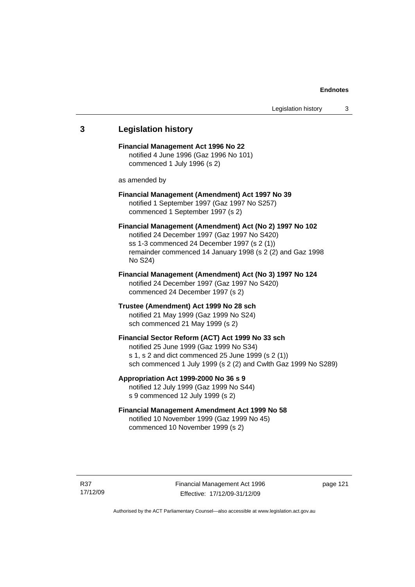# **3 Legislation history Financial Management Act 1996 No 22**  notified 4 June 1996 (Gaz 1996 No 101) commenced 1 July 1996 (s 2) as amended by **Financial Management (Amendment) Act 1997 No 39**  notified 1 September 1997 (Gaz 1997 No S257) commenced 1 September 1997 (s 2) **Financial Management (Amendment) Act (No 2) 1997 No 102**  notified 24 December 1997 (Gaz 1997 No S420) ss 1-3 commenced 24 December 1997 (s 2 (1)) remainder commenced 14 January 1998 (s 2 (2) and Gaz 1998 No S24) **Financial Management (Amendment) Act (No 3) 1997 No 124**  notified 24 December 1997 (Gaz 1997 No S420) commenced 24 December 1997 (s 2) **Trustee (Amendment) Act 1999 No 28 sch**  notified 21 May 1999 (Gaz 1999 No S24) sch commenced 21 May 1999 (s 2) **Financial Sector Reform (ACT) Act 1999 No 33 sch**  notified 25 June 1999 (Gaz 1999 No S34) s 1, s 2 and dict commenced 25 June 1999 (s 2 (1)) sch commenced 1 July 1999 (s 2 (2) and Cwlth Gaz 1999 No S289) **Appropriation Act 1999-2000 No 36 s 9**  notified 12 July 1999 (Gaz 1999 No S44) s 9 commenced 12 July 1999 (s 2) **Financial Management Amendment Act 1999 No 58**  notified 10 November 1999 (Gaz 1999 No 45) commenced 10 November 1999 (s 2)

page 121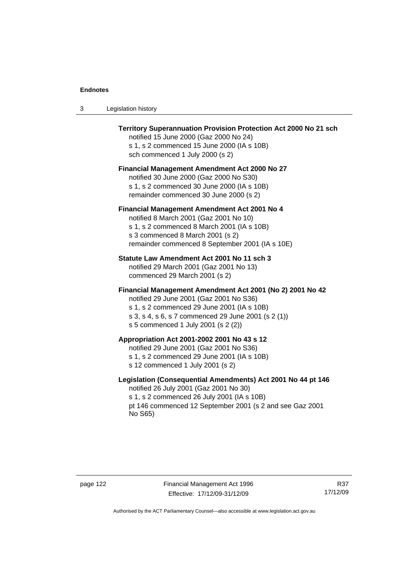| Legislation history<br>- 3 |  |
|----------------------------|--|
|----------------------------|--|

| Territory Superannuation Provision Protection Act 2000 No 21 sch<br>notified 15 June 2000 (Gaz 2000 No 24)<br>s 1, s 2 commenced 15 June 2000 (IA s 10B)<br>sch commenced 1 July 2000 (s 2)                                                      |
|--------------------------------------------------------------------------------------------------------------------------------------------------------------------------------------------------------------------------------------------------|
| <b>Financial Management Amendment Act 2000 No 27</b><br>notified 30 June 2000 (Gaz 2000 No S30)<br>s 1, s 2 commenced 30 June 2000 (IA s 10B)<br>remainder commenced 30 June 2000 (s 2)                                                          |
| Financial Management Amendment Act 2001 No 4<br>notified 8 March 2001 (Gaz 2001 No 10)<br>s 1, s 2 commenced 8 March 2001 (IA s 10B)<br>s 3 commenced 8 March 2001 (s 2)<br>remainder commenced 8 September 2001 (IA s 10E)                      |
| Statute Law Amendment Act 2001 No 11 sch 3<br>notified 29 March 2001 (Gaz 2001 No 13)<br>commenced 29 March 2001 (s 2)                                                                                                                           |
| Financial Management Amendment Act 2001 (No 2) 2001 No 42<br>notified 29 June 2001 (Gaz 2001 No S36)<br>s 1, s 2 commenced 29 June 2001 (IA s 10B)<br>s 3, s 4, s 6, s 7 commenced 29 June 2001 (s 2 (1))<br>s 5 commenced 1 July 2001 (s 2 (2)) |
| Appropriation Act 2001-2002 2001 No 43 s 12<br>notified 29 June 2001 (Gaz 2001 No S36)<br>s 1, s 2 commenced 29 June 2001 (IA s 10B)<br>s 12 commenced 1 July 2001 (s 2)                                                                         |
| Legislation (Consequential Amendments) Act 2001 No 44 pt 146<br>notified 26 July 2001 (Gaz 2001 No 30)<br>s 1, s 2 commenced 26 July 2001 (IA s 10B)<br>pt 146 commenced 12 September 2001 (s 2 and see Gaz 2001<br>No S65)                      |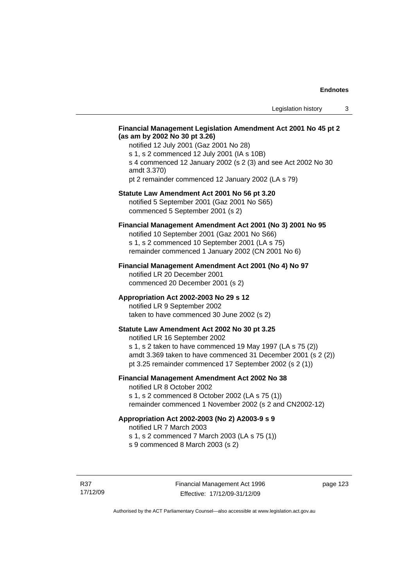### **Financial Management Legislation Amendment Act 2001 No 45 pt 2 (as am by 2002 No 30 pt 3.26)**

notified 12 July 2001 (Gaz 2001 No 28) s 1, s 2 commenced 12 July 2001 (IA s 10B) s 4 commenced 12 January 2002 (s 2 (3) and see Act 2002 No 30 amdt 3.370) pt 2 remainder commenced 12 January 2002 (LA s 79)

#### **Statute Law Amendment Act 2001 No 56 pt 3.20**

notified 5 September 2001 (Gaz 2001 No S65) commenced 5 September 2001 (s 2)

## **Financial Management Amendment Act 2001 (No 3) 2001 No 95**

notified 10 September 2001 (Gaz 2001 No S66) s 1, s 2 commenced 10 September 2001 (LA s 75) remainder commenced 1 January 2002 (CN 2001 No 6)

#### **Financial Management Amendment Act 2001 (No 4) No 97**

notified LR 20 December 2001 commenced 20 December 2001 (s 2)

#### **Appropriation Act 2002-2003 No 29 s 12**

notified LR 9 September 2002 taken to have commenced 30 June 2002 (s 2)

## **Statute Law Amendment Act 2002 No 30 pt 3.25**

notified LR 16 September 2002 s 1, s 2 taken to have commenced 19 May 1997 (LA s 75 (2)) amdt 3.369 taken to have commenced 31 December 2001 (s 2 (2)) pt 3.25 remainder commenced 17 September 2002 (s 2 (1))

## **Financial Management Amendment Act 2002 No 38**

notified LR 8 October 2002 s 1, s 2 commenced 8 October 2002 (LA s 75 (1))

remainder commenced 1 November 2002 (s 2 and CN2002-12)

## **Appropriation Act 2002-2003 (No 2) A2003-9 s 9**

notified LR 7 March 2003

s 1, s 2 commenced 7 March 2003 (LA s 75 (1))

s 9 commenced 8 March 2003 (s 2)

R37 17/12/09 page 123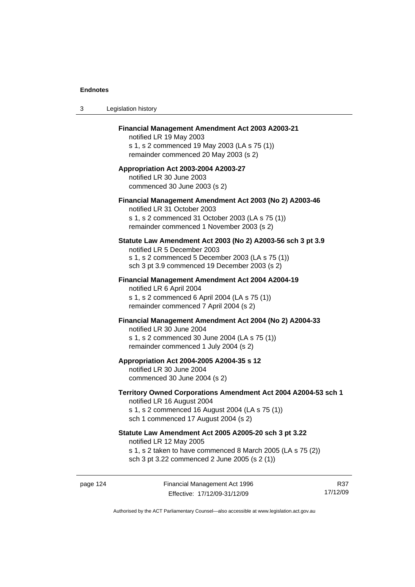| 3 | Legislation history                                                                                                                                                                              |
|---|--------------------------------------------------------------------------------------------------------------------------------------------------------------------------------------------------|
|   | Financial Management Amendment Act 2003 A2003-21<br>notified LR 19 May 2003<br>s 1, s 2 commenced 19 May 2003 (LA s 75 (1))<br>remainder commenced 20 May 2003 (s 2)                             |
|   | Appropriation Act 2003-2004 A2003-27<br>notified LR 30 June 2003<br>commenced 30 June 2003 (s 2)                                                                                                 |
|   | Financial Management Amendment Act 2003 (No 2) A2003-46<br>notified LR 31 October 2003<br>s 1, s 2 commenced 31 October 2003 (LA s 75 (1))<br>remainder commenced 1 November 2003 (s 2)          |
|   | Statute Law Amendment Act 2003 (No 2) A2003-56 sch 3 pt 3.9<br>notified LR 5 December 2003<br>s 1, s 2 commenced 5 December 2003 (LA s 75 (1))<br>sch 3 pt 3.9 commenced 19 December 2003 (s 2)  |
|   | <b>Financial Management Amendment Act 2004 A2004-19</b><br>notified LR 6 April 2004<br>s 1, s 2 commenced 6 April 2004 (LA s 75 (1))<br>remainder commenced 7 April 2004 (s 2)                   |
|   | Financial Management Amendment Act 2004 (No 2) A2004-33<br>notified LR 30 June 2004<br>s 1, s 2 commenced 30 June 2004 (LA s 75 (1))<br>remainder commenced 1 July 2004 (s 2)                    |
|   | Appropriation Act 2004-2005 A2004-35 s 12<br>notified LR 30 June 2004<br>commenced 30 June 2004 (s 2)                                                                                            |
|   | Territory Owned Corporations Amendment Act 2004 A2004-53 sch 1<br>notified LR 16 August 2004<br>s 1, s 2 commenced 16 August 2004 (LA s 75 (1))<br>sch 1 commenced 17 August 2004 (s 2)          |
|   | Statute Law Amendment Act 2005 A2005-20 sch 3 pt 3.22<br>notified LR 12 May 2005<br>s 1, s 2 taken to have commenced 8 March 2005 (LA s 75 (2))<br>sch 3 pt 3.22 commenced 2 June 2005 (s 2 (1)) |
|   |                                                                                                                                                                                                  |

page 124 Financial Management Act 1996 Effective: 17/12/09-31/12/09

R37 17/12/09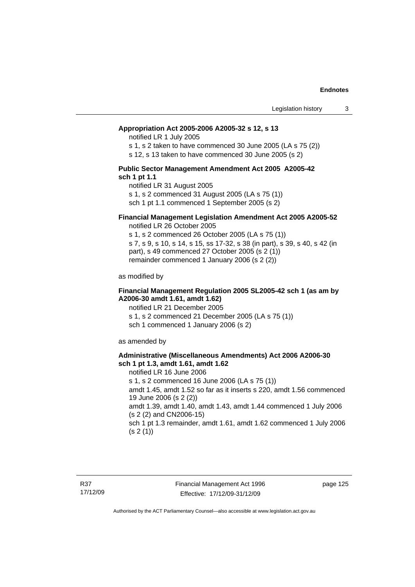#### **Appropriation Act 2005-2006 A2005-32 s 12, s 13**

notified LR 1 July 2005

s 1, s 2 taken to have commenced 30 June 2005 (LA s 75 (2))

s 12, s 13 taken to have commenced 30 June 2005 (s 2)

#### **Public Sector Management Amendment Act 2005 A2005-42 sch 1 pt 1.1**

notified LR 31 August 2005 s 1, s 2 commenced 31 August 2005 (LA s 75 (1)) sch 1 pt 1.1 commenced 1 September 2005 (s 2)

#### **Financial Management Legislation Amendment Act 2005 A2005-52**

notified LR 26 October 2005

s 1, s 2 commenced 26 October 2005 (LA s 75 (1)) s 7, s 9, s 10, s 14, s 15, ss 17-32, s 38 (in part), s 39, s 40, s 42 (in part), s 49 commenced 27 October 2005 (s 2 (1)) remainder commenced 1 January 2006 (s 2 (2))

as modified by

#### **Financial Management Regulation 2005 SL2005-42 sch 1 (as am by A2006-30 amdt 1.61, amdt 1.62)**

notified LR 21 December 2005 s 1, s 2 commenced 21 December 2005 (LA s 75 (1)) sch 1 commenced 1 January 2006 (s 2)

as amended by

#### **Administrative (Miscellaneous Amendments) Act 2006 A2006-30 sch 1 pt 1.3, amdt 1.61, amdt 1.62**

notified LR 16 June 2006 s 1, s 2 commenced 16 June 2006 (LA s 75 (1)) amdt 1.45, amdt 1.52 so far as it inserts s 220, amdt 1.56 commenced 19 June 2006 (s 2 (2)) amdt 1.39, amdt 1.40, amdt 1.43, amdt 1.44 commenced 1 July 2006 (s 2 (2) and CN2006-15) sch 1 pt 1.3 remainder, amdt 1.61, amdt 1.62 commenced 1 July 2006  $(s 2(1))$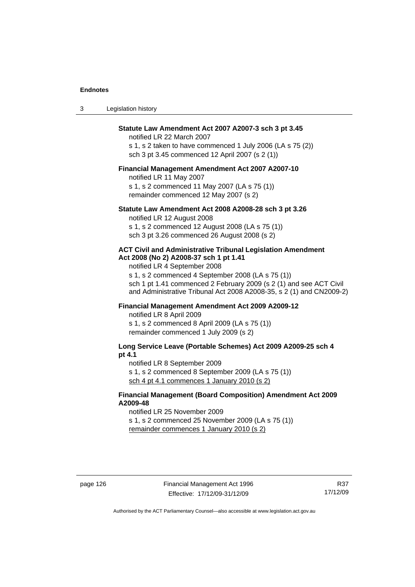| 3 | Legislation history |
|---|---------------------|
|   |                     |

## **Statute Law Amendment Act 2007 A2007-3 sch 3 pt 3.45**

notified LR 22 March 2007 s 1, s 2 taken to have commenced 1 July 2006 (LA s 75 (2)) sch 3 pt 3.45 commenced 12 April 2007 (s 2 (1))

#### **Financial Management Amendment Act 2007 A2007-10**

notified LR 11 May 2007 s 1, s 2 commenced 11 May 2007 (LA s 75 (1)) remainder commenced 12 May 2007 (s 2)

#### **Statute Law Amendment Act 2008 A2008-28 sch 3 pt 3.26**

notified LR 12 August 2008 s 1, s 2 commenced 12 August 2008 (LA s 75 (1)) sch 3 pt 3.26 commenced 26 August 2008 (s 2)

#### **ACT Civil and Administrative Tribunal Legislation Amendment Act 2008 (No 2) A2008-37 sch 1 pt 1.41**

notified LR 4 September 2008

s 1, s 2 commenced 4 September 2008 (LA s 75 (1)) sch 1 pt 1.41 commenced 2 February 2009 (s 2 (1) and see ACT Civil and Administrative Tribunal Act 2008 A2008-35, s 2 (1) and CN2009-2)

## **Financial Management Amendment Act 2009 A2009-12**

notified LR 8 April 2009

s 1, s 2 commenced 8 April 2009 (LA s 75 (1)) remainder commenced 1 July 2009 (s 2)

## **Long Service Leave (Portable Schemes) Act 2009 A2009-25 sch 4 pt 4.1**

notified LR 8 September 2009

s 1, s 2 commenced 8 September 2009 (LA s 75 (1))

sch 4 pt 4.1 commences 1 January 2010 (s 2)

### **Financial Management (Board Composition) Amendment Act 2009 A2009-48**

notified LR 25 November 2009

s 1, s 2 commenced 25 November 2009 (LA s 75 (1))

remainder commences 1 January 2010 (s 2)

R37 17/12/09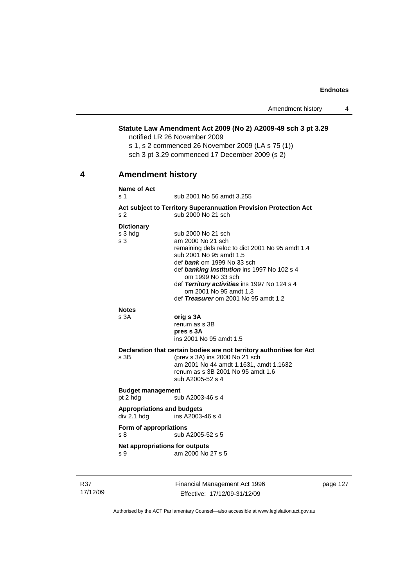## **Statute Law Amendment Act 2009 (No 2) A2009-49 sch 3 pt 3.29**

notified LR 26 November 2009

s 1, s 2 commenced 26 November 2009 (LA s 75 (1)) sch 3 pt 3.29 commenced 17 December 2009 (s 2)

# **4 Amendment history**

#### **Name of Act**

s 1 sub 2001 No 56 amdt 3.255

#### **Act subject to Territory Superannuation Provision Protection Act** s 2 sub 2000 No 21 sch

#### **Dictionary**

| s 3 hdg                           | sub 2000 No 21 sch                                                     |
|-----------------------------------|------------------------------------------------------------------------|
| s 3                               | am 2000 No 21 sch                                                      |
|                                   | remaining defs reloc to dict 2001 No 95 amdt 1.4                       |
|                                   | sub 2001 No 95 amdt 1.5                                                |
|                                   | def bank om 1999 No 33 sch                                             |
|                                   | def banking institution ins 1997 No 102 s 4<br>om 1999 No 33 sch       |
|                                   | def Territory activities ins 1997 No 124 s 4<br>om 2001 No 95 amdt 1.3 |
|                                   | def Treasurer om 2001 No 95 amdt 1.2                                   |
| <b>Notes</b>                      |                                                                        |
| s 3A                              | orig s 3A                                                              |
|                                   | renum as s 3B                                                          |
|                                   | pres s 3A                                                              |
|                                   | ins 2001 No 95 amdt 1.5                                                |
|                                   | Declaration that certain bodies are not territory authorities for Act  |
| s 3B                              | (prev s 3A) ins 2000 No 21 sch                                         |
|                                   | am 2001 No 44 amdt 1.1631, amdt 1.1632                                 |
|                                   | renum as s 3B 2001 No 95 amdt 1.6                                      |
|                                   | sub A2005-52 s 4                                                       |
| <b>Budget management</b>          |                                                                        |
| pt 2 hdg                          | sub A2003-46 s 4                                                       |
| <b>Appropriations and budgets</b> |                                                                        |
| div 2.1 h dg                      | ins A2003-46 s 4                                                       |
| Form of appropriations            |                                                                        |
| s 8                               | sub A2005-52 s 5                                                       |
| Net appropriations for outputs    |                                                                        |
| s 9                               | am 2000 No 27 s 5                                                      |
|                                   |                                                                        |
|                                   |                                                                        |

R37 17/12/09 Financial Management Act 1996 Effective: 17/12/09-31/12/09

page 127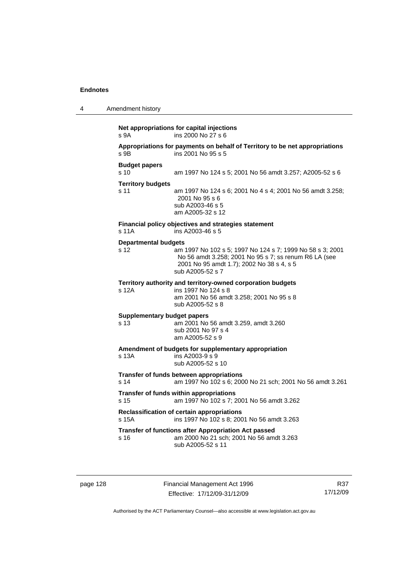| 4 | Amendment history                          |                                                                                                                                                                                     |
|---|--------------------------------------------|-------------------------------------------------------------------------------------------------------------------------------------------------------------------------------------|
|   | s <sub>9A</sub>                            | Net appropriations for capital injections<br>ins 2000 No 27 s 6                                                                                                                     |
|   | s 9B                                       | Appropriations for payments on behalf of Territory to be net appropriations<br>ins 2001 No 95 s 5                                                                                   |
|   | <b>Budget papers</b><br>s <sub>10</sub>    | am 1997 No 124 s 5; 2001 No 56 amdt 3.257; A2005-52 s 6                                                                                                                             |
|   | <b>Territory budgets</b><br>s 11           | am 1997 No 124 s 6; 2001 No 4 s 4; 2001 No 56 amdt 3.258;<br>2001 No 95 s 6<br>sub A2003-46 s 5<br>am A2005-32 s 12                                                                 |
|   | s 11A                                      | Financial policy objectives and strategies statement<br>ins A2003-46 s 5                                                                                                            |
|   | <b>Departmental budgets</b><br>s 12        | am 1997 No 102 s 5; 1997 No 124 s 7; 1999 No 58 s 3; 2001<br>No 56 amdt 3.258; 2001 No 95 s 7; ss renum R6 LA (see<br>2001 No 95 amdt 1.7); 2002 No 38 s 4, s 5<br>sub A2005-52 s 7 |
|   | s 12A                                      | Territory authority and territory-owned corporation budgets<br>ins 1997 No 124 s 8<br>am 2001 No 56 amdt 3.258; 2001 No 95 s 8<br>sub A2005-52 s 8                                  |
|   | <b>Supplementary budget papers</b><br>s 13 | am 2001 No 56 amdt 3.259, amdt 3.260<br>sub 2001 No 97 s 4<br>am A2005-52 s 9                                                                                                       |
|   | s 13A                                      | Amendment of budgets for supplementary appropriation<br>ins A2003-9 s 9<br>sub A2005-52 s 10                                                                                        |
|   | s 14                                       | Transfer of funds between appropriations<br>am 1997 No 102 s 6; 2000 No 21 sch; 2001 No 56 amdt 3.261                                                                               |
|   | s <sub>15</sub>                            | Transfer of funds within appropriations<br>am 1997 No 102 s 7; 2001 No 56 amdt 3.262                                                                                                |
|   | s 15A                                      | Reclassification of certain appropriations<br>ins 1997 No 102 s 8; 2001 No 56 amdt 3.263                                                                                            |
|   | s 16                                       | Transfer of functions after Appropriation Act passed<br>am 2000 No 21 sch; 2001 No 56 amdt 3.263<br>sub A2005-52 s 11                                                               |

page 128 Financial Management Act 1996 Effective: 17/12/09-31/12/09

R37 17/12/09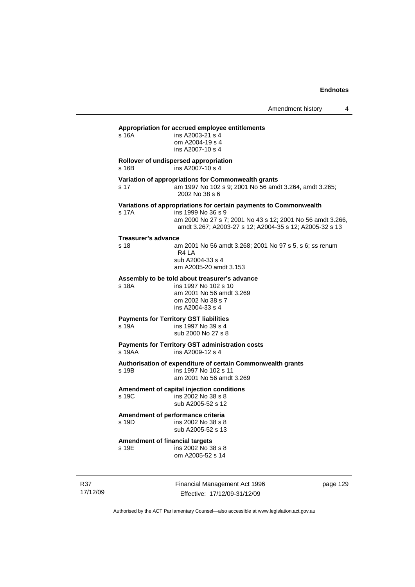Amendment history 4

#### **Appropriation for accrued employee entitlements**

| s 16A                                                            | ins A2003-21 s 4<br>om A2004-19 s 4<br>ins A2007-10 s 4                                                                                                                                                          |
|------------------------------------------------------------------|------------------------------------------------------------------------------------------------------------------------------------------------------------------------------------------------------------------|
| Rollover of undispersed appropriation<br>s 16B                   | ins A2007-10 s 4                                                                                                                                                                                                 |
| s 17                                                             | Variation of appropriations for Commonwealth grants<br>am 1997 No 102 s 9; 2001 No 56 amdt 3.264, amdt 3.265;<br>2002 No 38 s 6                                                                                  |
| s 17A                                                            | Variations of appropriations for certain payments to Commonwealth<br>ins 1999 No 36 s 9<br>am 2000 No 27 s 7; 2001 No 43 s 12; 2001 No 56 amdt 3.266,<br>amdt 3.267; A2003-27 s 12; A2004-35 s 12; A2005-32 s 13 |
| Treasurer's advance<br>s 18<br>R <sub>4</sub> LA                 | am 2001 No 56 amdt 3.268; 2001 No 97 s 5, s 6; ss renum<br>sub A2004-33 s 4<br>am A2005-20 amdt 3.153                                                                                                            |
| Assembly to be told about treasurer's advance<br>s 18A           | ins 1997 No 102 s 10<br>am 2001 No 56 amdt 3.269<br>om 2002 No 38 s 7<br>ins A2004-33 s 4                                                                                                                        |
| <b>Payments for Territory GST liabilities</b><br>s 19A           | ins 1997 No 39 s 4<br>sub 2000 No 27 s 8                                                                                                                                                                         |
| <b>Payments for Territory GST administration costs</b><br>s 19AA | ins A2009-12 s 4                                                                                                                                                                                                 |
| s 19B                                                            | Authorisation of expenditure of certain Commonwealth grants<br>ins 1997 No 102 s 11<br>am 2001 No 56 amdt 3.269                                                                                                  |
| Amendment of capital injection conditions<br>s 19C               | ins 2002 No 38 s 8<br>sub A2005-52 s 12                                                                                                                                                                          |
| Amendment of performance criteria<br>s 19D                       | ins 2002 No 38 s 8<br>sub A2005-52 s 13                                                                                                                                                                          |
| <b>Amendment of financial targets</b><br>s 19E                   | ins 2002 No 38 s 8<br>om A2005-52 s 14                                                                                                                                                                           |

R37 17/12/09 Financial Management Act 1996 Effective: 17/12/09-31/12/09

page 129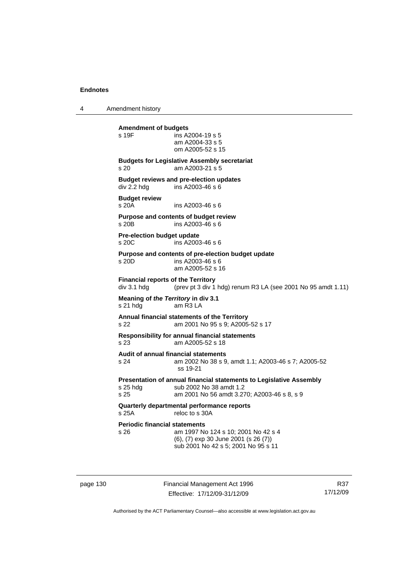4 Amendment history

**Amendment of budgets**   $ins$  A2004-19 s 5 am A2004-33 s 5 om A2005-52 s 15 **Budgets for Legislative Assembly secretariat**  s 20 am A2003-21 s 5 **Budget reviews and pre-election updates**  div 2.2 hdg ins A2003-46 s 6 **Budget review**  s 20A ins A2003-46 s 6 **Purpose and contents of budget review**   $ins A2003-46 s 6$ **Pre-election budget update**  s 20C ins A2003-46 s 6 **Purpose and contents of pre-election budget update**  s 20D ins A2003-46 s 6 am A2005-52 s 16 **Financial reports of the Territory**  div 3.1 hdg (prev pt 3 div 1 hdg) renum R3 LA (see 2001 No 95 amdt 1.11) **Meaning of** *the Territory* **in div 3.1**  s 21 hdg am R3 LA **Annual financial statements of the Territory**  s 22 am 2001 No 95 s 9; A2005-52 s 17 **Responsibility for annual financial statements**  s 23 am A2005-52 s 18 **Audit of annual financial statements**  s 24 am 2002 No 38 s 9, amdt 1.1; A2003-46 s 7; A2005-52 ss 19-21 **Presentation of annual financial statements to Legislative Assembly**  s 25 hdg sub 2002 No 38 amdt 1.2<br>s 25 september 2001 No 56 amdt 3.2 am 2001 No 56 amdt 3.270; A2003-46 s 8, s 9 **Quarterly departmental performance reports**  s 25A reloc to s 30A **Periodic financial statements** s 26 am 1997 No 124 s 10; 2001 No 42 s 4 (6), (7) exp 30 June 2001 (s 26 (7)) sub 2001 No 42 s 5; 2001 No 95 s 11

page 130 Financial Management Act 1996 Effective: 17/12/09-31/12/09

R37 17/12/09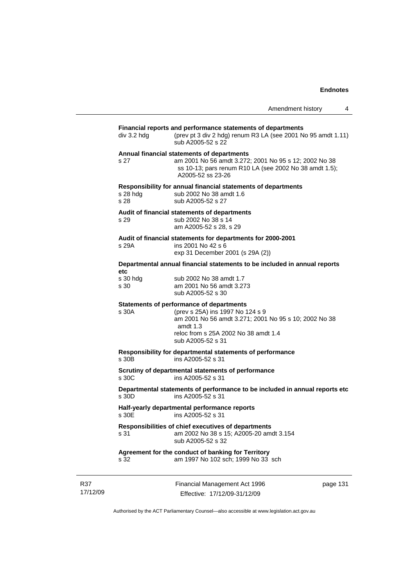|                    |                                                                                                                                                                                                                  | Amendment history | 4 |
|--------------------|------------------------------------------------------------------------------------------------------------------------------------------------------------------------------------------------------------------|-------------------|---|
| div 3.2 hdg        | Financial reports and performance statements of departments<br>(prev pt 3 div 2 hdg) renum R3 LA (see 2001 No 95 amdt 1.11)<br>sub A2005-52 s 22                                                                 |                   |   |
| s 27               | Annual financial statements of departments<br>am 2001 No 56 amdt 3.272; 2001 No 95 s 12; 2002 No 38<br>ss 10-13; pars renum R10 LA (see 2002 No 38 amdt 1.5);<br>A2005-52 ss 23-26                               |                   |   |
| $s$ 28 hdg<br>s 28 | Responsibility for annual financial statements of departments<br>sub 2002 No 38 amdt 1.6<br>sub A2005-52 s 27                                                                                                    |                   |   |
| s 29               | Audit of financial statements of departments<br>sub 2002 No 38 s 14<br>am A2005-52 s 28, s 29                                                                                                                    |                   |   |
| s 29A              | Audit of financial statements for departments for 2000-2001<br>ins 2001 No 42 s 6<br>exp 31 December 2001 (s 29A (2))                                                                                            |                   |   |
| etc                | Departmental annual financial statements to be included in annual reports                                                                                                                                        |                   |   |
| s 30 hdg<br>s 30   | sub 2002 No 38 amdt 1.7<br>am 2001 No 56 amdt 3.273<br>sub A2005-52 s 30                                                                                                                                         |                   |   |
| s 30A              | Statements of performance of departments<br>(prev s 25A) ins 1997 No 124 s 9<br>am 2001 No 56 amdt 3.271; 2001 No 95 s 10; 2002 No 38<br>amdt $1.3$<br>reloc from s 25A 2002 No 38 amdt 1.4<br>sub A2005-52 s 31 |                   |   |
| s 30B              | Responsibility for departmental statements of performance<br>ins A2005-52 s 31                                                                                                                                   |                   |   |
| s 30C              | Scrutiny of departmental statements of performance<br>ins A2005-52 s 31                                                                                                                                          |                   |   |
| s 30D              | Departmental statements of performance to be included in annual reports etc<br>ins A2005-52 s 31                                                                                                                 |                   |   |
| s 30E              | Half-yearly departmental performance reports<br>ins A2005-52 s 31                                                                                                                                                |                   |   |
| s 31               | Responsibilities of chief executives of departments<br>am 2002 No 38 s 15; A2005-20 amdt 3.154<br>sub A2005-52 s 32                                                                                              |                   |   |
| s 32               | Agreement for the conduct of banking for Territory<br>am 1997 No 102 sch; 1999 No 33 sch                                                                                                                         |                   |   |

R37 17/12/09 Financial Management Act 1996 Effective: 17/12/09-31/12/09

page 131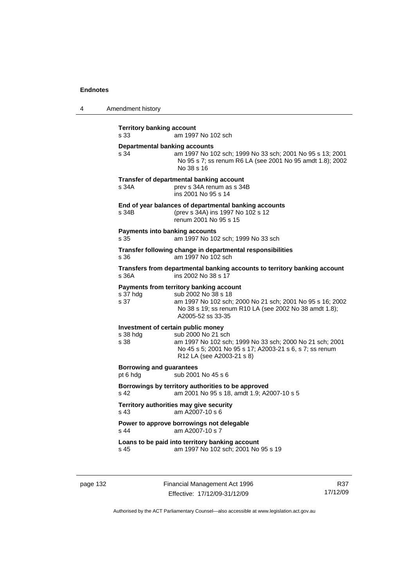| 4 | Amendment history |
|---|-------------------|
|---|-------------------|

| <b>Territory banking account</b><br>s 33               | am 1997 No 102 sch                                                                                                                                                                                         |
|--------------------------------------------------------|------------------------------------------------------------------------------------------------------------------------------------------------------------------------------------------------------------|
| <b>Departmental banking accounts</b><br>s 34           | am 1997 No 102 sch; 1999 No 33 sch; 2001 No 95 s 13; 2001<br>No 95 s 7; ss renum R6 LA (see 2001 No 95 amdt 1.8); 2002<br>No 38 s 16                                                                       |
| s 34A                                                  | Transfer of departmental banking account<br>prev s 34A renum as s 34B<br>ins 2001 No 95 s 14                                                                                                               |
| s 34B                                                  | End of year balances of departmental banking accounts<br>(prev s 34A) ins 1997 No 102 s 12<br>renum 2001 No 95 s 15                                                                                        |
| <b>Payments into banking accounts</b><br>s 35          | am 1997 No 102 sch; 1999 No 33 sch                                                                                                                                                                         |
| s 36                                                   | Transfer following change in departmental responsibilities<br>am 1997 No 102 sch                                                                                                                           |
| s 36A                                                  | Transfers from departmental banking accounts to territory banking account<br>ins 2002 No 38 s 17                                                                                                           |
| s 37 hdg<br>s 37                                       | Payments from territory banking account<br>sub 2002 No 38 s 18<br>am 1997 No 102 sch; 2000 No 21 sch; 2001 No 95 s 16; 2002<br>No 38 s 19; ss renum R10 LA (see 2002 No 38 amdt 1.8);<br>A2005-52 ss 33-35 |
| Investment of certain public money<br>s 38 hdg<br>s 38 | sub 2000 No 21 sch<br>am 1997 No 102 sch; 1999 No 33 sch; 2000 No 21 sch; 2001<br>No 45 s 5; 2001 No 95 s 17; A2003-21 s 6, s 7; ss renum<br>R12 LA (see A2003-21 s 8)                                     |
| <b>Borrowing and guarantees</b><br>pt 6 hdg            | sub 2001 No 45 s 6                                                                                                                                                                                         |
| s 42                                                   | Borrowings by territory authorities to be approved<br>am 2001 No 95 s 18, amdt 1.9; A2007-10 s 5                                                                                                           |
| s 43                                                   | Territory authorities may give security<br>am A2007-10 s 6                                                                                                                                                 |
| s 44                                                   | Power to approve borrowings not delegable<br>am A2007-10 s 7                                                                                                                                               |
| s 45                                                   | Loans to be paid into territory banking account<br>am 1997 No 102 sch; 2001 No 95 s 19                                                                                                                     |

page 132 Financial Management Act 1996 Effective: 17/12/09-31/12/09

R37 17/12/09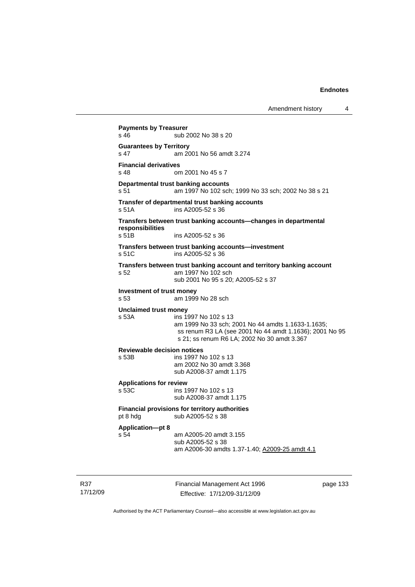```
Payments by Treasurer 
s 46 sub 2002 No 38 s 20
Guarantees by Territory 
s 47 am 2001 No 56 amdt 3.274 
Financial derivatives<br>s 48 on
                 om 2001 No 45 s 7
Departmental trust banking accounts
s 51 am 1997 No 102 sch; 1999 No 33 sch; 2002 No 38 s 21 
Transfer of departmental trust banking accounts 
s 51A ins A2005-52 s 36 
Transfers between trust banking accounts—changes in departmental 
responsibilities 
                 ins A2005-52 s 36
Transfers between trust banking accounts—investment 
s 51C ins A2005-52 s 36 
Transfers between trust banking account and territory banking account 
s 52 am 1997 No 102 sch 
                  sub 2001 No 95 s 20; A2005-52 s 37 
Investment of trust money 
s 53 am 1999 No 28 sch 
Unclaimed trust money 
                 ins 1997 No 102 s 13
                  am 1999 No 33 sch; 2001 No 44 amdts 1.1633-1.1635; 
                  ss renum R3 LA (see 2001 No 44 amdt 1.1636); 2001 No 95 
                  s 21; ss renum R6 LA; 2002 No 30 amdt 3.367 
Reviewable decision notices 
s 53B ins 1997 No 102 s 13 
                  am 2002 No 30 amdt 3.368 
                  sub A2008-37 amdt 1.175 
Applications for review 
                 ins 1997 No 102 s 13
                  sub A2008-37 amdt 1.175 
Financial provisions for territory authorities 
pt 8 hdg sub A2005-52 s 38
Application—pt 8 
s 54 am A2005-20 amdt 3.155 
                  sub A2005-52 s 38 
                  am A2006-30 amdts 1.37-1.40; A2009-25 amdt 4.1
```
R37 17/12/09 Financial Management Act 1996 Effective: 17/12/09-31/12/09

page 133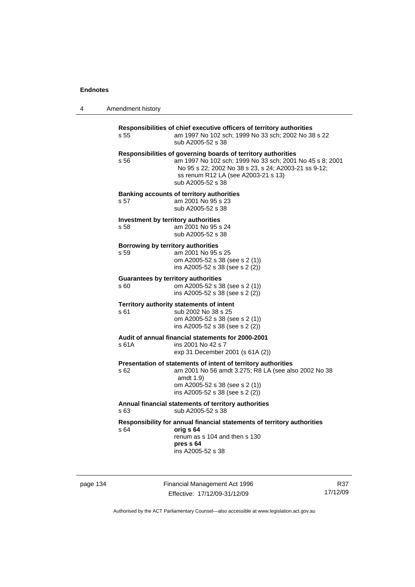4 Amendment history

| s 55                                       | Responsibilities of chief executive officers of territory authorities<br>am 1997 No 102 sch; 1999 No 33 sch; 2002 No 38 s 22<br>sub A2005-52 s 38                                                                                             |
|--------------------------------------------|-----------------------------------------------------------------------------------------------------------------------------------------------------------------------------------------------------------------------------------------------|
| s 56                                       | Responsibilities of governing boards of territory authorities<br>am 1997 No 102 sch; 1999 No 33 sch; 2001 No 45 s 8; 2001<br>No 95 s 22; 2002 No 38 s 23, s 24; A2003-21 ss 9-12;<br>ss renum R12 LA (see A2003-21 s 13)<br>sub A2005-52 s 38 |
| s 57                                       | <b>Banking accounts of territory authorities</b><br>am 2001 No 95 s 23<br>sub A2005-52 s 38                                                                                                                                                   |
| s 58                                       | Investment by territory authorities<br>am 2001 No 95 s 24<br>sub A2005-52 s 38                                                                                                                                                                |
| Borrowing by territory authorities<br>s 59 | am 2001 No 95 s 25<br>om A2005-52 s 38 (see s 2 (1))<br>ins A2005-52 s 38 (see s 2 (2))                                                                                                                                                       |
| s 60                                       | <b>Guarantees by territory authorities</b><br>om A2005-52 s 38 (see s 2 (1))<br>ins A2005-52 s 38 (see s 2 (2))                                                                                                                               |
| s 61                                       | Territory authority statements of intent<br>sub 2002 No 38 s 25<br>om A2005-52 s 38 (see s 2 (1))<br>ins A2005-52 s 38 (see s 2 (2))                                                                                                          |
| s 61A                                      | Audit of annual financial statements for 2000-2001<br>ins 2001 No 42 s 7<br>exp 31 December 2001 (s 61A (2))                                                                                                                                  |
| s 62                                       | Presentation of statements of intent of territory authorities<br>am 2001 No 56 amdt 3.275; R8 LA (see also 2002 No 38<br>amdt 1.9)<br>om A2005-52 s 38 (see s 2 (1))<br>ins A2005-52 s 38 (see s 2 (2))                                       |
| s 63                                       | Annual financial statements of territory authorities<br>sub A2005-52 s 38                                                                                                                                                                     |
| s 64                                       | Responsibility for annual financial statements of territory authorities<br>orig s 64<br>renum as s 104 and then s 130<br>pres s 64<br>ins A2005-52 s 38                                                                                       |

page 134 Financial Management Act 1996 Effective: 17/12/09-31/12/09

R37 17/12/09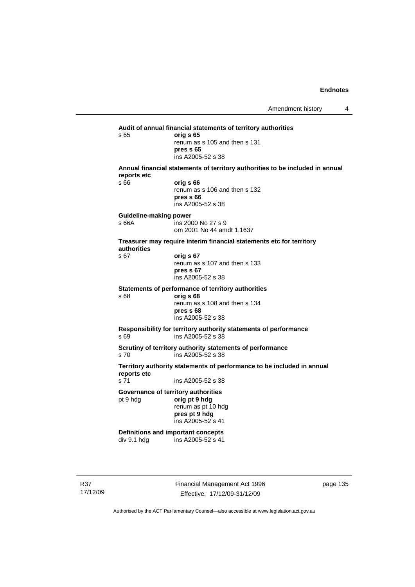**Audit of annual financial statements of territory authorities**  s 65 **orig s 65**  renum as s 105 and then s 131 **pres s 65**  ins A2005-52 s 38 **Annual financial statements of territory authorities to be included in annual reports etc**  s 66 **orig s 66**  renum as s 106 and then s 132 **pres s 66**  ins A2005-52 s 38 **Guideline-making power**  s 66A ins 2000 No 27 s 9 om 2001 No 44 amdt 1.1637 **Treasurer may require interim financial statements etc for territory authorities** s 67 **orig s 67**  renum as s 107 and then s 133 **pres s 67**  ins A2005-52 s 38 **Statements of performance of territory authorities**  s 68 **orig s 68**  renum as s 108 and then s 134 **pres s 68**  ins A2005-52 s 38 **Responsibility for territory authority statements of performance**  s 69 ins A2005-52 s 38 **Scrutiny of territory authority statements of performance**  s 70 ins A2005-52 s 38 **Territory authority statements of performance to be included in annual reports etc**  s 71 ins A2005-52 s 38 **Governance of territory authorities**  pt 9 hdg **orig pt 9 hdg**  renum as pt 10 hdg **pres pt 9 hdg**  ins A2005-52 s 41 **Definitions and important concepts**  div 9.1 hdg ins A2005-52 s 41

R37 17/12/09 Financial Management Act 1996 Effective: 17/12/09-31/12/09

page 135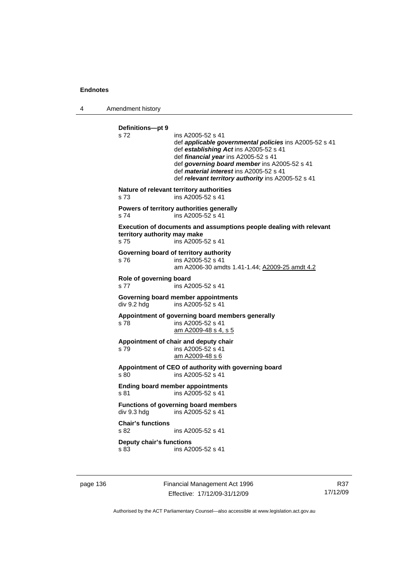4 Amendment history

**Definitions—pt 9**  s 72 ins A2005-52 s 41 def *applicable governmental policies* ins A2005-52 s 41 def *establishing Act* ins A2005-52 s 41 def *financial year* ins A2005-52 s 41 def *governing board member* ins A2005-52 s 41 def *material interest* ins A2005-52 s 41 def *relevant territory authority* ins A2005-52 s 41 **Nature of relevant territory authorities**  s 73 ins A2005-52 s 41 **Powers of territory authorities generally**  s 74 ins A2005-52 s 41 **Execution of documents and assumptions people dealing with relevant territory authority may make**  s 75 ins A2005-52 s 41 **Governing board of territory authority**  s 76 ins A2005-52 s 41 am A2006-30 amdts 1.41-1.44; A2009-25 amdt 4.2 **Role of governing board**  s 77 ins A2005-52 s 41 **Governing board member appointments**  div 9.2 hdg ins A2005-52 s 41 **Appointment of governing board members generally**  s 78 ins A2005-52 s 41 am A2009-48 s 4, s 5 **Appointment of chair and deputy chair**  s 79 ins A2005-52 s 41 am A2009-48 s 6 **Appointment of CEO of authority with governing board**  s 80 ins A2005-52 s 41 **Ending board member appointments**  s 81 ins A2005-52 s 41 **Functions of governing board members**<br>div 9.3 hdg ins A2005-52 s 41 ins  $A2005 - 52$  s 41 **Chair's functions**  ins A2005-52 s 41 **Deputy chair's functions**  s 83 ins A2005-52 s 41

page 136 Financial Management Act 1996 Effective: 17/12/09-31/12/09

R37 17/12/09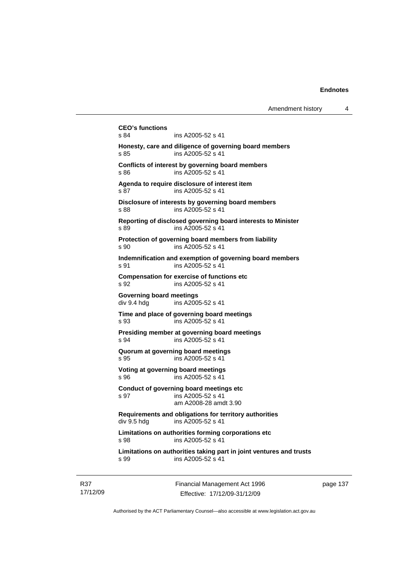```
CEO's functions 
                ins A2005-52 s 41
Honesty, care and diligence of governing board members 
s 85 ins A2005-52 s 41 
Conflicts of interest by governing board members 
s 86 ins A2005-52 s 41 
Agenda to require disclosure of interest item 
s 87 ins A2005-52 s 41 
Disclosure of interests by governing board members 
s 88 ins A2005-52 s 41
Reporting of disclosed governing board interests to Minister 
s 89 ins A2005-52 s 41 
Protection of governing board members from liability 
s 90 ins A2005-52 s 41 
Indemnification and exemption of governing board members 
s 91 ins A2005-52 s 41
Compensation for exercise of functions etc 
s 92 ins A2005-52 s 41 
Governing board meetings 
div 9.4 hdg ins A2005-52 s 41 
Time and place of governing board meetings 
s 93 ins A2005-52 s 41 
Presiding member at governing board meetings 
s 94 ins A2005-52 s 41 
Quorum at governing board meetings 
s 95 ins A2005-52 s 41 
Voting at governing board meetings 
s 96 ins A2005-52 s 41 
Conduct of governing board meetings etc 
s 97 ins A2005-52 s 41 
                 am A2008-28 amdt 3.90 
Requirements and obligations for territory authorities 
div 9.5 hdg ins A2005-52 s 41 
Limitations on authorities forming corporations etc 
s 98 ins A2005-52 s 41 
Limitations on authorities taking part in joint ventures and trusts 
s 99 ins A2005-52 s 41
```
R37 17/12/09 Financial Management Act 1996 Effective: 17/12/09-31/12/09

page 137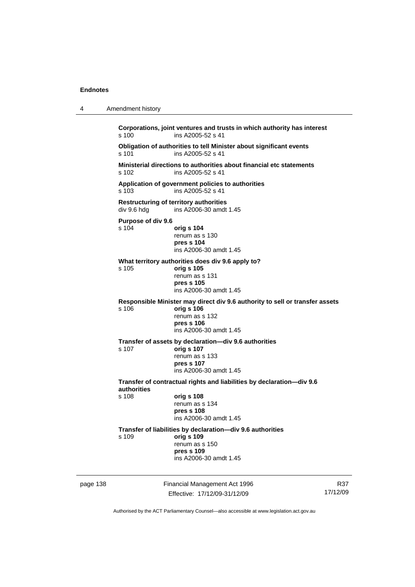| 4        | Amendment history                                                                                     |                                                                                                                                    |                 |  |  |
|----------|-------------------------------------------------------------------------------------------------------|------------------------------------------------------------------------------------------------------------------------------------|-----------------|--|--|
|          | Corporations, joint ventures and trusts in which authority has interest<br>ins A2005-52 s 41<br>s 100 |                                                                                                                                    |                 |  |  |
|          | Obligation of authorities to tell Minister about significant events<br>s 101<br>ins A2005-52 s 41     |                                                                                                                                    |                 |  |  |
|          | s 102                                                                                                 | Ministerial directions to authorities about financial etc statements<br>ins A2005-52 s 41                                          |                 |  |  |
|          | s 103                                                                                                 | Application of government policies to authorities<br>ins A2005-52 s 41                                                             |                 |  |  |
|          | <b>Restructuring of territory authorities</b><br>div 9.6 hdg<br>ins A2006-30 amdt 1.45                |                                                                                                                                    |                 |  |  |
|          | Purpose of div 9.6                                                                                    |                                                                                                                                    |                 |  |  |
|          | s 104                                                                                                 | orig s 104<br>renum as s 130<br>pres s 104<br>ins A2006-30 amdt 1.45                                                               |                 |  |  |
|          | What territory authorities does div 9.6 apply to?                                                     |                                                                                                                                    |                 |  |  |
|          | s.105                                                                                                 | orig s 105<br>renum as s 131<br>pres s 105<br>ins A2006-30 amdt 1.45                                                               |                 |  |  |
|          |                                                                                                       | Responsible Minister may direct div 9.6 authority to sell or transfer assets                                                       |                 |  |  |
|          | s 106                                                                                                 | orig s 106<br>renum as s 132<br>pres s 106<br>ins A2006-30 amdt 1.45                                                               |                 |  |  |
|          | s 107                                                                                                 | Transfer of assets by declaration-div 9.6 authorities<br>orig s 107<br>renum as s 133<br>pres s 107<br>ins A2006-30 amdt 1.45      |                 |  |  |
|          | Transfer of contractual rights and liabilities by declaration-div 9.6<br>authorities                  |                                                                                                                                    |                 |  |  |
|          | s 108                                                                                                 | orig s 108<br>renum as s 134<br>pres s 108<br>ins A2006-30 amdt 1.45                                                               |                 |  |  |
|          | s 109                                                                                                 | Transfer of liabilities by declaration-div 9.6 authorities<br>orig s 109<br>renum as s 150<br>pres s 109<br>ins A2006-30 amdt 1.45 |                 |  |  |
| page 138 |                                                                                                       | Financial Management Act 1996<br>Effective: 17/12/09-31/12/09                                                                      | R37<br>17/12/09 |  |  |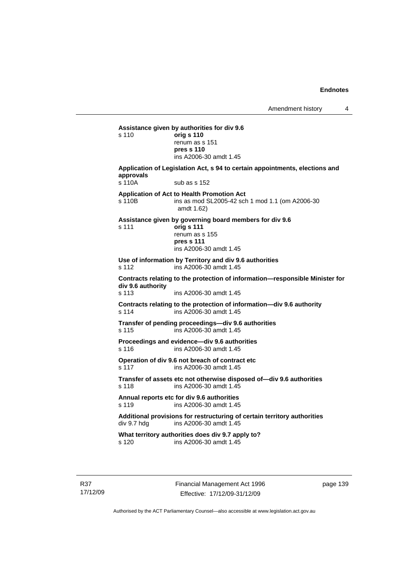**Assistance given by authorities for div 9.6**  s 110 **orig s 110** renum as s 151 **pres s 110**  ins A2006-30 amdt 1.45 **Application of Legislation Act, s 94 to certain appointments, elections and approvals**  s 110A sub as s 152 **Application of Act to Health Promotion Act**  s 110B ins as mod SL2005-42 sch 1 mod 1.1 (om A2006-30 amdt 1.62) **Assistance given by governing board members for div 9.6**  s 111 **orig s 111** renum as s 155 **pres s 111**  ins A2006-30 amdt 1.45 **Use of information by Territory and div 9.6 authorities**  s 112 ins A2006-30 amdt 1.45 **Contracts relating to the protection of information—responsible Minister for div 9.6 authority**  s 113 ins A2006-30 amdt 1.45 **Contracts relating to the protection of information—div 9.6 authority**  s 114 ins A2006-30 amdt 1.45 **Transfer of pending proceedings—div 9.6 authorities**  s 115 ins A2006-30 amdt 1.45 **Proceedings and evidence—div 9.6 authorities**  s 116 ins A2006-30 amdt 1.45 **Operation of div 9.6 not breach of contract etc**  s 117 ins A2006-30 amdt 1.45 **Transfer of assets etc not otherwise disposed of—div 9.6 authorities**  s 118 ins A2006-30 amdt 1.45 **Annual reports etc for div 9.6 authorities**  s 119 ins A2006-30 amdt 1.45 Additional provisions for restructuring of certain territory authorities<br>div 9.7 hdg ins A2006-30 amdt 1.45 ins A2006-30 amdt  $1.45$ **What territory authorities does div 9.7 apply to?**  s 120 ins A2006-30 amdt 1.45

Financial Management Act 1996 Effective: 17/12/09-31/12/09

page 139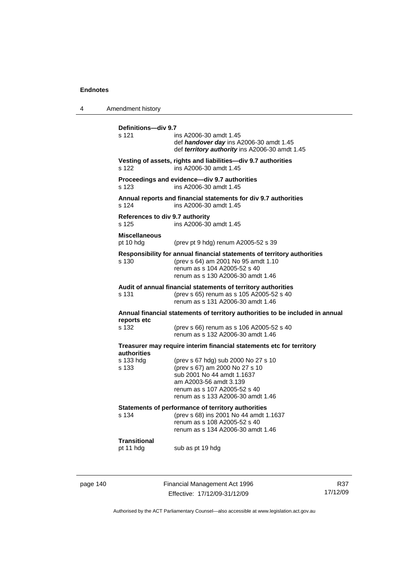| 4                                                                                          | Amendment history                                                                            |                                                                                                                                                                                                    |
|--------------------------------------------------------------------------------------------|----------------------------------------------------------------------------------------------|----------------------------------------------------------------------------------------------------------------------------------------------------------------------------------------------------|
|                                                                                            | Definitions-div 9.7<br>s 121                                                                 | ins A2006-30 amdt 1.45<br>def handover day ins A2006-30 amdt 1.45<br>def territory authority ins A2006-30 amdt 1.45                                                                                |
|                                                                                            | s 122                                                                                        | Vesting of assets, rights and liabilities—div 9.7 authorities<br>ins A2006-30 amdt 1.45                                                                                                            |
|                                                                                            | s 123                                                                                        | Proceedings and evidence-div 9.7 authorities<br>ins A2006-30 amdt 1.45                                                                                                                             |
|                                                                                            | s 124                                                                                        | Annual reports and financial statements for div 9.7 authorities<br>ins A2006-30 amdt 1.45                                                                                                          |
|                                                                                            | References to div 9.7 authority<br>s 125                                                     | ins A2006-30 amdt 1.45                                                                                                                                                                             |
|                                                                                            | <b>Miscellaneous</b><br>pt 10 hdg                                                            | (prev pt 9 hdg) renum A2005-52 s 39                                                                                                                                                                |
|                                                                                            | s 130                                                                                        | Responsibility for annual financial statements of territory authorities<br>(prev s 64) am 2001 No 95 amdt 1.10<br>renum as s 104 A2005-52 s 40<br>renum as s 130 A2006-30 amdt 1.46                |
|                                                                                            | s 131                                                                                        | Audit of annual financial statements of territory authorities<br>(prev s 65) renum as s 105 A2005-52 s 40<br>renum as s 131 A2006-30 amdt 1.46                                                     |
|                                                                                            | Annual financial statements of territory authorities to be included in annual<br>reports etc |                                                                                                                                                                                                    |
|                                                                                            | s 132                                                                                        | (prev s 66) renum as s 106 A2005-52 s 40<br>renum as s 132 A2006-30 amdt 1.46                                                                                                                      |
| Treasurer may require interim financial statements etc for territory<br><b>authorities</b> |                                                                                              |                                                                                                                                                                                                    |
|                                                                                            | s 133 hdg<br>s 133                                                                           | (prev s 67 hdg) sub 2000 No 27 s 10<br>(prev s 67) am 2000 No 27 s 10<br>sub 2001 No 44 amdt 1.1637<br>am A2003-56 amdt 3.139<br>renum as s 107 A2005-52 s 40<br>renum as s 133 A2006-30 amdt 1.46 |
|                                                                                            | s 134                                                                                        | Statements of performance of territory authorities<br>(prev s 68) ins 2001 No 44 amdt 1.1637<br>renum as s 108 A2005-52 s 40<br>renum as s 134 A2006-30 amdt 1.46                                  |
|                                                                                            | <b>Transitional</b><br>pt 11 hdg                                                             | sub as pt 19 hdg                                                                                                                                                                                   |
|                                                                                            |                                                                                              |                                                                                                                                                                                                    |

page 140 Financial Management Act 1996 Effective: 17/12/09-31/12/09

R37 17/12/09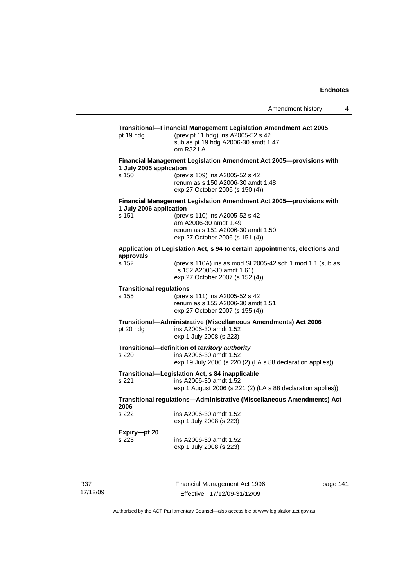## **Transitional—Financial Management Legislation Amendment Act 2005**  pt 19 hdg (prev pt 11 hdg) ins A2005-52 s 42 sub as pt 19 hdg A2006-30 amdt 1.47 om R32 LA **Financial Management Legislation Amendment Act 2005—provisions with 1 July 2005 application**  s 150 (prev s 109) ins A2005-52 s 42 renum as s 150 A2006-30 amdt 1.48 exp 27 October 2006 (s 150 (4)) **Financial Management Legislation Amendment Act 2005—provisions with 1 July 2006 application**  s 151 (prev s 110) ins A2005-52 s 42 am A2006-30 amdt 1.49 renum as s 151 A2006-30 amdt 1.50 exp 27 October 2006 (s 151 (4)) **Application of Legislation Act, s 94 to certain appointments, elections and approvals**  s 152 (prev s 110A) ins as mod SL2005-42 sch 1 mod 1.1 (sub as s 152 A2006-30 amdt 1.61) exp 27 October 2007 (s 152 (4)) **Transitional regulations**  s 155 (prev s 111) ins A2005-52 s 42 renum as s 155 A2006-30 amdt 1.51 exp 27 October 2007 (s 155 (4)) **Transitional—Administrative (Miscellaneous Amendments) Act 2006**  pt 20 hdg ins A2006-30 amdt 1.52 exp 1 July 2008 (s 223) **Transitional—definition of** *territory authority*  s 220 ins A2006-30 amdt 1.52 exp 19 July 2006 (s 220 (2) (LA s 88 declaration applies)) **Transitional—Legislation Act, s 84 inapplicable**  s 221 ins A2006-30 amdt 1.52 exp 1 August 2006 (s 221 (2) (LA s 88 declaration applies)) **Transitional regulations—Administrative (Miscellaneous Amendments) Act 2006**  s 222 ins A2006-30 amdt 1.52 exp 1 July 2008 (s 223) **Expiry—pt 20**  s 223 ins A2006-30 amdt 1.52 exp 1 July 2008 (s 223)

R37 17/12/09 Financial Management Act 1996 Effective: 17/12/09-31/12/09

page 141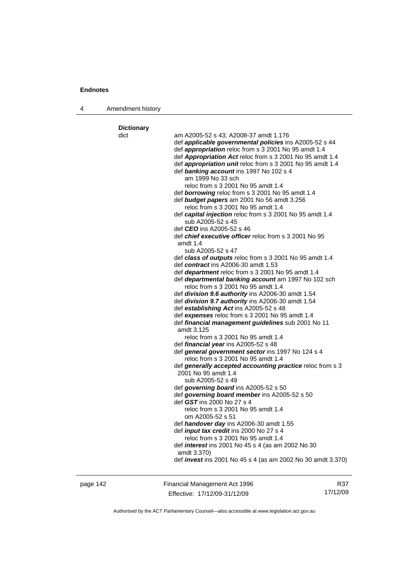4 Amendment history

| <b>Dictionary</b> |                                                                                                        |
|-------------------|--------------------------------------------------------------------------------------------------------|
| dict              | am A2005-52 s 43; A2008-37 amdt 1.176<br>def <b>applicable governmental policies</b> ins A2005-52 s 44 |
|                   | def appropriation reloc from s 3 2001 No 95 amdt 1.4                                                   |
|                   | def Appropriation Act reloc from s 3 2001 No 95 amdt 1.4                                               |
|                   | def appropriation unit reloc from s 3 2001 No 95 amdt 1.4                                              |
|                   | def banking account ins 1997 No 102 s 4                                                                |
|                   | am 1999 No 33 sch                                                                                      |
|                   | reloc from s 3 2001 No 95 amdt 1.4                                                                     |
|                   | def <b>borrowing</b> reloc from s 3 2001 No 95 amdt 1.4                                                |
|                   | def <b>budget papers</b> am 2001 No 56 amdt 3.256                                                      |
|                   | reloc from s 3 2001 No 95 amdt 1.4                                                                     |
|                   | def capital injection reloc from s 3 2001 No 95 amdt 1.4<br>sub A2005-52 s 45                          |
|                   | def CEO ins A2005-52 s 46                                                                              |
|                   | def <i>chief executive officer</i> reloc from s 3 2001 No 95                                           |
|                   | amdt 1.4                                                                                               |
|                   | sub A2005-52 s 47                                                                                      |
|                   | def class of outputs reloc from s 3 2001 No 95 amdt 1.4                                                |
|                   | def contract ins A2006-30 amdt 1.53                                                                    |
|                   | def department reloc from s 3 2001 No 95 amdt 1.4                                                      |
|                   | def departmental banking account am 1997 No 102 sch                                                    |
|                   | reloc from s 3 2001 No 95 amdt 1.4                                                                     |
|                   | def division 9.6 authority ins A2006-30 amdt 1.54                                                      |
|                   | def division 9.7 authority ins A2006-30 amdt 1.54<br>def establishing Act ins A2005-52 s 48            |
|                   | def expenses reloc from s 3 2001 No 95 amdt 1.4                                                        |
|                   | def financial management guidelines sub 2001 No 11                                                     |
|                   | amdt 3.125                                                                                             |
|                   | reloc from s 3 2001 No 95 amdt 1.4                                                                     |
|                   | def <i>financial year</i> ins A2005-52 s 48                                                            |
|                   | def general government sector ins 1997 No 124 s 4                                                      |
|                   | reloc from s 3 2001 No 95 amdt 1.4                                                                     |
|                   | def generally accepted accounting practice reloc from s 3                                              |
|                   | 2001 No 95 amdt 1.4<br>sub A2005-52 s 49                                                               |
|                   | def governing board ins A2005-52 s 50                                                                  |
|                   | def governing board member ins A2005-52 s 50                                                           |
|                   | def GST ins 2000 No 27 s 4                                                                             |
|                   | reloc from s 3 2001 No 95 amdt 1.4                                                                     |
|                   | om A2005-52 s 51                                                                                       |
|                   | def <i>handover day</i> ins A2006-30 amdt 1.55                                                         |
|                   | def <i>input tax credit</i> ins 2000 No 27 s 4                                                         |
|                   | reloc from s 3 2001 No 95 amdt 1.4                                                                     |
|                   | def <i>interest</i> ins 2001 No 45 s 4 (as am 2002 No 30<br>amdt 3.370)                                |
|                   | def <i>invest</i> ins 2001 No 45 s 4 (as am 2002 No 30 amdt 3.370)                                     |
|                   |                                                                                                        |
|                   |                                                                                                        |

page 142 Financial Management Act 1996 Effective: 17/12/09-31/12/09

R37 17/12/09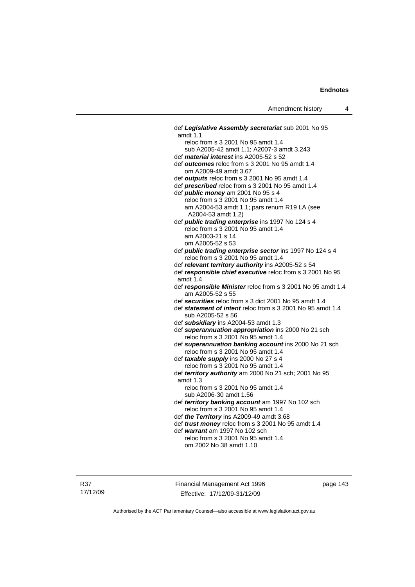def *Legislative Assembly secretariat* sub 2001 No 95 amdt 1.1 reloc from s 3 2001 No 95 amdt 1.4 sub A2005-42 amdt 1.1; A2007-3 amdt 3.243 def *material interest* ins A2005-52 s 52 def *outcomes* reloc from s 3 2001 No 95 amdt 1.4 om A2009-49 amdt 3.67 def *outputs* reloc from s 3 2001 No 95 amdt 1.4 def *prescribed* reloc from s 3 2001 No 95 amdt 1.4 def *public money* am 2001 No 95 s 4 reloc from s 3 2001 No 95 amdt 1.4 am A2004-53 amdt 1.1; pars renum R19 LA (see A2004-53 amdt 1.2) def *public trading enterprise* ins 1997 No 124 s 4 reloc from s 3 2001 No 95 amdt 1.4 am A2003-21 s 14 om A2005-52 s 53 def *public trading enterprise sector* ins 1997 No 124 s 4 reloc from s 3 2001 No 95 amdt 1.4 def *relevant territory authority* ins A2005-52 s 54 def *responsible chief executive* reloc from s 3 2001 No 95 amdt 1.4 def *responsible Minister* reloc from s 3 2001 No 95 amdt 1.4 am A2005-52 s 55 def *securities* reloc from s 3 dict 2001 No 95 amdt 1.4 def *statement of intent* reloc from s 3 2001 No 95 amdt 1.4 sub A2005-52 s 56 def *subsidiary* ins A2004-53 amdt 1.3 def *superannuation appropriation* ins 2000 No 21 sch reloc from s 3 2001 No 95 amdt 1.4 def *superannuation banking account* ins 2000 No 21 sch reloc from s 3 2001 No 95 amdt 1.4 def *taxable supply* ins 2000 No 27 s 4 reloc from s 3 2001 No 95 amdt 1.4 def *territory authority* am 2000 No 21 sch; 2001 No 95 amdt 1.3 reloc from s 3 2001 No 95 amdt 1.4 sub A2006-30 amdt 1.56 def *territory banking account* am 1997 No 102 sch reloc from s 3 2001 No 95 amdt 1.4 def *the Territory* ins A2009-49 amdt 3.68 def *trust money* reloc from s 3 2001 No 95 amdt 1.4 def *warrant* am 1997 No 102 sch reloc from s 3 2001 No 95 amdt 1.4 om 2002 No 38 amdt 1.10

R37 17/12/09 Financial Management Act 1996 Effective: 17/12/09-31/12/09

page 143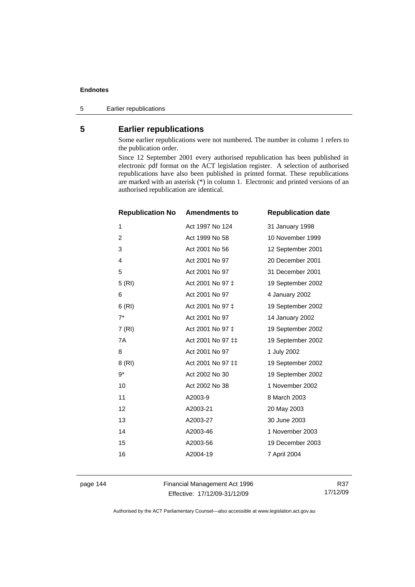5 Earlier republications

# **5 Earlier republications**

Some earlier republications were not numbered. The number in column 1 refers to the publication order.

Since 12 September 2001 every authorised republication has been published in electronic pdf format on the ACT legislation register. A selection of authorised republications have also been published in printed format. These republications are marked with an asterisk (\*) in column 1. Electronic and printed versions of an authorised republication are identical.

| <b>Republication No</b> | <b>Amendments to</b> | <b>Republication date</b> |
|-------------------------|----------------------|---------------------------|
| 1                       | Act 1997 No 124      | 31 January 1998           |
| $\overline{c}$          | Act 1999 No 58       | 10 November 1999          |
| 3                       | Act 2001 No 56       | 12 September 2001         |
| $\overline{4}$          | Act 2001 No 97       | 20 December 2001          |
| 5                       | Act 2001 No 97       | 31 December 2001          |
| 5(RI)                   | Act 2001 No 97 ‡     | 19 September 2002         |
| 6                       | Act 2001 No 97       | 4 January 2002            |
| 6(RI)                   | Act 2001 No 97 ‡     | 19 September 2002         |
| $7^*$                   | Act 2001 No 97       | 14 January 2002           |
| 7(RI)                   | Act 2001 No 97 ‡     | 19 September 2002         |
| 7A                      | Act 2001 No 97 ‡‡    | 19 September 2002         |
| 8                       | Act 2001 No 97       | 1 July 2002               |
| 8 (RI)                  | Act 2001 No 97 ‡‡    | 19 September 2002         |
| $9*$                    | Act 2002 No 30       | 19 September 2002         |
| 10                      | Act 2002 No 38       | 1 November 2002           |
| 11                      | A2003-9              | 8 March 2003              |
| 12                      | A2003-21             | 20 May 2003               |
| 13                      | A2003-27             | 30 June 2003              |
| 14                      | A2003-46             | 1 November 2003           |
| 15                      | A2003-56             | 19 December 2003          |
| 16                      | A2004-19             | 7 April 2004              |
|                         |                      |                           |

page 144 Financial Management Act 1996 Effective: 17/12/09-31/12/09

R37 17/12/09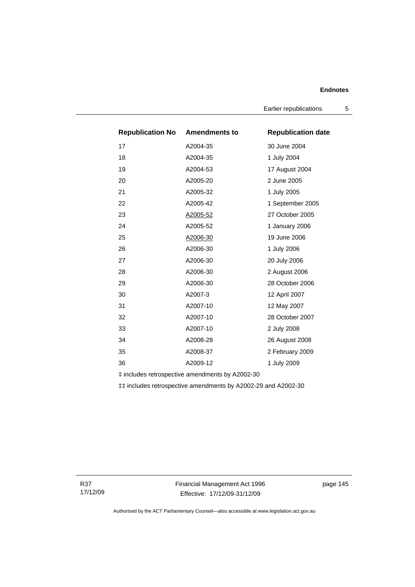Earlier republications 5

| <b>Republication No Amendments to</b> |          | <b>Republication date</b> |
|---------------------------------------|----------|---------------------------|
| 17                                    | A2004-35 | 30 June 2004              |
| 18                                    | A2004-35 | 1 July 2004               |
| 19                                    | A2004-53 | 17 August 2004            |
| 20                                    | A2005-20 | 2 June 2005               |
| 21                                    | A2005-32 | 1 July 2005               |
| 22                                    | A2005-42 | 1 September 2005          |
| 23                                    | A2005-52 | 27 October 2005           |
| 24                                    | A2005-52 | 1 January 2006            |
| 25                                    | A2006-30 | 19 June 2006              |
| 26                                    | A2006-30 | 1 July 2006               |
| 27                                    | A2006-30 | 20 July 2006              |
| 28                                    | A2006-30 | 2 August 2006             |
| 29                                    | A2006-30 | 28 October 2006           |
| 30                                    | A2007-3  | 12 April 2007             |
| 31                                    | A2007-10 | 12 May 2007               |
| 32                                    | A2007-10 | 28 October 2007           |
| 33                                    | A2007-10 | 2 July 2008               |
| 34                                    | A2008-28 | 26 August 2008            |
| 35                                    | A2008-37 | 2 February 2009           |
| 36                                    | A2009-12 | 1 July 2009               |

‡ includes retrospective amendments by A2002-30

‡‡ includes retrospective amendments by A2002-29 and A2002-30

R37 17/12/09 Financial Management Act 1996 Effective: 17/12/09-31/12/09

page 145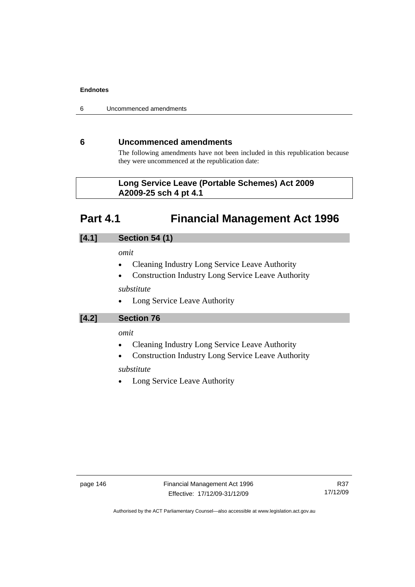6 Uncommenced amendments

# **6 Uncommenced amendments**

The following amendments have not been included in this republication because they were uncommenced at the republication date:

# **Part 4.1 Financial Management Act 1996**

# **[4.1] Section 54 (1)**

### *omit*

- Cleaning Industry Long Service Leave Authority
- Construction Industry Long Service Leave Authority

### *substitute*

• Long Service Leave Authority

**[4.2] Section 76** 

### *omit*

- Cleaning Industry Long Service Leave Authority
- Construction Industry Long Service Leave Authority

# *substitute*

Long Service Leave Authority

**Long Service Leave (Portable Schemes) Act 2009 A2009-25 sch 4 pt 4.1**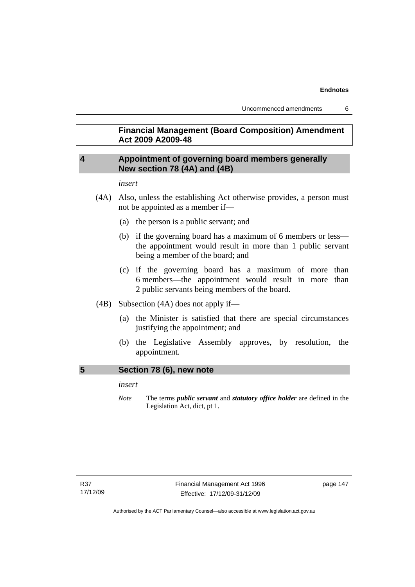# **Financial Management (Board Composition) Amendment Act 2009 A2009-48**

# **4 Appointment of governing board members generally New section 78 (4A) and (4B)**

*insert* 

- (4A) Also, unless the establishing Act otherwise provides, a person must not be appointed as a member if—
	- (a) the person is a public servant; and
	- (b) if the governing board has a maximum of 6 members or less the appointment would result in more than 1 public servant being a member of the board; and
	- (c) if the governing board has a maximum of more than 6 members—the appointment would result in more than 2 public servants being members of the board.
- (4B) Subsection (4A) does not apply if—
	- (a) the Minister is satisfied that there are special circumstances justifying the appointment; and
	- (b) the Legislative Assembly approves, by resolution, the appointment.

### **5 Section 78 (6), new note**

*insert* 

*Note* The terms *public servant* and *statutory office holder* are defined in the Legislation Act, dict, pt 1.